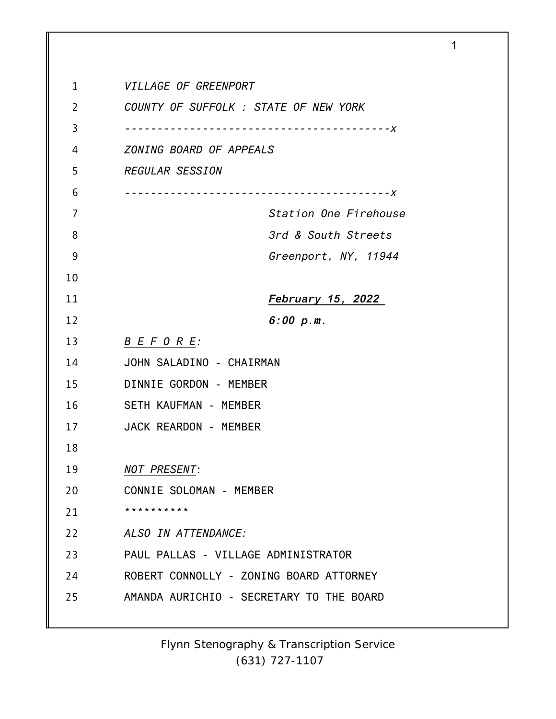| 1  | VILLAGE OF GREENPORT                       |
|----|--------------------------------------------|
| 2  | COUNTY OF SUFFOLK : STATE OF NEW YORK      |
| 3  | $- - - - - - X$                            |
| 4  | ZONING BOARD OF APPEALS                    |
| 5  | <b>REGULAR SESSION</b>                     |
| 6  | -----------------------<br>$- - - - - - X$ |
| 7  | Station One Firehouse                      |
| 8  | 3rd & South Streets                        |
| 9  | Greenport, NY, 11944                       |
| 10 |                                            |
| 11 | February 15, 2022                          |
| 12 | 6:00 p.m.                                  |
| 13 | <u>B E F O R E:</u>                        |
| 14 | JOHN SALADINO - CHAIRMAN                   |
| 15 | DINNIE GORDON - MEMBER                     |
| 16 | SETH KAUFMAN - MEMBER                      |
| 17 | JACK REARDON - MEMBER                      |
| 18 |                                            |
| 19 | <b>NOT PRESENT:</b>                        |
| 20 | CONNIE SOLOMAN - MEMBER                    |
| 21 | * * * * * * * * * *                        |
| 22 | ALSO IN ATTENDANCE:                        |
| 23 | PAUL PALLAS - VILLAGE ADMINISTRATOR        |
| 24 | ROBERT CONNOLLY - ZONING BOARD ATTORNEY    |
| 25 | AMANDA AURICHIO - SECRETARY TO THE BOARD   |
|    |                                            |

1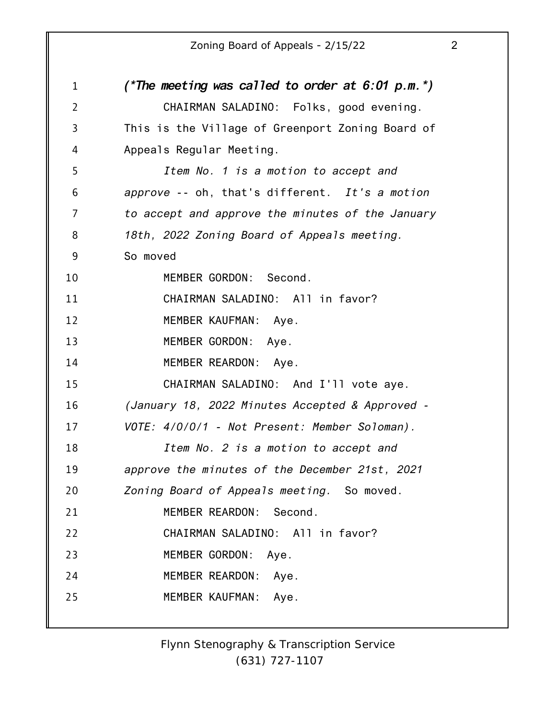| $\mathbf 1$    | (*The meeting was called to order at $6:01$ p.m.*) |
|----------------|----------------------------------------------------|
| $\overline{2}$ | CHAIRMAN SALADINO: Folks, good evening.            |
| $\overline{3}$ | This is the Village of Greenport Zoning Board of   |
| 4              | Appeals Regular Meeting.                           |
| 5              | Item No. 1 is a motion to accept and               |
| 6              | approve -- oh, that's different. It's a motion     |
| $\overline{7}$ | to accept and approve the minutes of the January   |
| 8              | 18th, 2022 Zoning Board of Appeals meeting.        |
| 9              | So moved                                           |
| 10             | MEMBER GORDON: Second.                             |
| 11             | CHAIRMAN SALADINO: All in favor?                   |
| 12             | MEMBER KAUFMAN: Aye.                               |
| 13             | MEMBER GORDON: Aye.                                |
| 14             | MEMBER REARDON: Aye.                               |
| 15             | CHAIRMAN SALADINO: And I'll vote aye.              |
| 16             | (January 18, 2022 Minutes Accepted & Approved -    |
| 17             | VOTE: 4/0/0/1 - Not Present: Member Soloman).      |
| 18             | Item No. 2 is a motion to accept and               |
| 19             | approve the minutes of the December 21st, 2021     |
| 20             | Zoning Board of Appeals meeting. So moved.         |
| 21             | MEMBER REARDON: Second.                            |
| 22             | CHAIRMAN SALADINO: All in favor?                   |
| 23             | MEMBER GORDON: Aye.                                |
| 24             | MEMBER REARDON: Aye.                               |
| 25             | MEMBER KAUFMAN:<br>Aye.                            |
|                |                                                    |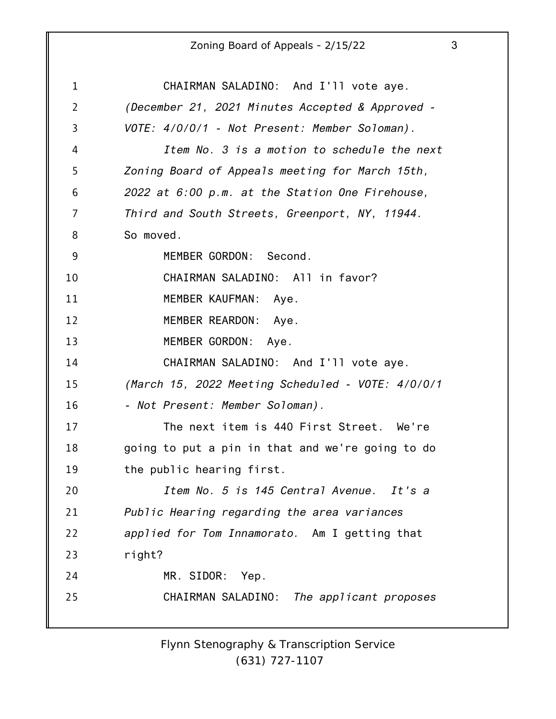1 2 3 4 5 6 7 8 9 10 11 12 13 14 15 16 17 18 19 20 21 22 23 24 25 CHAIRMAN SALADINO: And I'll vote aye. *(December 21, 2021 Minutes Accepted & Approved - VOTE: 4/0/0/1 - Not Present: Member Soloman). Item No. 3 is a motion to schedule the next Zoning Board of Appeals meeting for March 15th, 2022 at 6:00 p.m. at the Station One Firehouse, Third and South Streets, Greenport, NY, 11944.* So moved. MEMBER GORDON: Second. CHAIRMAN SALADINO: All in favor? MEMBER KAUFMAN: Aye. MEMBER REARDON: Aye. MEMBER GORDON: Aye. CHAIRMAN SALADINO: And I'll vote aye. *(March 15, 2022 Meeting Scheduled - VOTE: 4/0/0/1 - Not Present: Member Soloman).* The next item is 440 First Street. We're going to put a pin in that and we're going to do the public hearing first. *Item No. 5 is 145 Central Avenue. It's a Public Hearing regarding the area variances applied for Tom Innamorato.* Am I getting that right? MR. SIDOR: Yep. CHAIRMAN SALADINO: *The applicant proposes*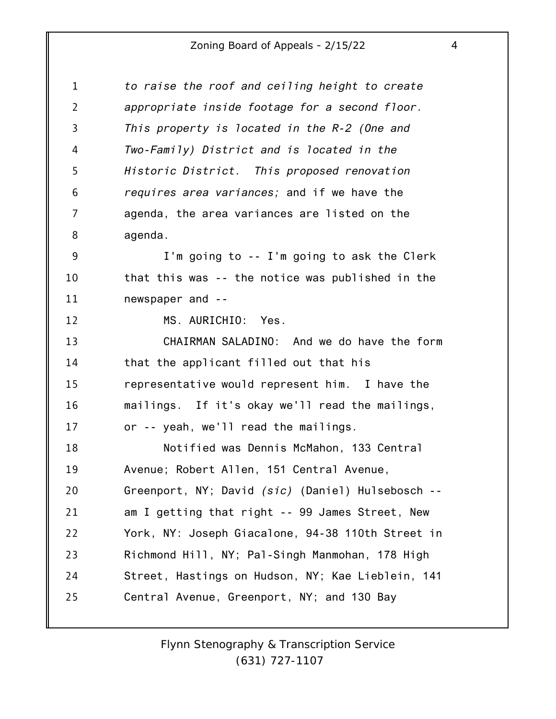| 1              | to raise the roof and ceiling height to create    |
|----------------|---------------------------------------------------|
| $\overline{2}$ | appropriate inside footage for a second floor.    |
| 3              | This property is located in the R-2 (One and      |
| 4              | Two-Family) District and is located in the        |
| 5              | Historic District. This proposed renovation       |
| 6              | requires area variances; and if we have the       |
| 7              | agenda, the area variances are listed on the      |
| 8              | agenda.                                           |
| 9              | I'm going to -- I'm going to ask the Clerk        |
| 10             | that this was -- the notice was published in the  |
| 11             | newspaper and --                                  |
| 12             | MS. AURICHIO: Yes.                                |
| 13             | CHAIRMAN SALADINO: And we do have the form        |
| 14             | that the applicant filled out that his            |
| 15             | representative would represent him. I have the    |
| 16             | mailings. If it's okay we'll read the mailings,   |
| 17             | or -- yeah, we'll read the mailings.              |
| 18             | Notified was Dennis McMahon, 133 Central          |
| 19             | Avenue; Robert Allen, 151 Central Avenue,         |
| 20             | Greenport, NY; David (sic) (Daniel) Hulsebosch -- |
| 21             | am I getting that right -- 99 James Street, New   |
| 22             | York, NY: Joseph Giacalone, 94-38 110th Street in |
| 23             | Richmond Hill, NY; Pal-Singh Manmohan, 178 High   |
| 24             | Street, Hastings on Hudson, NY; Kae Lieblein, 141 |
| 25             | Central Avenue, Greenport, NY; and 130 Bay        |
|                |                                                   |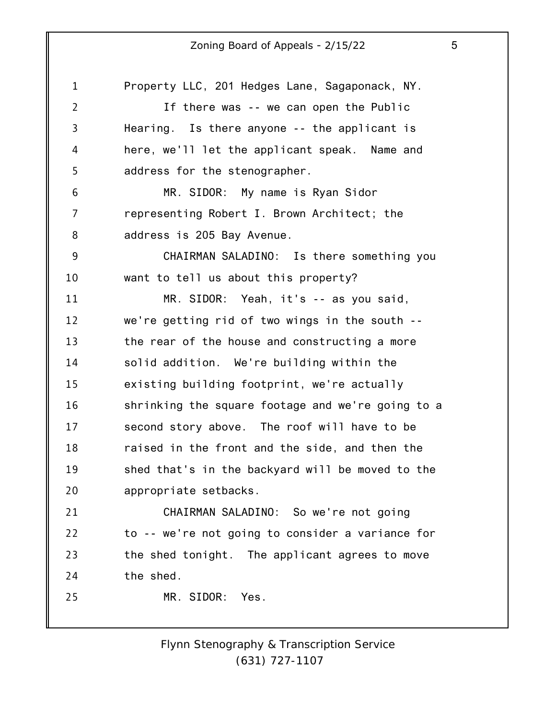1 2 3 4 5 6 7 8 9 10 11 12 13 14 15 16 17 18 19 20 21 22 23 24 25 Property LLC, 201 Hedges Lane, Sagaponack, NY. If there was -- we can open the Public Hearing. Is there anyone -- the applicant is here, we'll let the applicant speak. Name and address for the stenographer. MR. SIDOR: My name is Ryan Sidor representing Robert I. Brown Architect; the address is 205 Bay Avenue. CHAIRMAN SALADINO: Is there something you want to tell us about this property? MR. SIDOR: Yeah, it's -- as you said, we're getting rid of two wings in the south - the rear of the house and constructing a more solid addition. We're building within the existing building footprint, we're actually shrinking the square footage and we're going to a second story above. The roof will have to be raised in the front and the side, and then the shed that's in the backyard will be moved to the appropriate setbacks. CHAIRMAN SALADINO: So we're not going to -- we're not going to consider a variance for the shed tonight. The applicant agrees to move the shed. MR. SIDOR: Yes.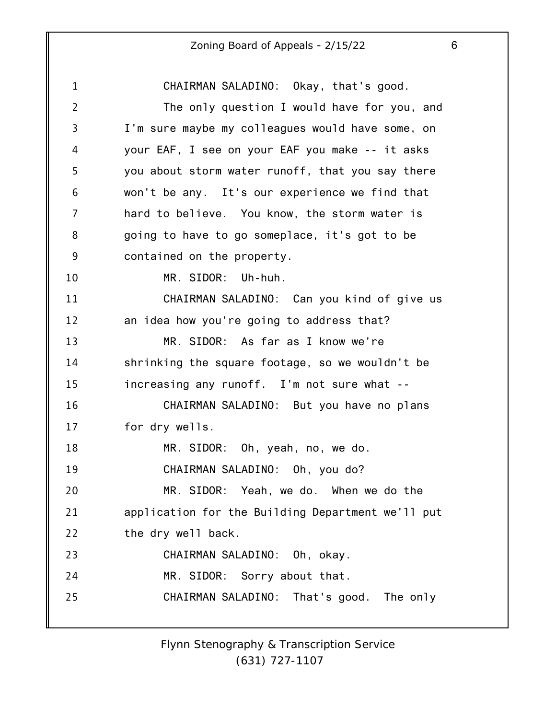| $\mathbf 1$    | CHAIRMAN SALADINO: Okay, that's good.             |
|----------------|---------------------------------------------------|
| $\overline{2}$ | The only question I would have for you, and       |
| 3              | I'm sure maybe my colleagues would have some, on  |
| 4              | your EAF, I see on your EAF you make -- it asks   |
| 5              | you about storm water runoff, that you say there  |
| 6              | won't be any. It's our experience we find that    |
| 7              | hard to believe. You know, the storm water is     |
| 8              | going to have to go someplace, it's got to be     |
| 9              | contained on the property.                        |
| 10             | MR. SIDOR: Uh-huh.                                |
| 11             | CHAIRMAN SALADINO: Can you kind of give us        |
| 12             | an idea how you're going to address that?         |
| 13             | MR. SIDOR: As far as I know we're                 |
| 14             | shrinking the square footage, so we wouldn't be   |
| 15             | increasing any runoff. I'm not sure what --       |
| 16             | CHAIRMAN SALADINO: But you have no plans          |
| 17             | for dry wells.                                    |
| 18             | MR. SIDOR: Oh, yeah, no, we do.                   |
| 19             | CHAIRMAN SALADINO: Oh, you do?                    |
| 20             | MR. SIDOR: Yeah, we do. When we do the            |
| 21             | application for the Building Department we'll put |
| 22             | the dry well back.                                |
| 23             | CHAIRMAN SALADINO: Oh, okay.                      |
| 24             | MR. SIDOR: Sorry about that.                      |
| 25             | CHAIRMAN SALADINO: That's good. The only          |
|                |                                                   |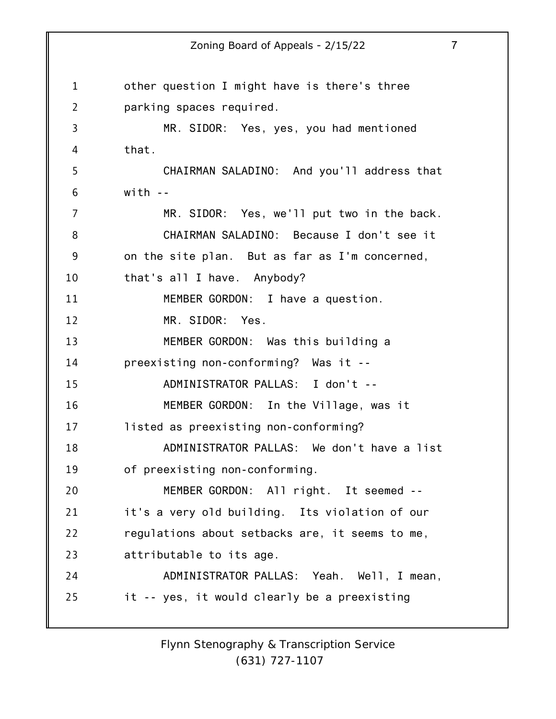1 2 3 4 5 6 7 8 9 10 11 12 13 14 15 16 17 18 19 20 21 22 23 24 25 Zoning Board of Appeals - 2/15/22 7 other question I might have is there's three parking spaces required. MR. SIDOR: Yes, yes, you had mentioned that. CHAIRMAN SALADINO: And you'll address that with  $-$ MR. SIDOR: Yes, we'll put two in the back. CHAIRMAN SALADINO: Because I don't see it on the site plan. But as far as I'm concerned, that's all I have. Anybody? MEMBER GORDON: I have a question. MR. SIDOR: Yes. MEMBER GORDON: Was this building a preexisting non-conforming? Was it -- ADMINISTRATOR PALLAS: I don't -- MEMBER GORDON: In the Village, was it listed as preexisting non-conforming? ADMINISTRATOR PALLAS: We don't have a list of preexisting non-conforming. MEMBER GORDON: All right. It seemed - it's a very old building. Its violation of our regulations about setbacks are, it seems to me, attributable to its age. ADMINISTRATOR PALLAS: Yeah. Well, I mean, it -- yes, it would clearly be a preexisting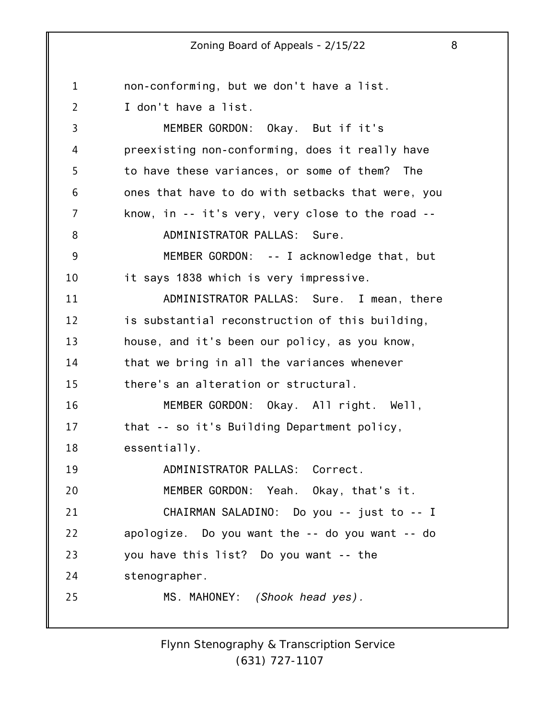1 2 3 4 5 6 7 8 9 10 11 12 13 14 15 16 17 18 19 20 21 22 23 24 25 non-conforming, but we don't have a list. I don't have a list. MEMBER GORDON: Okay. But if it's preexisting non-conforming, does it really have to have these variances, or some of them? The ones that have to do with setbacks that were, you know, in -- it's very, very close to the road -- ADMINISTRATOR PALLAS: Sure. MEMBER GORDON: -- I acknowledge that, but it says 1838 which is very impressive. ADMINISTRATOR PALLAS: Sure. I mean, there is substantial reconstruction of this building, house, and it's been our policy, as you know, that we bring in all the variances whenever there's an alteration or structural. MEMBER GORDON: Okay. All right. Well, that -- so it's Building Department policy, essentially. ADMINISTRATOR PALLAS: Correct. MEMBER GORDON: Yeah. Okay, that's it. CHAIRMAN SALADINO: Do you -- just to -- I apologize. Do you want the -- do you want -- do you have this list? Do you want -- the stenographer. MS. MAHONEY: *(Shook head yes).*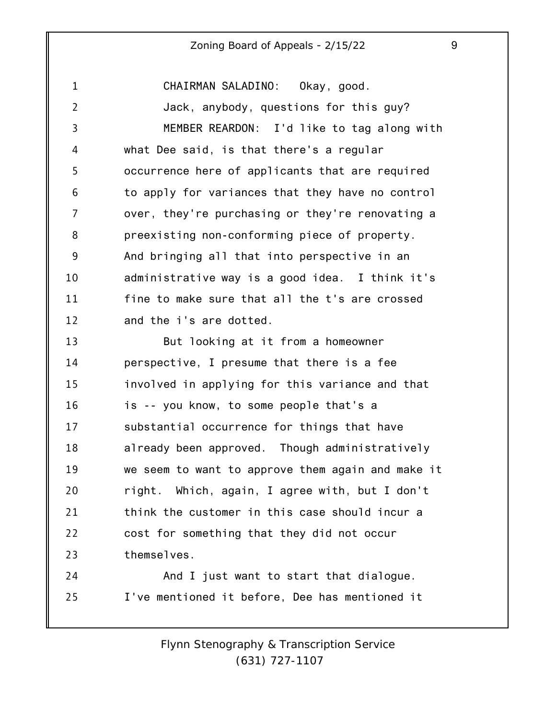1 2 3 4 5 6 7 8 9 10 11 12 CHAIRMAN SALADINO: Okay, good. Jack, anybody, questions for this guy? MEMBER REARDON: I'd like to tag along with what Dee said, is that there's a regular occurrence here of applicants that are required to apply for variances that they have no control over, they're purchasing or they're renovating a preexisting non-conforming piece of property. And bringing all that into perspective in an administrative way is a good idea. I think it's fine to make sure that all the t's are crossed and the i's are dotted.

13 14 15 16 17 18 19 20 21 22 23 But looking at it from a homeowner perspective, I presume that there is a fee involved in applying for this variance and that is -- you know, to some people that's a substantial occurrence for things that have already been approved. Though administratively we seem to want to approve them again and make it right. Which, again, I agree with, but I don't think the customer in this case should incur a cost for something that they did not occur themselves.

24 25 And I just want to start that dialogue. I've mentioned it before, Dee has mentioned it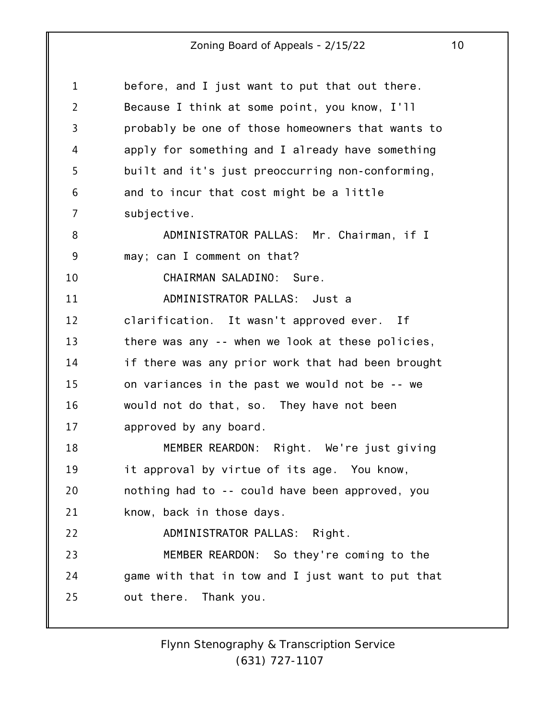| $\mathbf{1}$   | before, and I just want to put that out there.    |
|----------------|---------------------------------------------------|
| $\overline{2}$ | Because I think at some point, you know, I'll     |
| $\overline{3}$ | probably be one of those homeowners that wants to |
| 4              | apply for something and I already have something  |
| 5              | built and it's just preoccurring non-conforming,  |
| 6              | and to incur that cost might be a little          |
| 7              | subjective.                                       |
| 8              | ADMINISTRATOR PALLAS: Mr. Chairman, if I          |
| 9              | may; can I comment on that?                       |
| 10             | CHAIRMAN SALADINO: Sure.                          |
| 11             | ADMINISTRATOR PALLAS: Just a                      |
| 12             | clarification. It wasn't approved ever. If        |
| 13             | there was any -- when we look at these policies,  |
| 14             | if there was any prior work that had been brought |
| 15             | on variances in the past we would not be -- we    |
| 16             | would not do that, so. They have not been         |
| 17             | approved by any board.                            |
| 18             | MEMBER REARDON: Right. We're just giving          |
| 19             | it approval by virtue of its age. You know,       |
| 20             | nothing had to -- could have been approved, you   |
| 21             | know, back in those days.                         |
| 22             | ADMINISTRATOR PALLAS: Right.                      |
| 23             | MEMBER REARDON: So they're coming to the          |
| 24             | game with that in tow and I just want to put that |
| 25             | out there. Thank you.                             |
|                |                                                   |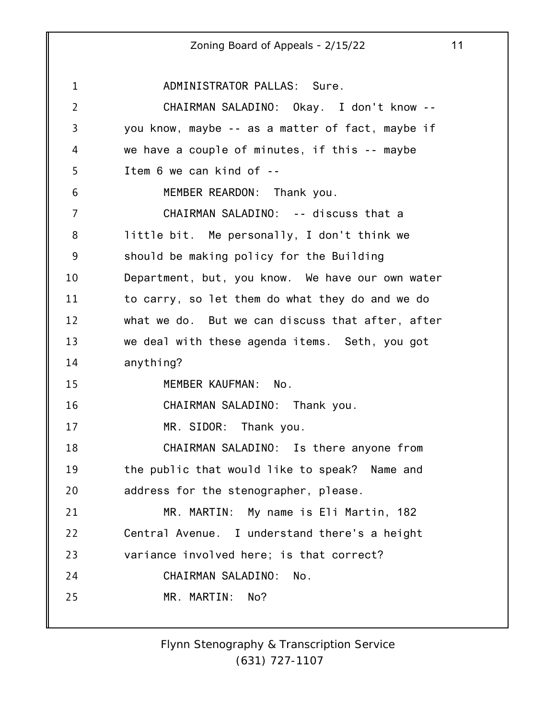1 2 3 4 5 6 7 8 9 10 11 12 13 14 15 16 17 18 19 20 21 22 23 24 25 ADMINISTRATOR PALLAS: Sure. CHAIRMAN SALADINO: Okay. I don't know - you know, maybe -- as a matter of fact, maybe if we have a couple of minutes, if this -- maybe Item 6 we can kind of -- MEMBER REARDON: Thank you. CHAIRMAN SALADINO: -- discuss that a little bit. Me personally, I don't think we should be making policy for the Building Department, but, you know. We have our own water to carry, so let them do what they do and we do what we do. But we can discuss that after, after we deal with these agenda items. Seth, you got anything? MEMBER KAUFMAN: No. CHAIRMAN SALADINO: Thank you. MR. SIDOR: Thank you. CHAIRMAN SALADINO: Is there anyone from the public that would like to speak? Name and address for the stenographer, please. MR. MARTIN: My name is Eli Martin, 182 Central Avenue. I understand there's a height variance involved here; is that correct? CHAIRMAN SALADINO: No. MR. MARTIN: No?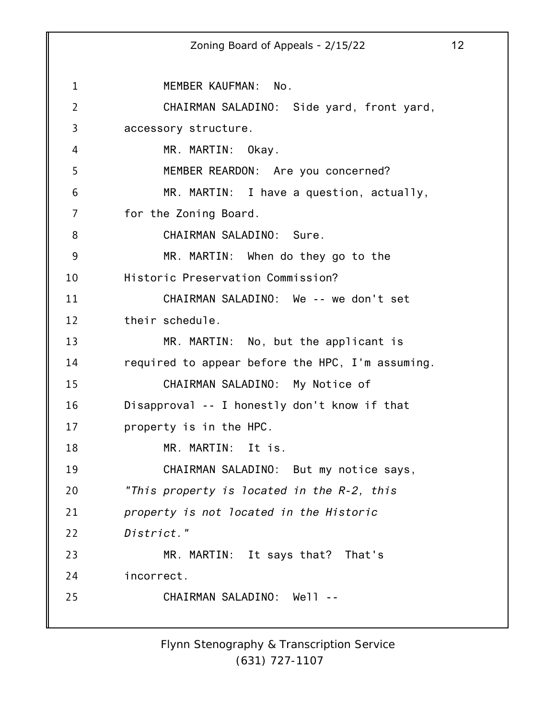1 2 3 4 5 6 7 8 9 10 11 12 13 14 15 16 17 18 19 20 21 22 23 24 25 Zoning Board of Appeals - 2/15/22 12 MEMBER KAUFMAN: No. CHAIRMAN SALADINO: Side yard, front yard, accessory structure. MR. MARTIN: Okay. MEMBER REARDON: Are you concerned? MR. MARTIN: I have a question, actually, for the Zoning Board. CHAIRMAN SALADINO: Sure. MR. MARTIN: When do they go to the Historic Preservation Commission? CHAIRMAN SALADINO: We -- we don't set their schedule. MR. MARTIN: No, but the applicant is required to appear before the HPC, I'm assuming. CHAIRMAN SALADINO: My Notice of Disapproval -- I honestly don't know if that property is in the HPC. MR. MARTIN: It is. CHAIRMAN SALADINO: But my notice says, *"This property is located in the R-2, this property is not located in the Historic District."* MR. MARTIN: It says that? That's incorrect. CHAIRMAN SALADINO: Well --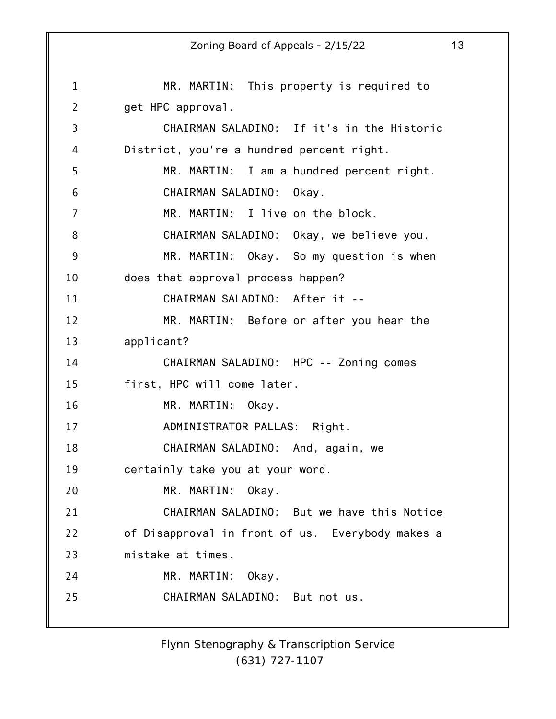1 2 3 4 5 6 7 8 9 10 11 12 13 14 15 16 17 18 19 20 21 22 23 24 25 Zoning Board of Appeals - 2/15/22 13 MR. MARTIN: This property is required to get HPC approval. CHAIRMAN SALADINO: If it's in the Historic District, you're a hundred percent right. MR. MARTIN: I am a hundred percent right. CHAIRMAN SALADINO: Okay. MR. MARTIN: I live on the block. CHAIRMAN SALADINO: Okay, we believe you. MR. MARTIN: Okay. So my question is when does that approval process happen? CHAIRMAN SALADINO: After it -- MR. MARTIN: Before or after you hear the applicant? CHAIRMAN SALADINO: HPC -- Zoning comes first, HPC will come later. MR. MARTIN: Okay. ADMINISTRATOR PALLAS: Right. CHAIRMAN SALADINO: And, again, we certainly take you at your word. MR. MARTIN: Okay. CHAIRMAN SALADINO: But we have this Notice of Disapproval in front of us. Everybody makes a mistake at times. MR. MARTIN: Okay. CHAIRMAN SALADINO: But not us.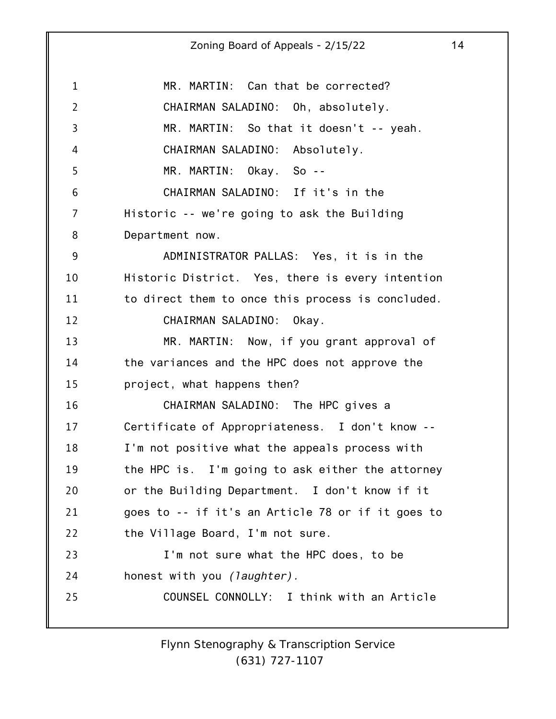| $\mathbf{1}$   | MR. MARTIN: Can that be corrected?                |
|----------------|---------------------------------------------------|
| $\overline{2}$ | CHAIRMAN SALADINO: Oh, absolutely.                |
| $\overline{3}$ | MR. MARTIN: So that it doesn't -- yeah.           |
| 4              | CHAIRMAN SALADINO: Absolutely.                    |
| 5              | MR. MARTIN: Okay. So --                           |
| 6              | CHAIRMAN SALADINO: If it's in the                 |
| 7              | Historic -- we're going to ask the Building       |
| 8              | Department now.                                   |
| 9              | ADMINISTRATOR PALLAS: Yes, it is in the           |
| 10             | Historic District. Yes, there is every intention  |
| 11             | to direct them to once this process is concluded. |
| 12             | CHAIRMAN SALADINO: Okay.                          |
| 13             | MR. MARTIN: Now, if you grant approval of         |
| 14             | the variances and the HPC does not approve the    |
| 15             | project, what happens then?                       |
| 16             | CHAIRMAN SALADINO: The HPC gives a                |
| 17             | Certificate of Appropriateness. I don't know --   |
| 18             | I'm not positive what the appeals process with    |
| 19             | the HPC is. I'm going to ask either the attorney  |
| 20             | or the Building Department. I don't know if it    |
| 21             | goes to -- if it's an Article 78 or if it goes to |
| 22             | the Village Board, I'm not sure.                  |
| 23             | I'm not sure what the HPC does, to be             |
| 24             | honest with you <i>(laughter)</i> .               |
| 25             | COUNSEL CONNOLLY: I think with an Article         |
|                |                                                   |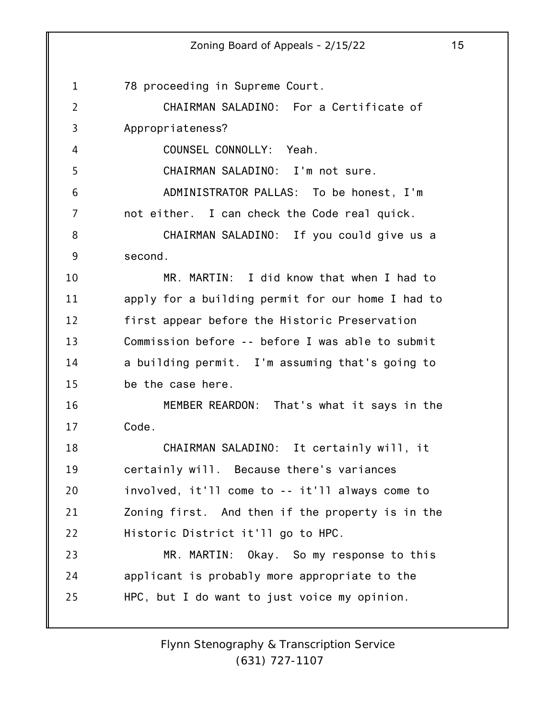1 2 3 4 5 6 7 8 9 10 11 12 13 14 15 16 17 18 19 20 21 22 23 24 25 78 proceeding in Supreme Court. CHAIRMAN SALADINO: For a Certificate of Appropriateness? COUNSEL CONNOLLY: Yeah. CHAIRMAN SALADINO: I'm not sure. ADMINISTRATOR PALLAS: To be honest, I'm not either. I can check the Code real quick. CHAIRMAN SALADINO: If you could give us a second. MR. MARTIN: I did know that when I had to apply for a building permit for our home I had to first appear before the Historic Preservation Commission before -- before I was able to submit a building permit. I'm assuming that's going to be the case here. MEMBER REARDON: That's what it says in the Code. CHAIRMAN SALADINO: It certainly will, it certainly will. Because there's variances involved, it'll come to -- it'll always come to Zoning first. And then if the property is in the Historic District it'll go to HPC. MR. MARTIN: Okay. So my response to this applicant is probably more appropriate to the HPC, but I do want to just voice my opinion.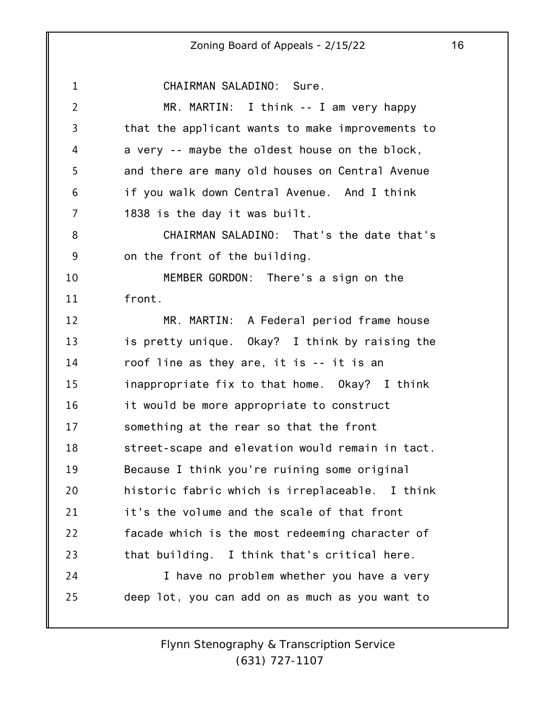1 2 3 4 5 6 7 8 9 10 11 12 13 14 15 16 17 18 19 20 21 22 23 24 25 CHAIRMAN SALADINO: Sure. MR. MARTIN: I think -- I am very happy that the applicant wants to make improvements to a very -- maybe the oldest house on the block, and there are many old houses on Central Avenue if you walk down Central Avenue. And I think 1838 is the day it was built. CHAIRMAN SALADINO: That's the date that's on the front of the building. MEMBER GORDON: There's a sign on the front. MR. MARTIN: A Federal period frame house is pretty unique. Okay? I think by raising the roof line as they are, it is -- it is an inappropriate fix to that home. Okay? I think it would be more appropriate to construct something at the rear so that the front street-scape and elevation would remain in tact. Because I think you're ruining some original historic fabric which is irreplaceable. I think it's the volume and the scale of that front facade which is the most redeeming character of that building. I think that's critical here. I have no problem whether you have a very deep lot, you can add on as much as you want to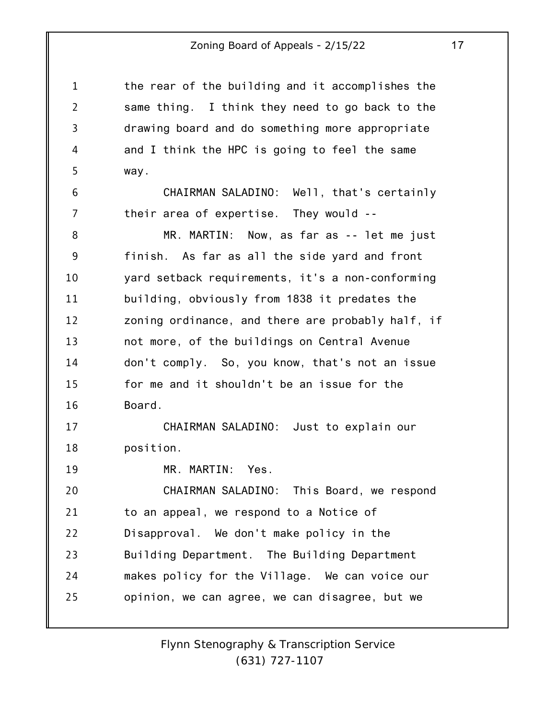the rear of the building and it accomplishes the same thing. I think they need to go back to the drawing board and do something more appropriate and I think the HPC is going to feel the same way.

1

2

3

4

5

6

7

19

CHAIRMAN SALADINO: Well, that's certainly their area of expertise. They would --

8 9 10 11 12 13 14 15 16 MR. MARTIN: Now, as far as -- let me just finish. As far as all the side yard and front yard setback requirements, it's a non-conforming building, obviously from 1838 it predates the zoning ordinance, and there are probably half, if not more, of the buildings on Central Avenue don't comply. So, you know, that's not an issue for me and it shouldn't be an issue for the Board.

17 18 CHAIRMAN SALADINO: Just to explain our position.

MR. MARTIN: Yes.

20 21 22 23 24 25 CHAIRMAN SALADINO: This Board, we respond to an appeal, we respond to a Notice of Disapproval. We don't make policy in the Building Department. The Building Department makes policy for the Village. We can voice our opinion, we can agree, we can disagree, but we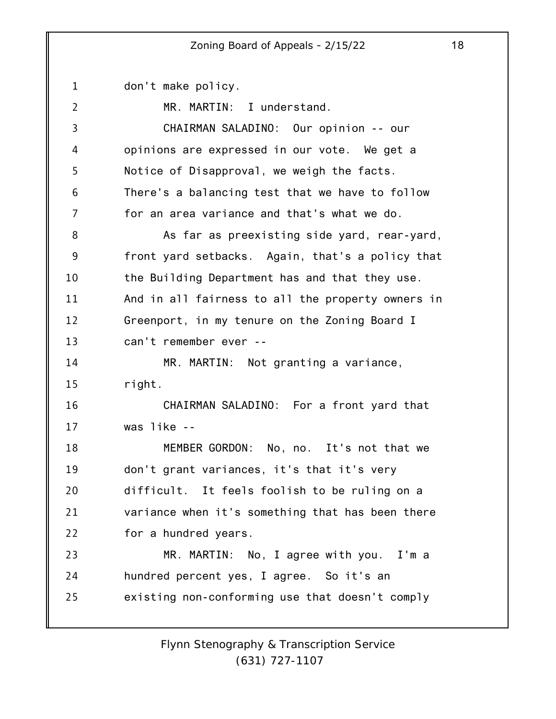1 2 3 4 5 6 7 8 9 10 11 12 13 14 15 16 17 18 19 20 21 22 23 24 25 don't make policy. MR. MARTIN: I understand. CHAIRMAN SALADINO: Our opinion -- our opinions are expressed in our vote. We get a Notice of Disapproval, we weigh the facts. There's a balancing test that we have to follow for an area variance and that's what we do. As far as preexisting side yard, rear-yard, front yard setbacks. Again, that's a policy that the Building Department has and that they use. And in all fairness to all the property owners in Greenport, in my tenure on the Zoning Board I can't remember ever -- MR. MARTIN: Not granting a variance, right. CHAIRMAN SALADINO: For a front yard that was like -- MEMBER GORDON: No, no. It's not that we don't grant variances, it's that it's very difficult. It feels foolish to be ruling on a variance when it's something that has been there for a hundred years. MR. MARTIN: No, I agree with you. I'm a hundred percent yes, I agree. So it's an existing non-conforming use that doesn't comply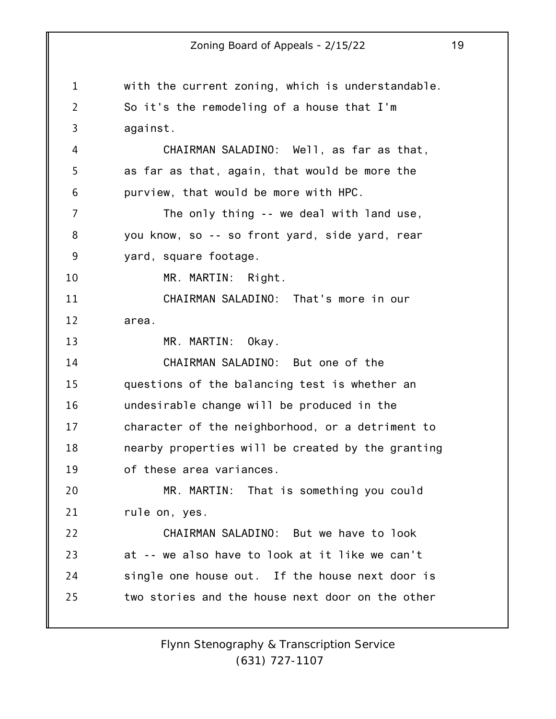1 2 3 4 5 6 7 8 9 10 11 12 13 14 15 16 17 18 19 20 21 22 23 24 25 with the current zoning, which is understandable. So it's the remodeling of a house that I'm against. CHAIRMAN SALADINO: Well, as far as that, as far as that, again, that would be more the purview, that would be more with HPC. The only thing -- we deal with land use, you know, so -- so front yard, side yard, rear yard, square footage. MR. MARTIN: Right. CHAIRMAN SALADINO: That's more in our area. MR. MARTIN: Okay. CHAIRMAN SALADINO: But one of the questions of the balancing test is whether an undesirable change will be produced in the character of the neighborhood, or a detriment to nearby properties will be created by the granting of these area variances. MR. MARTIN: That is something you could rule on, yes. CHAIRMAN SALADINO: But we have to look at -- we also have to look at it like we can't single one house out. If the house next door is two stories and the house next door on the other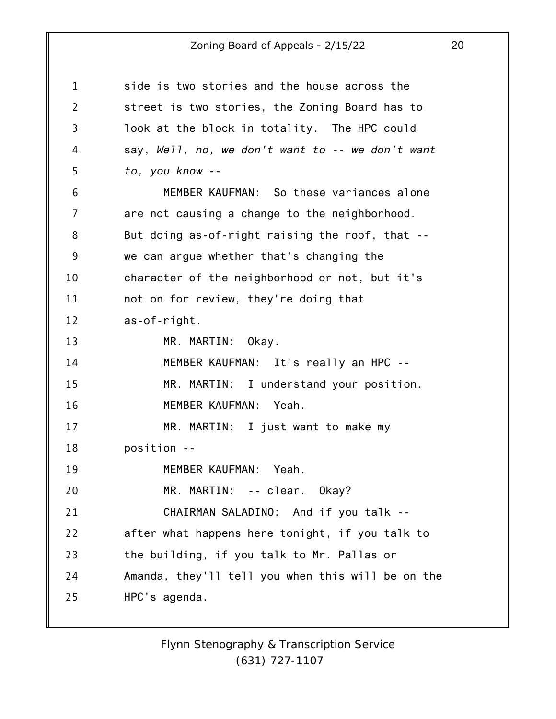| 1              | side is two stories and the house across the      |
|----------------|---------------------------------------------------|
| $\overline{2}$ | street is two stories, the Zoning Board has to    |
| $\overline{3}$ | look at the block in totality. The HPC could      |
| 4              | say, Well, no, we don't want to -- we don't want  |
| 5              | to, you know --                                   |
| 6              | MEMBER KAUFMAN: So these variances alone          |
| 7              | are not causing a change to the neighborhood.     |
| 8              | But doing as-of-right raising the roof, that --   |
| 9              | we can argue whether that's changing the          |
| 10             | character of the neighborhood or not, but it's    |
| 11             | not on for review, they're doing that             |
| 12             | as-of-right.                                      |
| 13             | MR. MARTIN:<br>Okay.                              |
| 14             | MEMBER KAUFMAN: It's really an HPC --             |
| 15             | MR. MARTIN: I understand your position.           |
| 16             | MEMBER KAUFMAN: Yeah.                             |
| 17             | MR. MARTIN: I just want to make my                |
| 18             | position --                                       |
| 19             | MEMBER KAUFMAN: Yeah.                             |
| 20             | MR. MARTIN: -- clear. Okay?                       |
| 21             | CHAIRMAN SALADINO: And if you talk --             |
| 22             | after what happens here tonight, if you talk to   |
| 23             | the building, if you talk to Mr. Pallas or        |
| 24             | Amanda, they'll tell you when this will be on the |
| 25             | HPC's agenda.                                     |
|                |                                                   |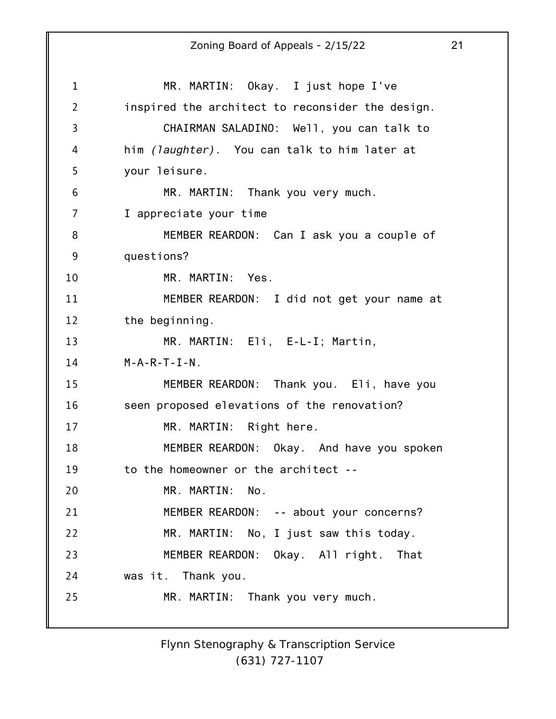1 2 3 4 5 6 7 8 9 10 11 12 13 14 15 16 17 18 19 20 21 22 23 24 25 Zoning Board of Appeals - 2/15/22 21 MR. MARTIN: Okay. I just hope I've inspired the architect to reconsider the design. CHAIRMAN SALADINO: Well, you can talk to him *(laughter).* You can talk to him later at your leisure. MR. MARTIN: Thank you very much. I appreciate your time MEMBER REARDON: Can I ask you a couple of questions? MR. MARTIN: Yes. MEMBER REARDON: I did not get your name at the beginning. MR. MARTIN: Eli, E-L-I; Martin,  $M-A-R-T-I-N$ . MEMBER REARDON: Thank you. Eli, have you seen proposed elevations of the renovation? MR. MARTIN: Right here. MEMBER REARDON: Okay. And have you spoken to the homeowner or the architect -- MR. MARTIN: No. MEMBER REARDON: -- about your concerns? MR. MARTIN: No, I just saw this today. MEMBER REARDON: Okay. All right. That was it. Thank you. MR. MARTIN: Thank you very much.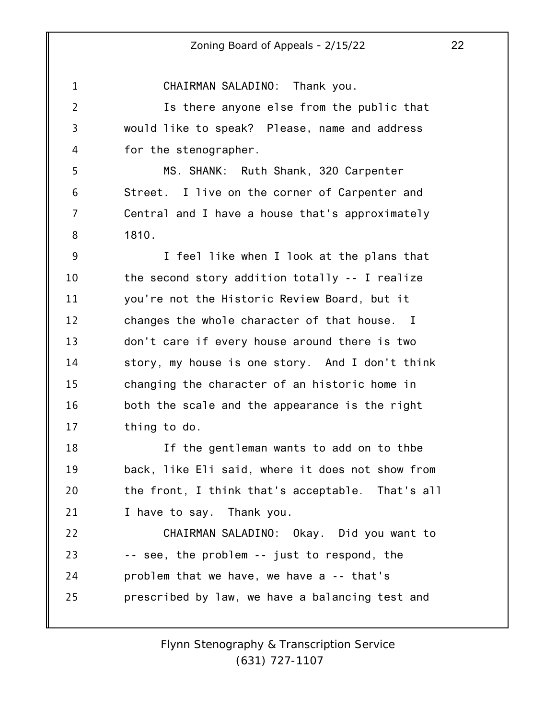1 2 3 4 5 6 7 8 9 10 11 12 13 14 15 16 17 18 19 20 21 22 23 24 25 CHAIRMAN SALADINO: Thank you. Is there anyone else from the public that would like to speak? Please, name and address for the stenographer. MS. SHANK: Ruth Shank, 320 Carpenter Street. I live on the corner of Carpenter and Central and I have a house that's approximately 1810. I feel like when I look at the plans that the second story addition totally -- I realize you're not the Historic Review Board, but it changes the whole character of that house. I don't care if every house around there is two story, my house is one story. And I don't think changing the character of an historic home in both the scale and the appearance is the right thing to do. If the gentleman wants to add on to thbe back, like Eli said, where it does not show from the front, I think that's acceptable. That's all I have to say. Thank you. CHAIRMAN SALADINO: Okay. Did you want to -- see, the problem -- just to respond, the problem that we have, we have a -- that's prescribed by law, we have a balancing test and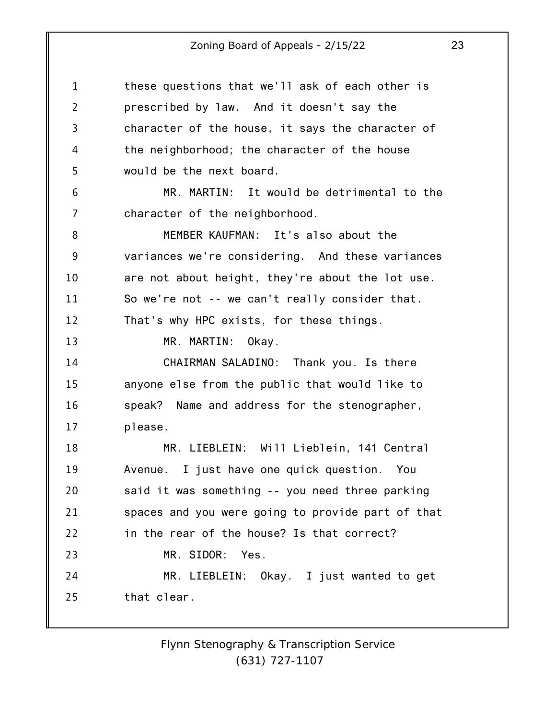1 2 3 4 5 6 7 8 9 10 11 12 13 14 15 16 17 18 19 20 21 22 23 24 25 these questions that we'll ask of each other is prescribed by law. And it doesn't say the character of the house, it says the character of the neighborhood; the character of the house would be the next board. MR. MARTIN: It would be detrimental to the character of the neighborhood. MEMBER KAUFMAN: It's also about the variances we're considering. And these variances are not about height, they're about the lot use. So we're not -- we can't really consider that. That's why HPC exists, for these things. MR. MARTIN: Okay. CHAIRMAN SALADINO: Thank you. Is there anyone else from the public that would like to speak? Name and address for the stenographer, please. MR. LIEBLEIN: Will Lieblein, 141 Central Avenue. I just have one quick question. You said it was something -- you need three parking spaces and you were going to provide part of that in the rear of the house? Is that correct? MR. SIDOR: Yes. MR. LIEBLEIN: Okay. I just wanted to get that clear.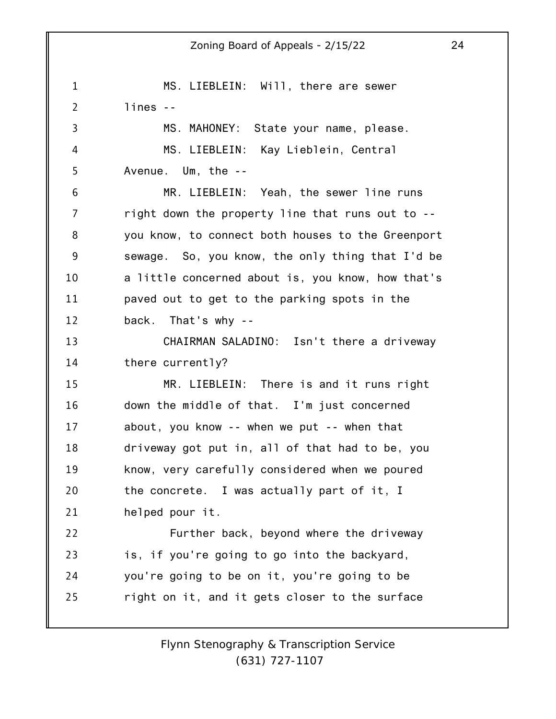1 2 3 4 5 6 7 8 9 10 11 12 13 14 15 16 17 18 19 20 21 22 23 24 25 Zoning Board of Appeals - 2/15/22 24 MS. LIEBLEIN: Will, there are sewer lines -- MS. MAHONEY: State your name, please. MS. LIEBLEIN: Kay Lieblein, Central Avenue. Um, the -- MR. LIEBLEIN: Yeah, the sewer line runs right down the property line that runs out to - you know, to connect both houses to the Greenport sewage. So, you know, the only thing that I'd be a little concerned about is, you know, how that's paved out to get to the parking spots in the back. That's why -- CHAIRMAN SALADINO: Isn't there a driveway there currently? MR. LIEBLEIN: There is and it runs right down the middle of that. I'm just concerned about, you know -- when we put -- when that driveway got put in, all of that had to be, you know, very carefully considered when we poured the concrete. I was actually part of it, I helped pour it. Further back, beyond where the driveway is, if you're going to go into the backyard, you're going to be on it, you're going to be right on it, and it gets closer to the surface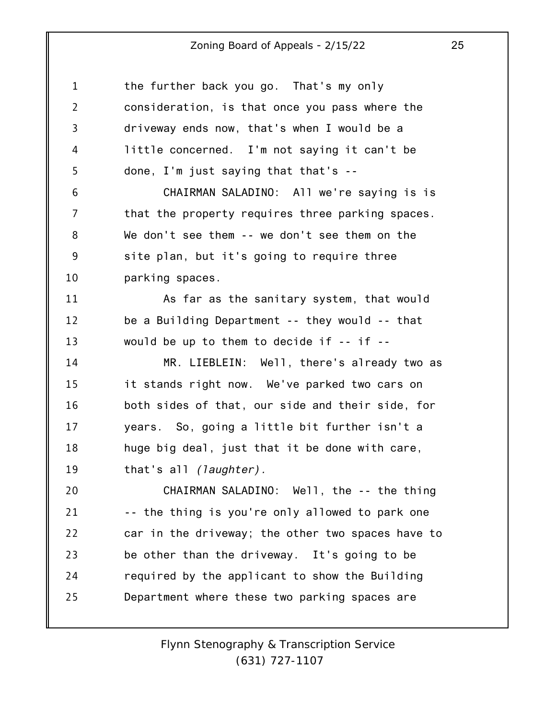| $\mathbf 1$    | the further back you go. That's my only           |
|----------------|---------------------------------------------------|
| $\overline{2}$ | consideration, is that once you pass where the    |
| 3              | driveway ends now, that's when I would be a       |
| 4              | little concerned. I'm not saying it can't be      |
| 5              | done, I'm just saying that that's --              |
| 6              | CHAIRMAN SALADINO: All we're saying is is         |
| 7              | that the property requires three parking spaces.  |
| 8              | We don't see them -- we don't see them on the     |
| 9              | site plan, but it's going to require three        |
| 10             | parking spaces.                                   |
| 11             | As far as the sanitary system, that would         |
| 12             | be a Building Department -- they would -- that    |
| 13             | would be up to them to decide if -- if --         |
| 14             | MR. LIEBLEIN: Well, there's already two as        |
| 15             | it stands right now. We've parked two cars on     |
| 16             | both sides of that, our side and their side, for  |
| 17             | years. So, going a little bit further isn't a     |
| 18             | huge big deal, just that it be done with care,    |
| 19             | that's all (laughter).                            |
| 20             | CHAIRMAN SALADINO: Well, the -- the thing         |
| 21             | -- the thing is you're only allowed to park one   |
| 22             | car in the driveway; the other two spaces have to |
| 23             | be other than the driveway. It's going to be      |
| 24             | required by the applicant to show the Building    |
| 25             | Department where these two parking spaces are     |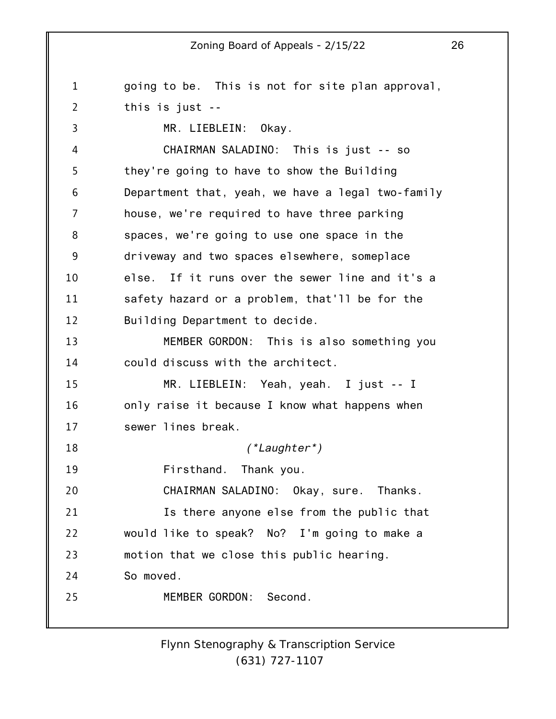1 2 3 4 5 6 7 8 9 10 11 12 13 14 15 16 17 18 19 20 21 22 23 24 25 going to be. This is not for site plan approval, this is just -- MR. LIEBLEIN: Okay. CHAIRMAN SALADINO: This is just -- so they're going to have to show the Building Department that, yeah, we have a legal two-family house, we're required to have three parking spaces, we're going to use one space in the driveway and two spaces elsewhere, someplace else. If it runs over the sewer line and it's a safety hazard or a problem, that'll be for the Building Department to decide. MEMBER GORDON: This is also something you could discuss with the architect. MR. LIEBLEIN: Yeah, yeah. I just -- I only raise it because I know what happens when sewer lines break. *(\*Laughter\*)* Firsthand. Thank you. CHAIRMAN SALADINO: Okay, sure. Thanks. Is there anyone else from the public that would like to speak? No? I'm going to make a motion that we close this public hearing. So moved. MEMBER GORDON: Second.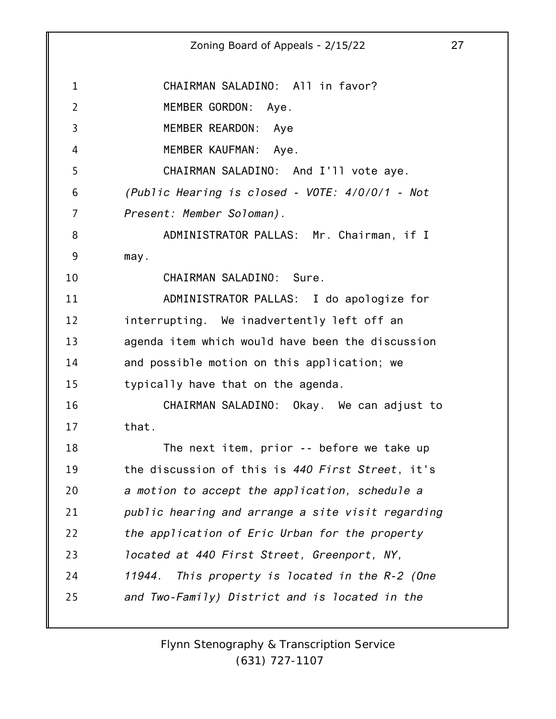1 2 3 4 5 6 7 8 9 10 11 12 13 14 15 16 17 18 19 20 21 22 23 24 25 Zoning Board of Appeals - 2/15/22 27 CHAIRMAN SALADINO: All in favor? MEMBER GORDON: Aye. MEMBER REARDON: Aye MEMBER KAUFMAN: Aye. CHAIRMAN SALADINO: And I'll vote aye. *(Public Hearing is closed - VOTE: 4/0/0/1 - Not Present: Member Soloman).* ADMINISTRATOR PALLAS: Mr. Chairman, if I may. CHAIRMAN SALADINO: Sure. ADMINISTRATOR PALLAS: I do apologize for interrupting. We inadvertently left off an agenda item which would have been the discussion and possible motion on this application; we typically have that on the agenda. CHAIRMAN SALADINO: Okay. We can adjust to that. The next item, prior -- before we take up the discussion of this is *440 First Street*, it's *a motion to accept the application, schedule a public hearing and arrange a site visit regarding the application of Eric Urban for the property located at 440 First Street, Greenport, NY, 11944. This property is located in the R-2 (One and Two-Family) District and is located in the*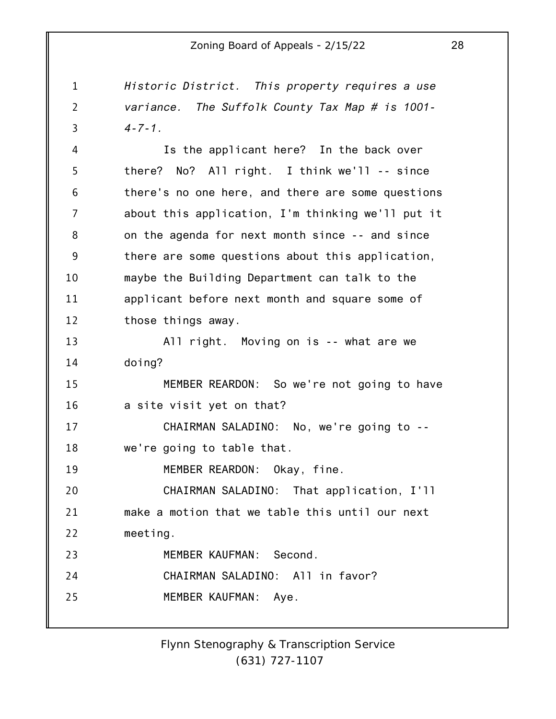1 2 3 4 5 6 7 8 9 10 11 12 13 14 15 16 17 18 19 20 21 22 23 24 25 *Historic District. This property requires a use variance. The Suffolk County Tax Map # is 1001- 4-7-1.* Is the applicant here? In the back over there? No? All right. I think we'll -- since there's no one here, and there are some questions about this application, I'm thinking we'll put it on the agenda for next month since -- and since there are some questions about this application, maybe the Building Department can talk to the applicant before next month and square some of those things away. All right. Moving on is -- what are we doing? MEMBER REARDON: So we're not going to have a site visit yet on that? CHAIRMAN SALADINO: No, we're going to - we're going to table that. MEMBER REARDON: Okay, fine. CHAIRMAN SALADINO: That application, I'll make a motion that we table this until our next meeting. MEMBER KAUFMAN: Second. CHAIRMAN SALADINO: All in favor? MEMBER KAUFMAN: Aye.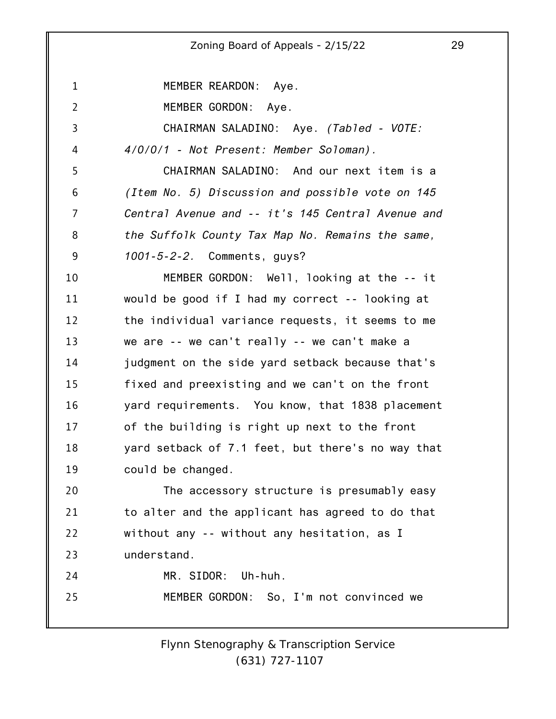1 2 3 4 5 6 7 8 9 10 11 12 13 14 15 16 17 18 19 20 21 22 23 24 25 Zoning Board of Appeals - 2/15/22 29 MEMBER REARDON: Aye. MEMBER GORDON: Aye. CHAIRMAN SALADINO: Aye. *(Tabled - VOTE: 4/0/0/1 - Not Present: Member Soloman).* CHAIRMAN SALADINO: And our next item is a *(Item No. 5) Discussion and possible vote on 145 Central Avenue and -- it's 145 Central Avenue and the Suffolk County Tax Map No. Remains the same, 1001-5-2-2.* Comments, guys? MEMBER GORDON: Well, looking at the -- it would be good if I had my correct -- looking at the individual variance requests, it seems to me we are -- we can't really -- we can't make a judgment on the side yard setback because that's fixed and preexisting and we can't on the front yard requirements. You know, that 1838 placement of the building is right up next to the front yard setback of 7.1 feet, but there's no way that could be changed. The accessory structure is presumably easy to alter and the applicant has agreed to do that without any -- without any hesitation, as I understand. MR. SIDOR: Uh-huh. MEMBER GORDON: So, I'm not convinced we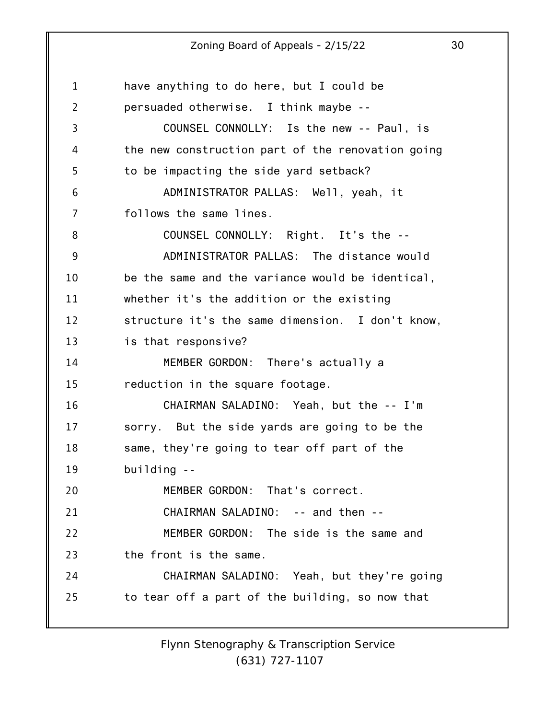1 2 3 4 5 6 7 8 9 10 11 12 13 14 15 16 17 18 19 20 21 22 23 24 25 have anything to do here, but I could be persuaded otherwise. I think maybe -- COUNSEL CONNOLLY: Is the new -- Paul, is the new construction part of the renovation going to be impacting the side yard setback? ADMINISTRATOR PALLAS: Well, yeah, it follows the same lines. COUNSEL CONNOLLY: Right. It's the -- ADMINISTRATOR PALLAS: The distance would be the same and the variance would be identical, whether it's the addition or the existing structure it's the same dimension. I don't know, is that responsive? MEMBER GORDON: There's actually a reduction in the square footage. CHAIRMAN SALADINO: Yeah, but the -- I'm sorry. But the side yards are going to be the same, they're going to tear off part of the building -- MEMBER GORDON: That's correct. CHAIRMAN SALADINO: -- and then -- MEMBER GORDON: The side is the same and the front is the same. CHAIRMAN SALADINO: Yeah, but they're going to tear off a part of the building, so now that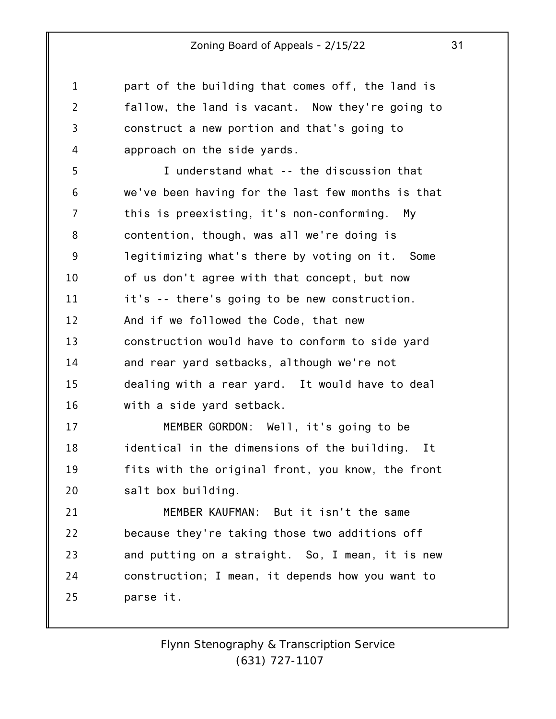part of the building that comes off, the land is fallow, the land is vacant. Now they're going to construct a new portion and that's going to approach on the side yards.

1

2

3

4

5 6 7 8 9 10 11 12 13 14 15 16 I understand what -- the discussion that we've been having for the last few months is that this is preexisting, it's non-conforming. My contention, though, was all we're doing is legitimizing what's there by voting on it. Some of us don't agree with that concept, but now it's -- there's going to be new construction. And if we followed the Code, that new construction would have to conform to side yard and rear yard setbacks, although we're not dealing with a rear yard. It would have to deal with a side yard setback.

17 18 19 20 MEMBER GORDON: Well, it's going to be identical in the dimensions of the building. It fits with the original front, you know, the front salt box building.

21 22 23 24 25 MEMBER KAUFMAN: But it isn't the same because they're taking those two additions off and putting on a straight. So, I mean, it is new construction; I mean, it depends how you want to parse it.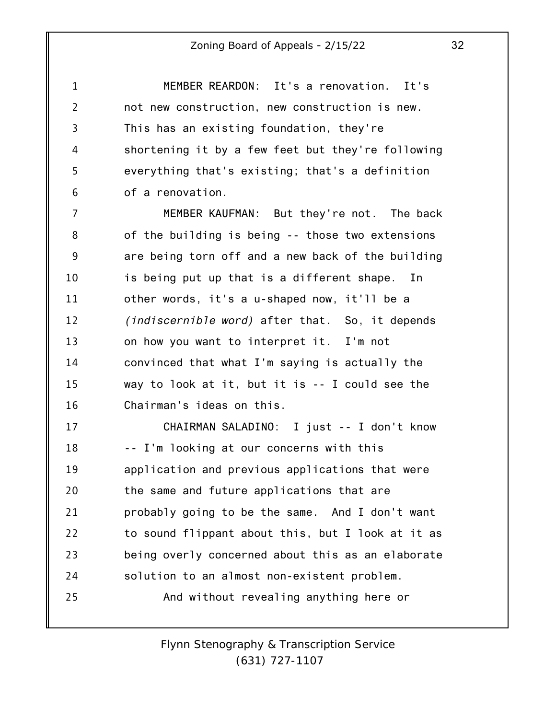1 2 3 4 5 6 MEMBER REARDON: It's a renovation. It's not new construction, new construction is new. This has an existing foundation, they're shortening it by a few feet but they're following everything that's existing; that's a definition of a renovation.

7 8 9 10 11 12 13 14 15 16 MEMBER KAUFMAN: But they're not. The back of the building is being -- those two extensions are being torn off and a new back of the building is being put up that is a different shape. In other words, it's a u-shaped now, it'll be a *(indiscernible word)* after that. So, it depends on how you want to interpret it. I'm not convinced that what I'm saying is actually the way to look at it, but it is -- I could see the Chairman's ideas on this.

17 18 19 20 21 22 23 24 25 CHAIRMAN SALADINO: I just -- I don't know -- I'm looking at our concerns with this application and previous applications that were the same and future applications that are probably going to be the same. And I don't want to sound flippant about this, but I look at it as being overly concerned about this as an elaborate solution to an almost non-existent problem. And without revealing anything here or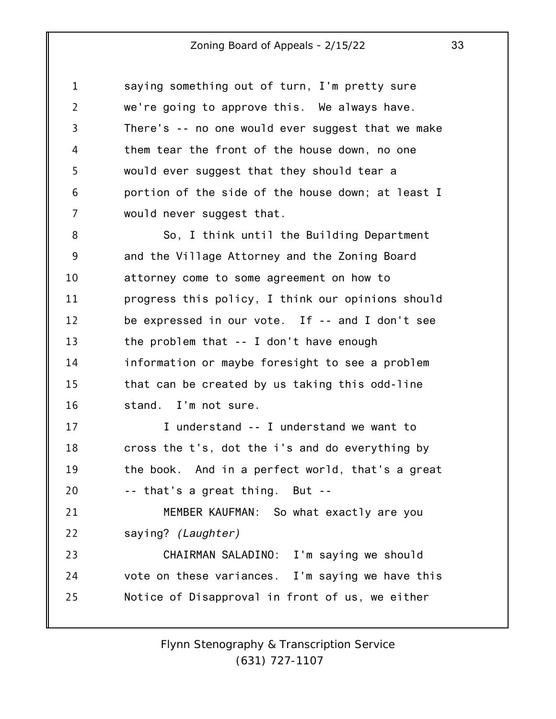| $\mathbf{1}$   | saying something out of turn, I'm pretty sure     |
|----------------|---------------------------------------------------|
| $\overline{2}$ | we're going to approve this. We always have.      |
| 3              | There's -- no one would ever suggest that we make |
| 4              | them tear the front of the house down, no one     |
| 5              | would ever suggest that they should tear a        |
| 6              | portion of the side of the house down; at least I |
| 7              | would never suggest that.                         |
| 8              | So, I think until the Building Department         |
| 9              | and the Village Attorney and the Zoning Board     |
| 10             | attorney come to some agreement on how to         |
| 11             | progress this policy, I think our opinions should |
| 12             | be expressed in our vote. If -- and I don't see   |
| 13             | the problem that $-$ I don't have enough          |
| 14             | information or maybe foresight to see a problem   |
| 15             | that can be created by us taking this odd-line    |
| 16             | stand. I'm not sure.                              |
| 17             | I understand -- I understand we want to           |
| 18             | cross the t's, dot the i's and do everything by   |
| 19             | the book. And in a perfect world, that's a great  |
| 20             | -- that's a great thing. But --                   |
| 21             | MEMBER KAUFMAN: So what exactly are you           |
| 22             | saying? (Laughter)                                |
| 23             | CHAIRMAN SALADINO: I'm saying we should           |
| 24             | vote on these variances. I'm saying we have this  |
| 25             | Notice of Disapproval in front of us, we either   |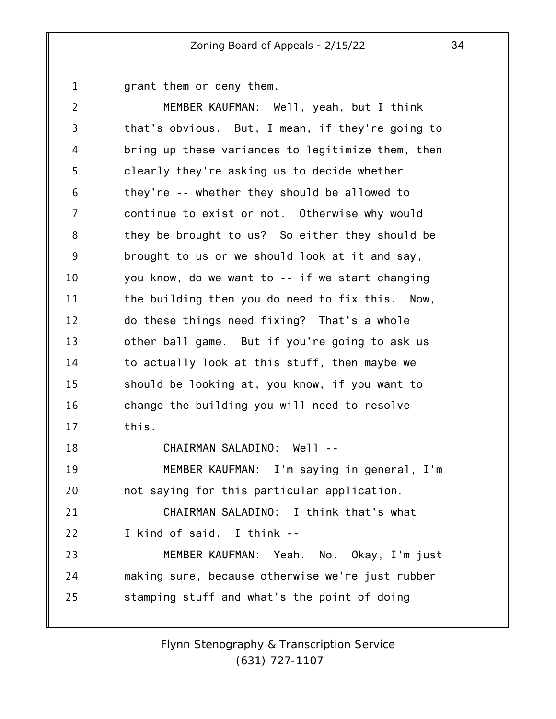1 grant them or deny them.

2 3 4 5 6 7 8 9 10 11 12 13 14 15 16 17 18 19 20 21 22 23 24 25 MEMBER KAUFMAN: Well, yeah, but I think that's obvious. But, I mean, if they're going to bring up these variances to legitimize them, then clearly they're asking us to decide whether they're -- whether they should be allowed to continue to exist or not. Otherwise why would they be brought to us? So either they should be brought to us or we should look at it and say, you know, do we want to -- if we start changing the building then you do need to fix this. Now, do these things need fixing? That's a whole other ball game. But if you're going to ask us to actually look at this stuff, then maybe we should be looking at, you know, if you want to change the building you will need to resolve this. CHAIRMAN SALADINO: Well -- MEMBER KAUFMAN: I'm saying in general, I'm not saying for this particular application. CHAIRMAN SALADINO: I think that's what I kind of said. I think -- MEMBER KAUFMAN: Yeah. No. Okay, I'm just making sure, because otherwise we're just rubber stamping stuff and what's the point of doing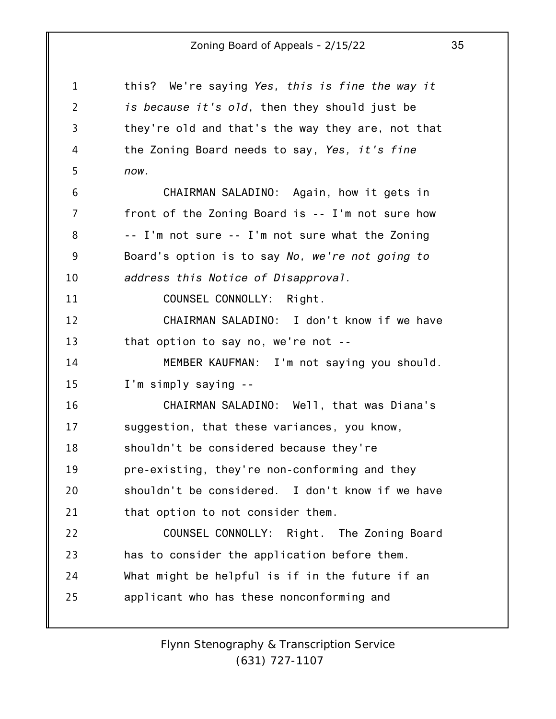| 1              | this? We're saying Yes, this is fine the way it   |
|----------------|---------------------------------------------------|
| $\overline{2}$ | is because it's old, then they should just be     |
| 3              | they're old and that's the way they are, not that |
| 4              | the Zoning Board needs to say, Yes, it's fine     |
| 5              | now.                                              |
| 6              | CHAIRMAN SALADINO: Again, how it gets in          |
| 7              | front of the Zoning Board is -- I'm not sure how  |
| 8              | -- I'm not sure -- I'm not sure what the Zoning   |
| 9              | Board's option is to say No, we're not going to   |
| 10             | address this Notice of Disapproval.               |
| 11             | COUNSEL CONNOLLY: Right.                          |
| 12             | CHAIRMAN SALADINO: I don't know if we have        |
| 13             | that option to say no, we're not --               |
| 14             | MEMBER KAUFMAN: I'm not saying you should.        |
| 15             | I'm simply saying --                              |
| 16             | CHAIRMAN SALADINO: Well, that was Diana's         |
| 17             | suggestion, that these variances, you know,       |
| 18             | shouldn't be considered because they're           |
| 19             | pre-existing, they're non-conforming and they     |
| 20             | shouldn't be considered. I don't know if we have  |
| 21             | that option to not consider them.                 |
| 22             | COUNSEL CONNOLLY: Right. The Zoning Board         |
| 23             | has to consider the application before them.      |
| 24             | What might be helpful is if in the future if an   |
| 25             | applicant who has these nonconforming and         |
|                |                                                   |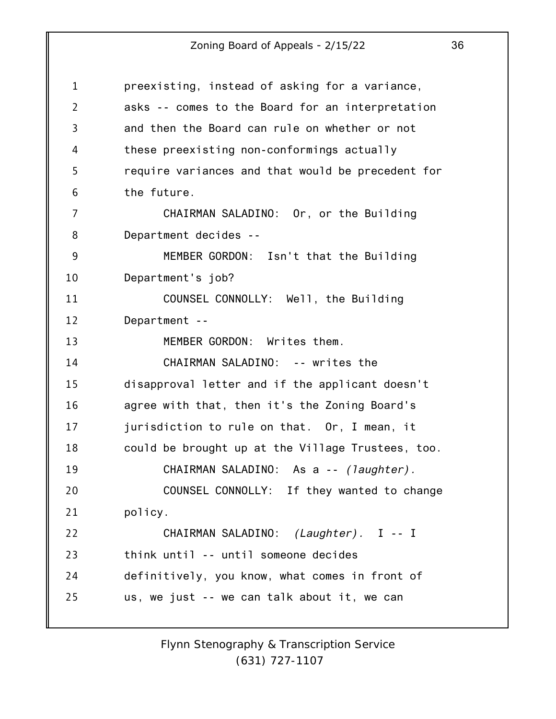| $\mathbf{1}$   | preexisting, instead of asking for a variance,    |
|----------------|---------------------------------------------------|
| $\overline{2}$ | asks -- comes to the Board for an interpretation  |
| $\overline{3}$ | and then the Board can rule on whether or not     |
| 4              | these preexisting non-conformings actually        |
| 5              | require variances and that would be precedent for |
| 6              | the future.                                       |
| $\overline{7}$ | CHAIRMAN SALADINO: Or, or the Building            |
| 8              | Department decides --                             |
| 9              | MEMBER GORDON: Isn't that the Building            |
| 10             | Department's job?                                 |
| 11             | COUNSEL CONNOLLY: Well, the Building              |
| 12             | Department --                                     |
| 13             | MEMBER GORDON: Writes them.                       |
| 14             | CHAIRMAN SALADINO: -- writes the                  |
| 15             | disapproval letter and if the applicant doesn't   |
| 16             | agree with that, then it's the Zoning Board's     |
| 17             | jurisdiction to rule on that. Or, I mean, it      |
| 18             | could be brought up at the Village Trustees, too. |
| 19             | CHAIRMAN SALADINO: As a -- (laughter).            |
| 20             | COUNSEL CONNOLLY: If they wanted to change        |
| 21             | policy.                                           |
| 22             | CHAIRMAN SALADINO: (Laughter). I -- I             |
| 23             | think until -- until someone decides              |
| 24             | definitively, you know, what comes in front of    |
| 25             | us, we just -- we can talk about it, we can       |
|                |                                                   |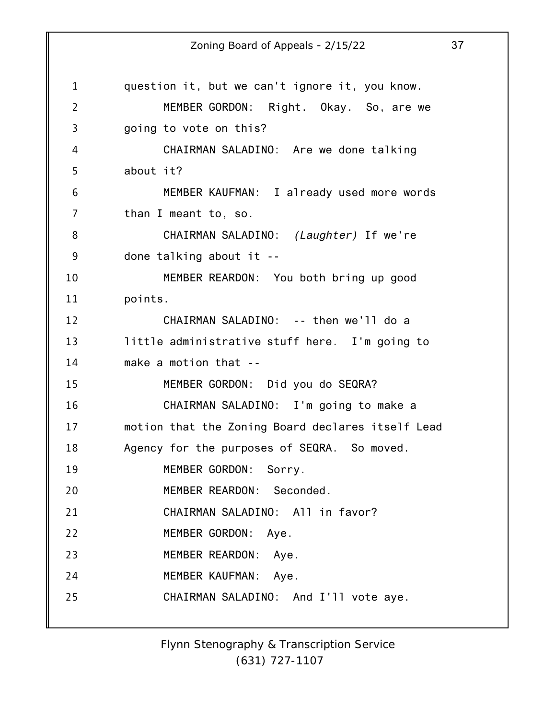1 2 3 4 5 6 7 8 9 10 11 12 13 14 15 16 17 18 19 20 21 22 23 24 25 Zoning Board of Appeals - 2/15/22 37 question it, but we can't ignore it, you know. MEMBER GORDON: Right. Okay. So, are we going to vote on this? CHAIRMAN SALADINO: Are we done talking about it? MEMBER KAUFMAN: I already used more words than I meant to, so. CHAIRMAN SALADINO: *(Laughter)* If we're done talking about it -- MEMBER REARDON: You both bring up good points. CHAIRMAN SALADINO: -- then we'll do a little administrative stuff here. I'm going to make a motion that -- MEMBER GORDON: Did you do SEQRA? CHAIRMAN SALADINO: I'm going to make a motion that the Zoning Board declares itself Lead Agency for the purposes of SEQRA. So moved. MEMBER GORDON: Sorry. MEMBER REARDON: Seconded. CHAIRMAN SALADINO: All in favor? MEMBER GORDON: Aye. MEMBER REARDON: Aye. MEMBER KAUFMAN: Aye. CHAIRMAN SALADINO: And I'll vote aye.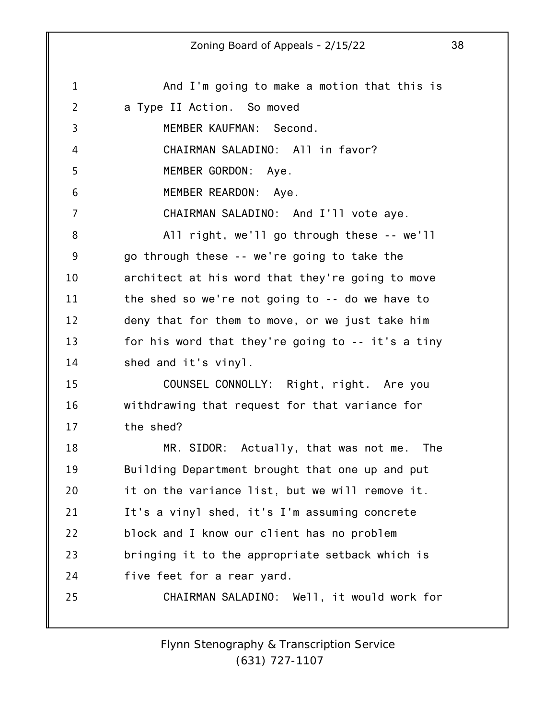1 2 3 4 5 6 7 8 9 10 11 12 13 14 15 16 17 18 19 20 21 22 23 24 25 Zoning Board of Appeals - 2/15/22 38 And I'm going to make a motion that this is a Type II Action. So moved MEMBER KAUFMAN: Second. CHAIRMAN SALADINO: All in favor? MEMBER GORDON: Aye. MEMBER REARDON: Aye. CHAIRMAN SALADINO: And I'll vote aye. All right, we'll go through these -- we'll go through these -- we're going to take the architect at his word that they're going to move the shed so we're not going to -- do we have to deny that for them to move, or we just take him for his word that they're going to -- it's a tiny shed and it's vinyl. COUNSEL CONNOLLY: Right, right. Are you withdrawing that request for that variance for the shed? MR. SIDOR: Actually, that was not me. The Building Department brought that one up and put it on the variance list, but we will remove it. It's a vinyl shed, it's I'm assuming concrete block and I know our client has no problem bringing it to the appropriate setback which is five feet for a rear yard. CHAIRMAN SALADINO: Well, it would work for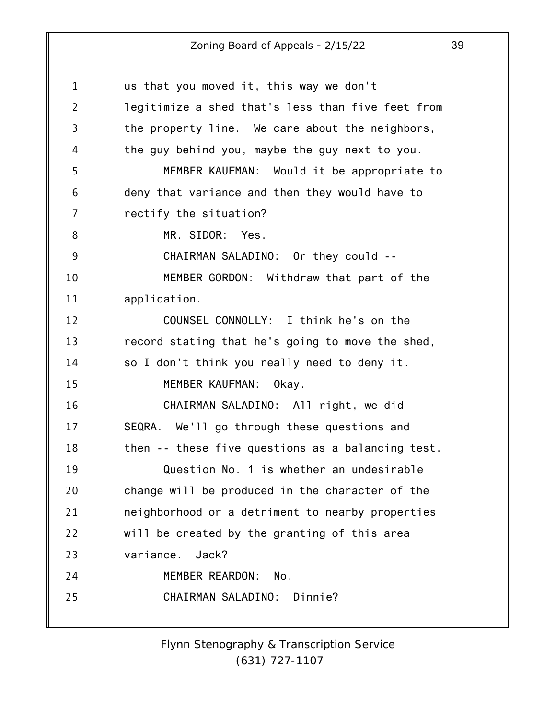| 1              | us that you moved it, this way we don't           |
|----------------|---------------------------------------------------|
| $\overline{2}$ | legitimize a shed that's less than five feet from |
| $\overline{3}$ | the property line. We care about the neighbors,   |
| 4              | the guy behind you, maybe the guy next to you.    |
| 5              | MEMBER KAUFMAN: Would it be appropriate to        |
| 6              | deny that variance and then they would have to    |
| 7              | rectify the situation?                            |
| 8              | MR. SIDOR: Yes.                                   |
| 9              | CHAIRMAN SALADINO: Or they could --               |
| 10             | MEMBER GORDON: Withdraw that part of the          |
| 11             | application.                                      |
| 12             | COUNSEL CONNOLLY: I think he's on the             |
| 13             | record stating that he's going to move the shed,  |
| 14             | so I don't think you really need to deny it.      |
| 15             | MEMBER KAUFMAN:<br>Okay.                          |
| 16             | CHAIRMAN SALADINO: All right, we did              |
| 17             | SEQRA. We'll go through these questions and       |
| 18             | then -- these five questions as a balancing test. |
| 19             | Question No. 1 is whether an undesirable          |
| 20             | change will be produced in the character of the   |
| 21             | neighborhood or a detriment to nearby properties  |
| 22             | will be created by the granting of this area      |
| 23             | variance.<br>Jack?                                |
| 24             | MEMBER REARDON:<br>No.                            |
| 25             | CHAIRMAN SALADINO:<br>Dinnie?                     |
|                |                                                   |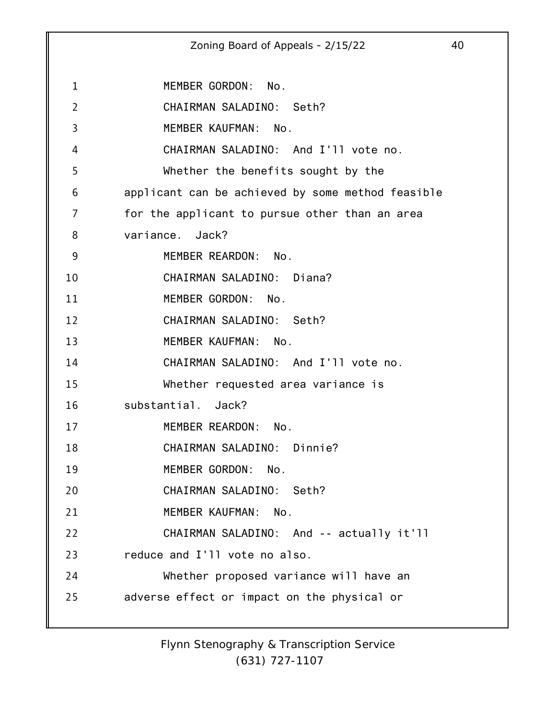1 2 3 4 5 6 7 8 9 10 11 12 13 14 15 16 17 18 19 20 21 22 23 24 25 Zoning Board of Appeals - 2/15/22 40 MEMBER GORDON: No. CHAIRMAN SALADINO: Seth? MEMBER KAUFMAN: No. CHAIRMAN SALADINO: And I'll vote no. Whether the benefits sought by the applicant can be achieved by some method feasible for the applicant to pursue other than an area variance. Jack? MEMBER REARDON: No. CHAIRMAN SALADINO: Diana? MEMBER GORDON: No. CHAIRMAN SALADINO: Seth? MEMBER KAUFMAN: No. CHAIRMAN SALADINO: And I'll vote no. Whether requested area variance is substantial. Jack? MEMBER REARDON: No. CHAIRMAN SALADINO: Dinnie? MEMBER GORDON: No. CHAIRMAN SALADINO: Seth? MEMBER KAUFMAN: No. CHAIRMAN SALADINO: And -- actually it'll reduce and I'll vote no also. Whether proposed variance will have an adverse effect or impact on the physical or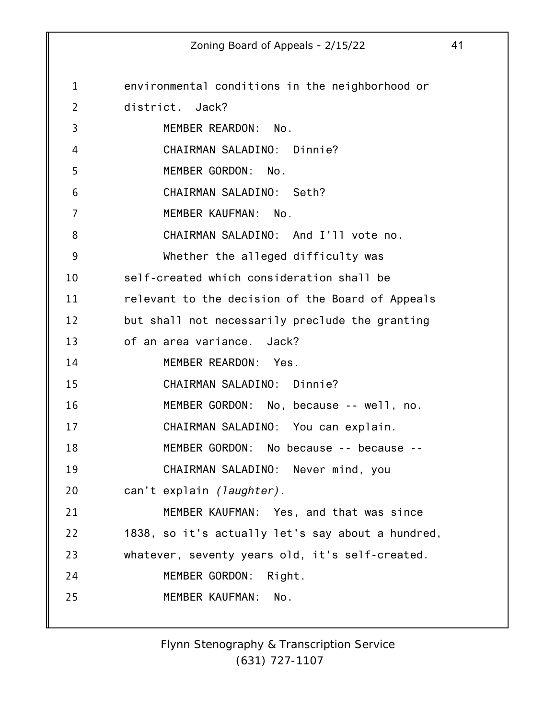1 2 3 4 5 6 7 8 9 10 11 12 13 14 15 16 17 18 19 20 21 22 23 24 25 environmental conditions in the neighborhood or district. Jack? MEMBER REARDON: No. CHAIRMAN SALADINO: Dinnie? MEMBER GORDON: No. CHAIRMAN SALADINO: Seth? MEMBER KAUFMAN: No. CHAIRMAN SALADINO: And I'll vote no. Whether the alleged difficulty was self-created which consideration shall be relevant to the decision of the Board of Appeals but shall not necessarily preclude the granting of an area variance. Jack? MEMBER REARDON: Yes. CHAIRMAN SALADINO: Dinnie? MEMBER GORDON: No, because -- well, no. CHAIRMAN SALADINO: You can explain. MEMBER GORDON: No because -- because -- CHAIRMAN SALADINO: Never mind, you can't explain *(laughter).* MEMBER KAUFMAN: Yes, and that was since 1838, so it's actually let's say about a hundred, whatever, seventy years old, it's self-created. MEMBER GORDON: Right. MEMBER KAUFMAN: No.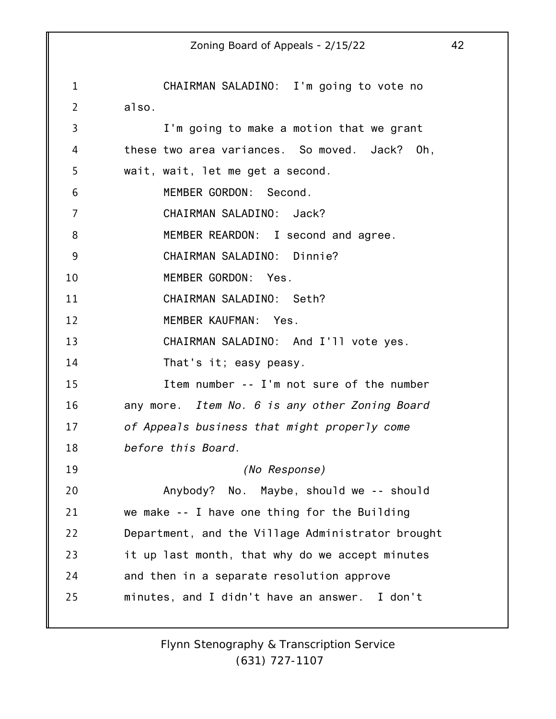|                | 42<br>Zoning Board of Appeals - 2/15/22           |
|----------------|---------------------------------------------------|
|                |                                                   |
| $\mathbf{1}$   | CHAIRMAN SALADINO: I'm going to vote no           |
| $\overline{2}$ | also.                                             |
| 3              | I'm going to make a motion that we grant          |
| 4              | these two area variances. So moved. Jack? Oh,     |
| 5              | wait, wait, let me get a second.                  |
| 6              | MEMBER GORDON: Second.                            |
| 7              | CHAIRMAN SALADINO: Jack?                          |
| 8              | MEMBER REARDON: I second and agree.               |
| 9              | CHAIRMAN SALADINO: Dinnie?                        |
| 10             | MEMBER GORDON: Yes.                               |
| 11             | CHAIRMAN SALADINO: Seth?                          |
| 12             | MEMBER KAUFMAN: Yes.                              |
| 13             | CHAIRMAN SALADINO: And I'll vote yes.             |
| 14             | That's it; easy peasy.                            |
| 15             | Item number -- I'm not sure of the number         |
| 16             | any more. Item No. 6 is any other Zoning Board    |
| 17             | of Appeals business that might properly come      |
| 18             | before this Board.                                |
| 19             | (No Response)                                     |
| 20             | Anybody? No. Maybe, should we -- should           |
| 21             | we make -- I have one thing for the Building      |
| 22             | Department, and the Village Administrator brought |
| 23             | it up last month, that why do we accept minutes   |
| 24             | and then in a separate resolution approve         |
| 25             | minutes, and I didn't have an answer. I don't     |
|                |                                                   |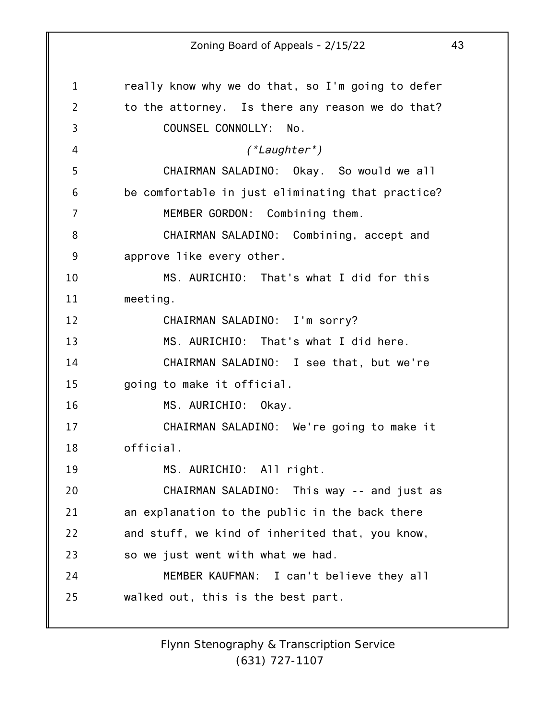1 2 3 4 5 6 7 8 9 10 11 12 13 14 15 16 17 18 19 20 21 22 23 24 25 really know why we do that, so I'm going to defer to the attorney. Is there any reason we do that? COUNSEL CONNOLLY: No. *(\*Laughter\*)* CHAIRMAN SALADINO: Okay. So would we all be comfortable in just eliminating that practice? MEMBER GORDON: Combining them. CHAIRMAN SALADINO: Combining, accept and approve like every other. MS. AURICHIO: That's what I did for this meeting. CHAIRMAN SALADINO: I'm sorry? MS. AURICHIO: That's what I did here. CHAIRMAN SALADINO: I see that, but we're going to make it official. MS. AURICHIO: Okay. CHAIRMAN SALADINO: We're going to make it official. MS. AURICHIO: All right. CHAIRMAN SALADINO: This way -- and just as an explanation to the public in the back there and stuff, we kind of inherited that, you know, so we just went with what we had. MEMBER KAUFMAN: I can't believe they all walked out, this is the best part.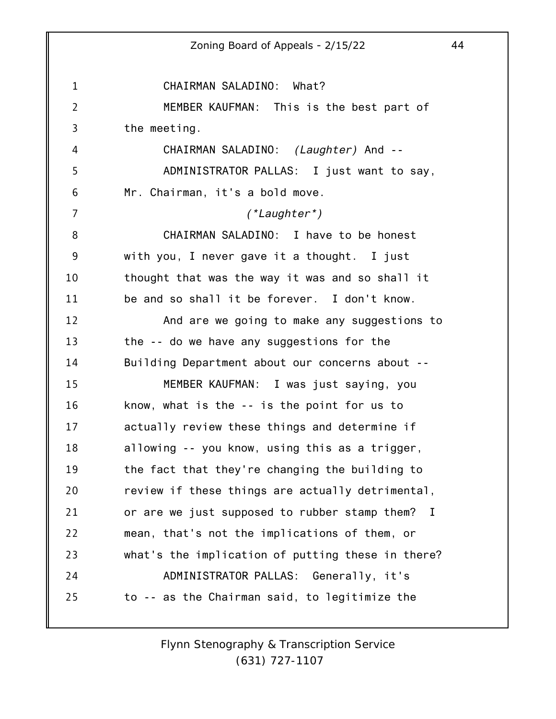1 2 3 4 5 6 7 8 9 10 11 12 13 14 15 16 17 18 19 20 21 22 23 24 25 Zoning Board of Appeals - 2/15/22 44 CHAIRMAN SALADINO: What? MEMBER KAUFMAN: This is the best part of the meeting. CHAIRMAN SALADINO: *(Laughter)* And -- ADMINISTRATOR PALLAS: I just want to say, Mr. Chairman, it's a bold move. *(\*Laughter\*)* CHAIRMAN SALADINO: I have to be honest with you, I never gave it a thought. I just thought that was the way it was and so shall it be and so shall it be forever. I don't know. And are we going to make any suggestions to the -- do we have any suggestions for the Building Department about our concerns about -- MEMBER KAUFMAN: I was just saying, you know, what is the -- is the point for us to actually review these things and determine if allowing -- you know, using this as a trigger, the fact that they're changing the building to review if these things are actually detrimental, or are we just supposed to rubber stamp them? I mean, that's not the implications of them, or what's the implication of putting these in there? ADMINISTRATOR PALLAS: Generally, it's to -- as the Chairman said, to legitimize the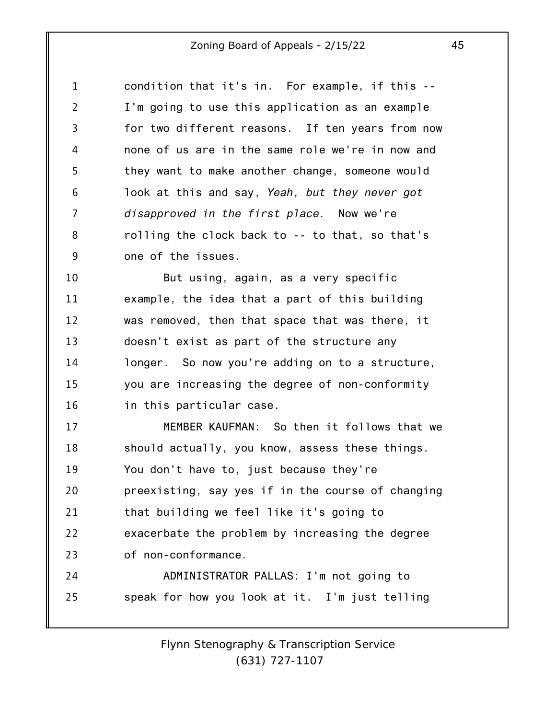1 2 3 4 5 6 7 8 9 condition that it's in. For example, if this -- I'm going to use this application as an example for two different reasons. If ten years from now none of us are in the same role we're in now and they want to make another change, someone would look at this and say, *Yeah, but they never got disapproved in the first place.* Now we're rolling the clock back to -- to that, so that's one of the issues.

10 11 12 13 14 15 16 But using, again, as a very specific example, the idea that a part of this building was removed, then that space that was there, it doesn't exist as part of the structure any longer. So now you're adding on to a structure, you are increasing the degree of non-conformity in this particular case.

17 18 19 20 21 22 23 24 25 MEMBER KAUFMAN: So then it follows that we should actually, you know, assess these things. You don't have to, just because they're preexisting, say yes if in the course of changing that building we feel like it's going to exacerbate the problem by increasing the degree of non-conformance. ADMINISTRATOR PALLAS: I'm not going to speak for how you look at it. I'm just telling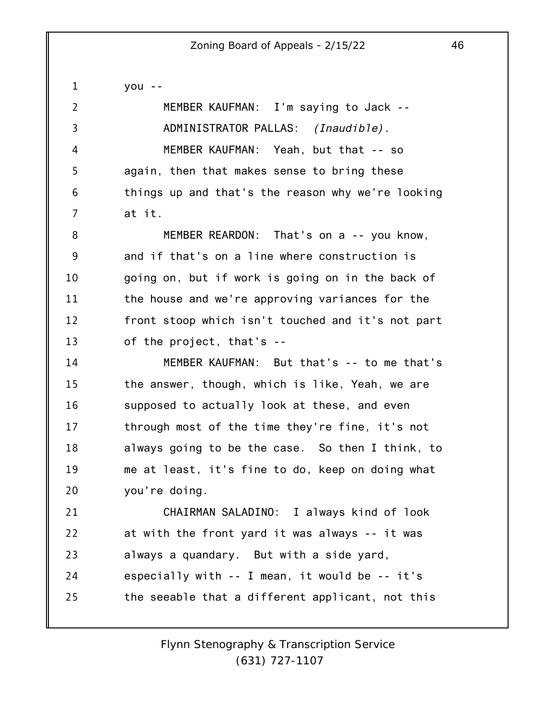| $\mathbf 1$    | $you - -$                                         |
|----------------|---------------------------------------------------|
| $\overline{2}$ | MEMBER KAUFMAN: I'm saying to Jack --             |
| 3              | ADMINISTRATOR PALLAS: <i>(Inaudible)</i> .        |
| 4              | MEMBER KAUFMAN: Yeah, but that -- so              |
| 5              | again, then that makes sense to bring these       |
| 6              | things up and that's the reason why we're looking |
| 7              | at it.                                            |
| 8              | MEMBER REARDON: That's on a -- you know,          |
| 9              | and if that's on a line where construction is     |
| 10             | going on, but if work is going on in the back of  |
| 11             | the house and we're approving variances for the   |
| 12             | front stoop which isn't touched and it's not part |
| 13             | of the project, that's --                         |
| 14             | MEMBER KAUFMAN: But that's -- to me that's        |
| 15             | the answer, though, which is like, Yeah, we are   |
| 16             | supposed to actually look at these, and even      |
| 17             | through most of the time they're fine, it's not   |
| 18             | always going to be the case. So then I think, to  |
| 19             | me at least, it's fine to do, keep on doing what  |
| 20             | you're doing.                                     |
| 21             | CHAIRMAN SALADINO: I always kind of look          |
| 22             | at with the front yard it was always -- it was    |
| 23             | always a quandary. But with a side yard,          |
| 24             | especially with -- I mean, it would be -- it's    |
| 25             | the seeable that a different applicant, not this  |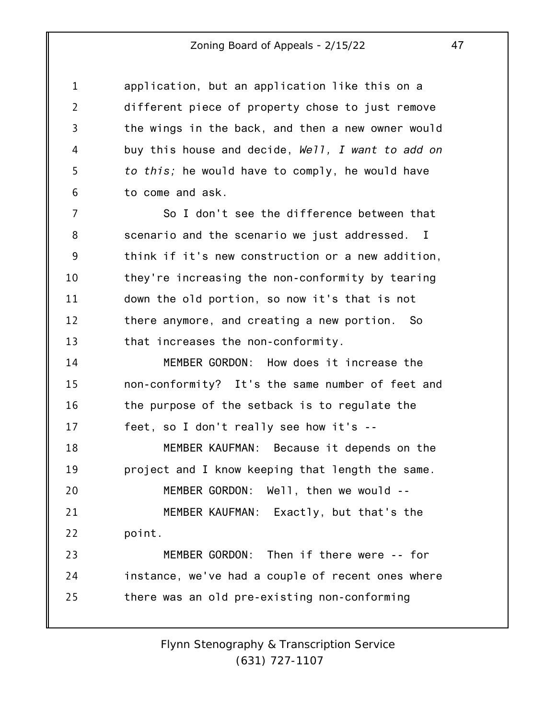1 2 3 4 5 6 application, but an application like this on a different piece of property chose to just remove the wings in the back, and then a new owner would buy this house and decide, *Well, I want to add on to this;* he would have to comply, he would have to come and ask.

7 8 9 10 11 12 13 So I don't see the difference between that scenario and the scenario we just addressed. I think if it's new construction or a new addition, they're increasing the non-conformity by tearing down the old portion, so now it's that is not there anymore, and creating a new portion. So that increases the non-conformity.

14 15 16 17 MEMBER GORDON: How does it increase the non-conformity? It's the same number of feet and the purpose of the setback is to regulate the feet, so I don't really see how it's --

18 19 MEMBER KAUFMAN: Because it depends on the project and I know keeping that length the same.

20 21 22 MEMBER GORDON: Well, then we would -- MEMBER KAUFMAN: Exactly, but that's the point.

23 24 25 MEMBER GORDON: Then if there were -- for instance, we've had a couple of recent ones where there was an old pre-existing non-conforming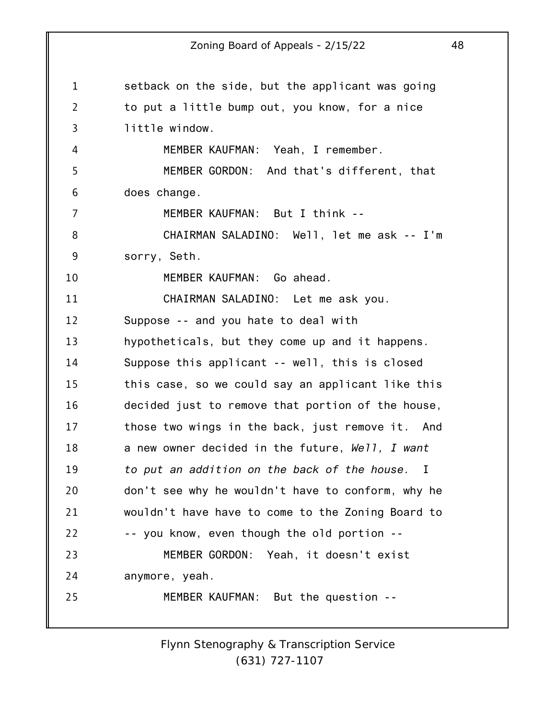1 2 3 4 5 6 7 8 9 10 11 12 13 14 15 16 17 18 19 20 21 22 23 24 25 Zoning Board of Appeals - 2/15/22 48 setback on the side, but the applicant was going to put a little bump out, you know, for a nice little window. MEMBER KAUFMAN: Yeah, I remember. MEMBER GORDON: And that's different, that does change. MEMBER KAUFMAN: But I think -- CHAIRMAN SALADINO: Well, let me ask -- I'm sorry, Seth. MEMBER KAUFMAN: Go ahead. CHAIRMAN SALADINO: Let me ask you. Suppose -- and you hate to deal with hypotheticals, but they come up and it happens. Suppose this applicant -- well, this is closed this case, so we could say an applicant like this decided just to remove that portion of the house, those two wings in the back, just remove it. And a new owner decided in the future, *Well, I want to put an addition on the back of the house.* I don't see why he wouldn't have to conform, why he wouldn't have have to come to the Zoning Board to -- you know, even though the old portion -- MEMBER GORDON: Yeah, it doesn't exist anymore, yeah. MEMBER KAUFMAN: But the question --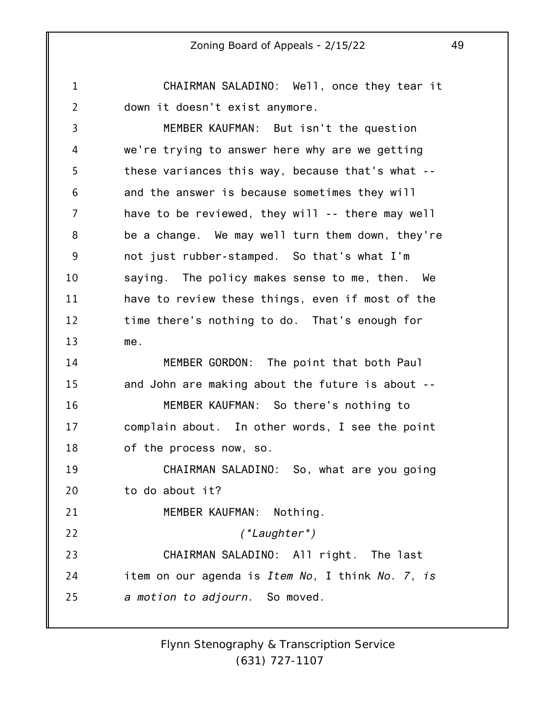1 2 CHAIRMAN SALADINO: Well, once they tear it down it doesn't exist anymore.

3 4 5 6 7 8 9 10 11 12 13 14 15 16 17 18 19 20 21 MEMBER KAUFMAN: But isn't the question we're trying to answer here why are we getting these variances this way, because that's what - and the answer is because sometimes they will have to be reviewed, they will -- there may well be a change. We may well turn them down, they're not just rubber-stamped. So that's what I'm saying. The policy makes sense to me, then. We have to review these things, even if most of the time there's nothing to do. That's enough for me. MEMBER GORDON: The point that both Paul and John are making about the future is about -- MEMBER KAUFMAN: So there's nothing to complain about. In other words, I see the point of the process now, so. CHAIRMAN SALADINO: So, what are you going to do about it? MEMBER KAUFMAN: Nothing.

22 23 24 25 *(\*Laughter\*)* CHAIRMAN SALADINO: All right. The last item on our agenda is *Item No,* I think *No. 7*, *is a motion to adjourn.* So moved.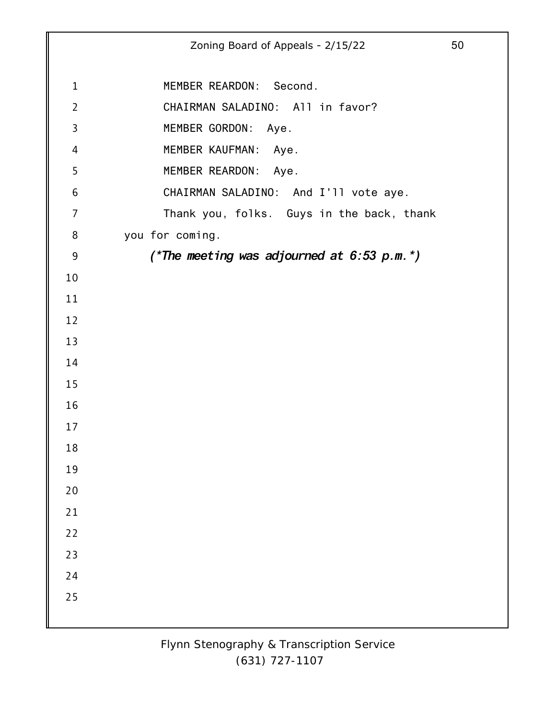Zoning Board of Appeals - 2/15/22 50 MEMBER REARDON: Second. CHAIRMAN SALADINO: All in favor? MEMBER GORDON: Aye. MEMBER KAUFMAN: Aye. MEMBER REARDON: Aye. CHAIRMAN SALADINO: And I'll vote aye. Thank you, folks. Guys in the back, thank you for coming. *(\*The meeting was adjourned at 6:53 p.m.\*)*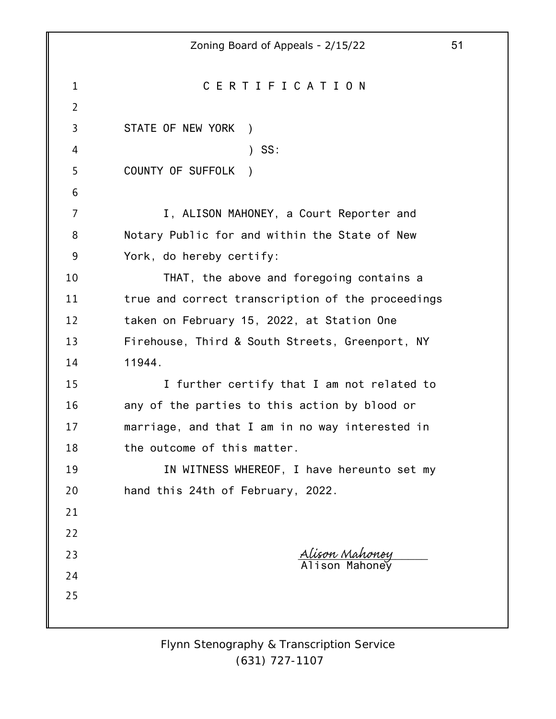|                 | 51<br>Zoning Board of Appeals - 2/15/22           |  |
|-----------------|---------------------------------------------------|--|
|                 |                                                   |  |
| 1               | CERTIFICATION                                     |  |
| $\overline{2}$  |                                                   |  |
| 3               | STATE OF NEW YORK<br>$\rightarrow$                |  |
| 4               | $)$ SS:                                           |  |
| 5               | COUNTY OF SUFFOLK<br>$\rightarrow$                |  |
| $6\phantom{1}6$ |                                                   |  |
| 7               | I, ALISON MAHONEY, a Court Reporter and           |  |
| 8               | Notary Public for and within the State of New     |  |
| $9\,$           | York, do hereby certify:                          |  |
| 10              | THAT, the above and foregoing contains a          |  |
| 11              | true and correct transcription of the proceedings |  |
| 12              | taken on February 15, 2022, at Station One        |  |
| 13              | Firehouse, Third & South Streets, Greenport, NY   |  |
| 14              | 11944.                                            |  |
| 15              | I further certify that I am not related to        |  |
| 16              | any of the parties to this action by blood or     |  |
| 17              | marriage, and that I am in no way interested in   |  |
| 18              | the outcome of this matter.                       |  |
| 19              | IN WITNESS WHEREOF, I have hereunto set my        |  |
| 20              | hand this 24th of February, 2022.                 |  |
| 21              |                                                   |  |
| 22              |                                                   |  |
| 23              | <u>Alison Mahoney</u><br>Alison Mahoney           |  |
| 24              |                                                   |  |
| 25              |                                                   |  |
|                 |                                                   |  |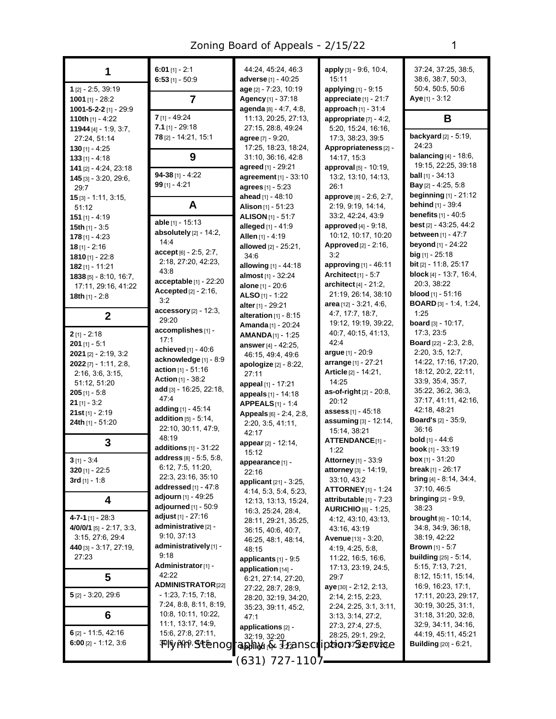| 1                              | 6:01 [1] - 2:1<br>$6:53$ [1] - 50:9                  | 44:24, 45:24, 46:3<br>adverse [1] - 40:25               | apply [3] - 9:6, 10:4,<br>15:11          | 37:24, 37:25, 38:5,<br>38:6, 38:7, 50:3, |
|--------------------------------|------------------------------------------------------|---------------------------------------------------------|------------------------------------------|------------------------------------------|
| $1$ [2] - 2:5, 39:19           |                                                      | age [2] - 7:23, 10:19                                   | applying [1] - 9:15                      | 50:4, 50:5, 50:6                         |
| 1001 $[1]$ - 28:2              | 7                                                    | Agency [1] - 37:18                                      | appreciate [1] - 21:7                    | Aye [1] - 3:12                           |
| 1001-5-2-2 [1] - 29:9          |                                                      | agenda [8] - 4:7, 4:8,                                  | approach $[1] - 31:4$                    |                                          |
| 110th $[1] - 4:22$             | $7$ [1] - 49:24                                      | 11:13, 20:25, 27:13,                                    | appropriate $[7] - 4:2$ ,                | B                                        |
| 11944 [4] - 1:9, 3:7,          | $7.1$ [1] - 29:18                                    | 27:15, 28:8, 49:24                                      | 5:20, 15:24, 16:16,                      |                                          |
| 27:24, 51:14                   | 78 [2] - 14:21, 15:1                                 | agree [7] - 9:20,                                       | 17:3, 38:23, 39:5                        | backyard $[2]$ - 5:19,                   |
| $130$ [1] - 4:25               |                                                      | 17:25, 18:23, 18:24,                                    | Appropriateness <sub>[2]</sub> -         | 24:23<br><b>balancing</b> $[4] - 18.6$ , |
| $133$ [1] - 4:18               | 9                                                    | 31:10, 36:16, 42:8                                      | 14:17, 15:3                              | 19:15, 22:25, 39:18                      |
| 141 [2] - 4:24, 23:18          | $94-38$ [1] - 4:22                                   | agreed [1] - 29:21<br>agreement [1] - 33:10             | approval [5] - 10:19,                    | <b>ball</b> $[1] - 34:13$                |
| 145 [3] - 3:20, 29:6,<br>29:7  | $99$ [1] - 4:21                                      | agrees [1] - 5:23                                       | 13:2, 13:10, 14:13,<br>26:1              | Bay [2] - 4:25, 5:8                      |
| $15$ [3] - 1:11, 3:15,         |                                                      | ahead [1] - 48:10                                       | approve [8] - 2:6, 2:7,                  | <b>beginning</b> [1] - 21:12             |
| 51:12                          | A                                                    | Alison $[1] - 51:23$                                    | 2:19, 9:19, 14:14,                       | <b>behind</b> [1] - 39:4                 |
| $151$ [1] - 4:19               |                                                      | <b>ALISON</b> [1] - 51:7                                | 33:2, 42:24, 43:9                        | <b>benefits</b> $[1] - 40.5$             |
| 15th $[1]$ - 3:5               | able [1] - 15:13                                     | alleged $[1] - 41.9$                                    | approved $[4] - 9.18$ ,                  | best [2] - 43:25, 44:2                   |
| $178$ [1] - 4:23               | absolutely $[2] - 14:2$ ,                            | Allen [1] - 4:19                                        | 10:12, 10:17, 10:20                      | between [1] - 47:7                       |
| $18$ [1] - 2:16                | 14:4                                                 | allowed [2] - 25:21,                                    | Approved [2] - 2:16,                     | beyond [1] - 24:22                       |
| $1810$ [1] - 22:8              | $accept[6] - 2.5, 2.7,$                              | 34:6                                                    | 3:2                                      | $big$ [1] - 25:18                        |
| $182$ [1] - 11:21              | 2:18, 27:20, 42:23,<br>43:8                          | allowing $[1] - 44.18$                                  | approving [1] - 46:11                    | <b>bit</b> $[2] - 11:8$ , $25:17$        |
| <b>1838</b> [5] $- 8:10, 16:7$ | $acceptable$ [1] - 22:20                             | almost [1] - 32:24                                      | Architect $[1] - 5.7$                    | <b>block</b> [4] - 13:7, 16:4,           |
| 17:11, 29:16, 41:22            | Accepted [2] - 2:16,                                 | alone [1] - 20:6                                        | architect [4] - 21:2,                    | 20:3, 38:22                              |
| 18th $[1] - 2.8$               | 3:2                                                  | ALSO [1] - 1:22                                         | 21:19, 26:14, 38:10                      | <b>blood</b> $[1] - 51:16$               |
|                                | accessory [2] - 12:3,                                | alter [1] - 29:21                                       | area [12] - 3:21, 4:6,                   | <b>BOARD</b> [3] - 1:4, 1:24,<br>1:25    |
| $\mathbf{2}$                   | 29:20                                                | alteration $[1]$ - 8:15                                 | 4:7, 17:7, 18:7,<br>19:12, 19:19, 39:22, | board [3] - 10:17.                       |
| $2$ [1] - 2:18                 | accomplishes [1] -                                   | Amanda [1] - 20:24                                      | 40:7, 40:15, 41:13,                      | 17:3, 23:5                               |
| $201$ [1] - 5:1                | 17:1                                                 | <b>AMANDA[1] - 1:25</b>                                 | 42:4                                     | <b>Board</b> [22] - 2:3, 2:8,            |
| $2021$ [2] - 2:19, 3:2         | achieved $[1] - 40.6$                                | answer [4] - 42:25,<br>46:15, 49:4, 49:6                | argue [1] - 20:9                         | 2:20, 3:5, 12:7,                         |
| $2022$ [7] - 1:11, 2:8,        | acknowledge [1] - 8:9                                | apologize [2] - 8:22,                                   | arrange [1] - 27:21                      | 14:22, 17:16, 17:20,                     |
| 2:16, 3:6, 3:15,               | action $[1] - 51.16$                                 | 27:11                                                   | Article [2] - 14:21,                     | 18:12, 20:2, 22:11,                      |
| 51:12, 51:20                   | <b>Action [1] - 38:2</b>                             | appeal [1] - 17:21                                      | 14:25                                    | 33.9, 35.4, 35.7,                        |
| $205$ [1] - 5:8                | add [3] - 16:25, 22:18,                              | appeals [1] - 14:18                                     | as-of-right [2] - 20:8,                  | 35:22, 36:2, 36:3,                       |
| $21$ [1] - 3:2                 | 47:4                                                 | <b>APPEALS</b> [1] - 1:4                                | 20:12                                    | 37:17, 41:11, 42:16,                     |
| $21st$ [1] - 2:19              | adding [1] - 45:14<br><b>addition</b> $[5] - 5:14$ , | Appeals [6] - 2:4, 2:8,                                 | assess <sub>[1]</sub> - 45:18            | 42:18, 48:21                             |
| 24th [1] - 51:20               | 22:10, 30:11, 47:9,                                  | 2:20, 3:5, 41:11,                                       | assuming [3] - 12:14,                    | <b>Board's</b> $[2] - 35:9$ ,            |
|                                | 48:19                                                | 42:17                                                   | 15:14, 38:21                             | 36:16<br><b>bold</b> $[1] - 44:6$        |
| 3                              | additions [1] - 31:22                                | appear [2] - 12:14,                                     | <b>ATTENDANCE[1]-</b><br>1:22            | <b>book</b> $[1]$ - 33:19                |
| $3[1] - 3:4$                   | address [8] - 5:5, 5:8,                              | 15:12                                                   | Attorney [1] - 33:9                      | <b>box</b> $[1] - 31:20$                 |
| 320 $[1]$ - 22:5               | 6:12, 7:5, 11:20,                                    | appearance [1] -                                        | <b>attorney</b> [3] - 14:19,             | break [1] - 26:17                        |
| 3rd $[1]$ - 1:8                | 22:3, 23:16, 35:10                                   | 22:16                                                   | 33:10, 43:2                              | bring $[4] - 8.14$ , $34.4$ ,            |
|                                | addressed $[1] - 47.8$                               | <b>applicant</b> [21] - 3:25,<br>4:14, 5:3, 5:4, 5:23,  | <b>ATTORNEY</b> [1] - 1:24               | 37:10, 46:5                              |
| 4                              | adjourn [1] - 49:25                                  | 12:13, 13:13, 15:24,                                    | attributable $[1]$ - $7:23$              | bringing $[2]$ - $9.9$ ,                 |
|                                | adjourned $[1]$ - $50:9$                             | 16:3, 25:24, 28:4,                                      | <b>AURICHIO</b> [6] - 1:25,              | 38:23                                    |
| $4 - 7 - 1$ [1] - 28:3         | adjust $[1]$ - 27:16                                 | 28:11, 29:21, 35:25,                                    | 4:12, 43:10, 43:13,                      | <b>brought</b> [6] - 10:14,              |
| $4/0/0/1$ [5] - 2:17, 3:3,     | administrative [2] -                                 | 36:15, 40:6, 40:7,                                      | 43:16, 43:19                             | 34:8, 34:9, 36:18,                       |
| 3:15, 27:6, 29:4               | 9:10, 37:13                                          | 46:25, 48:1, 48:14,                                     | <b>Avenue</b> $[13] - 3:20$ ,            | 38:19, 42:22                             |
| 440 [3] - 3:17, 27:19,         | administratively [1] -<br>9:18                       | 48:15                                                   | 4:19, 4:25, 5:8,                         | <b>Brown</b> $[1] - 5:7$                 |
| 27:23                          | Administrator [1] -                                  | applicants $[1]$ - $9:5$                                | 11:22, 16:5, 16:6,                       | <b>building</b> $[25] - 5:14$ ,          |
| 5                              | 42:22                                                | application [14] -                                      | 17:13, 23:19, 24:5,                      | 5:15, 7:13, 7:21,<br>8:12, 15:11, 15:14, |
|                                | <b>ADMINISTRATOR[22]</b>                             | 6:21, 27:14, 27:20,                                     | 29:7<br>aye [30] - 2:12, 2:13,           | 16.9, 16.23, 17:1,                       |
| $5$ [2] - 3:20, 29:6           | $-1.23, 7.15, 7.18,$                                 | 27:22, 28:7, 28:9,<br>28:20, 32:19, 34:20,              | 2:14, 2:15, 2:23,                        | 17:11, 20:23, 29:17,                     |
|                                | 7:24, 8:8, 8:11, 8:19,                               | 35:23, 39:11, 45:2,                                     | 2:24, 2:25, 3:1, 3:11,                   | 30:19, 30:25, 31:1,                      |
| 6                              | 10:8, 10:11, 10:22,                                  | 47:1                                                    | 3:13, 3:14, 27:2,                        | 31:18, 31:20, 32:8,                      |
|                                | 11:1, 13:17, 14:9,                                   | applications [2] -                                      | 27:3, 27:4, 27:5,                        | 32.9, 34.11, 34.16,                      |
| $6$ [2] - 11:5, 42:16          | 15.6, 27.8, 27.11,                                   | 32:19, 32:20                                            | 28:25, 29:1, 29:2,                       | 44:19, 45:11, 45:21                      |
| 6:00 [2] $- 1:12, 3:6$         | 3PBVAAA, Gtenog                                      | "alphield <sub>[1</sub> 4 3/2521/ISCT CLAIBIAT SEERVAEE |                                          | <b>Building</b> [20] - 6:21,             |
|                                |                                                      |                                                         |                                          |                                          |
|                                |                                                      | 1107 - 127 - 1101                                       |                                          |                                          |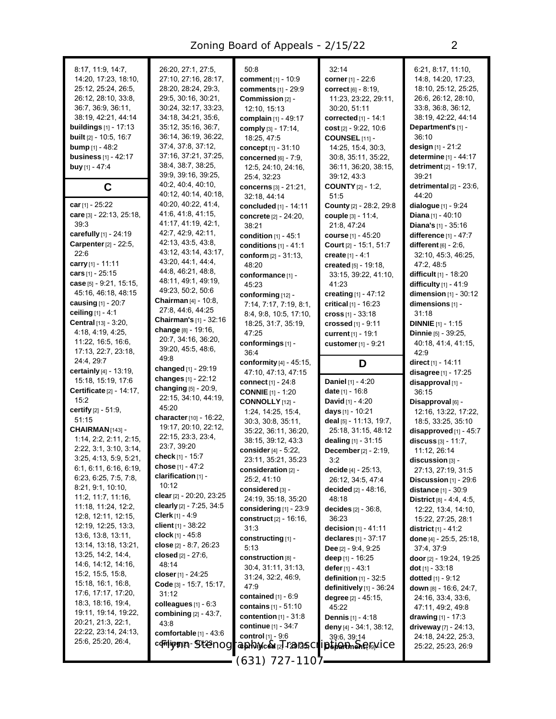| 8:17, 11:9, 14:7,<br>14:20, 17:23, 18:10,<br>25:12, 25:24, 26:5,<br>26:12, 28:10, 33:8,<br>36.7, 36.9, 36.11,<br>38:19, 42:21, 44:14<br>buildings $[1]$ - 17:13<br><b>built</b> [2] - 10:5, 16:7<br><b>bump</b> $[1] - 48:2$<br><b>business</b> [1] - 42:17<br><b>buy</b> [1] - 47:4 | 26:20, 27:1, 27:5,<br>27:10, 27:16, 28:17,<br>28:20, 28:24, 29:3,<br>29:5, 30:16, 30:21,<br>30:24, 32:17, 33:23,<br>34:18, 34:21, 35:6,<br>35:12, 35:16, 36:7,<br>36:14, 36:19, 36:22,<br>37:4, 37:8, 37:12,<br>37:16, 37:21, 37:25,<br>38:4, 38:7, 38:25,<br>39.9, 39.16, 39.25, | 50:8<br><b>comment</b> [1] - 10:9<br>comments [1] - 29:9<br>Commission [2] -<br>12:10, 15:13<br>complain [1] - 49:17<br>comply $[3] - 17:14$ ,<br>18:25, 47:5<br>concept $[1] - 31:10$<br><b>concerned</b> [6] - 7:9,<br>12:5, 24:10, 24:16,<br>25:4, 32:23 | 32:14<br>corner [1] - 22:6<br>COFFECT [6] - 8:19,<br>11:23, 23:22, 29:11,<br>30:20, 51:11<br>corrected $[1]$ - 14:1<br>cost $[2] - 9.22, 10.6$<br>COUNSEL [11] -<br>14:25, 15:4, 30:3,<br>30.8, 35.11, 35:22,<br>36:11, 36:20, 38:15,<br>39:12, 43:3 | 6:21, 8:17, 11:10,<br>14:8, 14:20, 17:23,<br>18:10, 25:12, 25:25,<br>26:6, 26:12, 28:10,<br>33.8, 36.8, 36.12,<br>38:19, 42:22, 44:14<br>Department's [1] -<br>36:10<br>design $[1] - 21:2$<br>determine [1] - 44:17<br>detriment [2] - 19:17,<br>39:21 |
|--------------------------------------------------------------------------------------------------------------------------------------------------------------------------------------------------------------------------------------------------------------------------------------|-----------------------------------------------------------------------------------------------------------------------------------------------------------------------------------------------------------------------------------------------------------------------------------|-------------------------------------------------------------------------------------------------------------------------------------------------------------------------------------------------------------------------------------------------------------|------------------------------------------------------------------------------------------------------------------------------------------------------------------------------------------------------------------------------------------------------|---------------------------------------------------------------------------------------------------------------------------------------------------------------------------------------------------------------------------------------------------------|
| C                                                                                                                                                                                                                                                                                    | 40.2, 40.4, 40.10,<br>40:12, 40:14, 40:18,                                                                                                                                                                                                                                        | concerns [3] - 21:21,<br>32:18, 44:14                                                                                                                                                                                                                       | <b>COUNTY</b> $[2] - 1:2$ ,<br>51:5                                                                                                                                                                                                                  | detrimental $[2]$ - $23:6$ ,<br>44:20                                                                                                                                                                                                                   |
| car [1] - 25:22                                                                                                                                                                                                                                                                      | 40:20, 40:22, 41:4,                                                                                                                                                                                                                                                               | concluded [1] - 14:11                                                                                                                                                                                                                                       | <b>County</b> [2] - 28:2, 29:8                                                                                                                                                                                                                       | dialogue $[1] - 9:24$                                                                                                                                                                                                                                   |
| care [3] - 22:13, 25:18,                                                                                                                                                                                                                                                             | 41.6, 41.8, 41.15,                                                                                                                                                                                                                                                                | concrete [2] - 24:20,                                                                                                                                                                                                                                       | couple [3] - 11:4,                                                                                                                                                                                                                                   | <b>Diana</b> [1] - 40:10                                                                                                                                                                                                                                |
| 39:3<br>carefully [1] - 24:19                                                                                                                                                                                                                                                        | 41:17, 41:19, 42:1,<br>42.7, 42.9, 42.11,                                                                                                                                                                                                                                         | 38:21                                                                                                                                                                                                                                                       | 21:8, 47:24                                                                                                                                                                                                                                          | <b>Diana's</b> $[1]$ - 35:16                                                                                                                                                                                                                            |
| Carpenter [2] - 22:5,                                                                                                                                                                                                                                                                | 42:13, 43:5, 43:8,                                                                                                                                                                                                                                                                | condition $[1] - 45:1$<br>conditions $[1] - 41:1$                                                                                                                                                                                                           | course [1] - 45:20<br>Court [2] - 15:1, 51:7                                                                                                                                                                                                         | difference $[1] - 47:7$<br>different $[6] - 2:6$ ,                                                                                                                                                                                                      |
| 22:6                                                                                                                                                                                                                                                                                 | 43:12, 43:14, 43:17,                                                                                                                                                                                                                                                              | conform $[2] - 31:13$ ,                                                                                                                                                                                                                                     | create $[1] - 4:1$                                                                                                                                                                                                                                   | 32:10, 45:3, 46:25,                                                                                                                                                                                                                                     |
| carry [1] - 11:11                                                                                                                                                                                                                                                                    | 43.20, 44.1, 44.4,                                                                                                                                                                                                                                                                | 48:20                                                                                                                                                                                                                                                       | <b>created</b> $[5] - 19:18$                                                                                                                                                                                                                         | 47:2, 48:5                                                                                                                                                                                                                                              |
| cars [1] - 25:15                                                                                                                                                                                                                                                                     | 44 8, 46 21, 48 8,<br>48:11, 49:1, 49:19,                                                                                                                                                                                                                                         | conformance [1] -                                                                                                                                                                                                                                           | 33.15, 39.22, 41.10,                                                                                                                                                                                                                                 | <b>difficult</b> $[1] - 18:20$                                                                                                                                                                                                                          |
| case $[5]$ - 9:21, 15:15,                                                                                                                                                                                                                                                            | 49.23, 50.2, 50.6                                                                                                                                                                                                                                                                 | 45:23                                                                                                                                                                                                                                                       | 41:23                                                                                                                                                                                                                                                | difficulty [1] - 41.9                                                                                                                                                                                                                                   |
| 45:16, 46:18, 48:15<br>causing $[1] - 20.7$                                                                                                                                                                                                                                          | Chairman [4] - 10:8,                                                                                                                                                                                                                                                              | conforming [12] -                                                                                                                                                                                                                                           | creating [1] - 47:12<br>critical [1] - 16:23                                                                                                                                                                                                         | dimension [1] - 30:12                                                                                                                                                                                                                                   |
| ceiling [1] - 4:1                                                                                                                                                                                                                                                                    | 27.8, 44.6, 44.25                                                                                                                                                                                                                                                                 | 7:14, 7:17, 7:19, 8:1,<br>8:4, 9:8, 10:5, 17:10,                                                                                                                                                                                                            | cross $[1] - 33:18$                                                                                                                                                                                                                                  | dimensions [1] -<br>31:18                                                                                                                                                                                                                               |
| Central [13] - 3:20,                                                                                                                                                                                                                                                                 | Chairman's [1] - 32:16                                                                                                                                                                                                                                                            | 18:25, 31:7, 35:19,                                                                                                                                                                                                                                         | crossed [1] - 9:11                                                                                                                                                                                                                                   | <b>DINNIE</b> $[1]$ - 1:15                                                                                                                                                                                                                              |
| 4:18, 4:19, 4:25,                                                                                                                                                                                                                                                                    | change [8] - 19:16,                                                                                                                                                                                                                                                               | 47:25                                                                                                                                                                                                                                                       | current [1] - 19:1                                                                                                                                                                                                                                   | Dinnie [5] - 39:25,                                                                                                                                                                                                                                     |
| 11:22, 16:5, 16:6,                                                                                                                                                                                                                                                                   | 20:7, 34:16, 36:20,                                                                                                                                                                                                                                                               | conformings [1] -                                                                                                                                                                                                                                           | customer [1] - 9:21                                                                                                                                                                                                                                  | 40.18, 41:4, 41:15,                                                                                                                                                                                                                                     |
| 17:13, 22:7, 23:18,                                                                                                                                                                                                                                                                  | 39:20, 45:5, 48:6,<br>49:8                                                                                                                                                                                                                                                        | 36:4                                                                                                                                                                                                                                                        |                                                                                                                                                                                                                                                      | 42:9                                                                                                                                                                                                                                                    |
| 24:4, 29:7<br>certainly [4] - 13:19,                                                                                                                                                                                                                                                 | changed [1] - 29:19                                                                                                                                                                                                                                                               | conformity $[4] - 45:15$ ,                                                                                                                                                                                                                                  | D                                                                                                                                                                                                                                                    | direct $[1] - 14.11$                                                                                                                                                                                                                                    |
| 15:18, 15:19, 17:6                                                                                                                                                                                                                                                                   | changes [1] - 22:12                                                                                                                                                                                                                                                               | 47:10, 47:13, 47:15<br><b>connect</b> [1] - 24:8                                                                                                                                                                                                            | <b>Daniel</b> $[1] - 4:20$                                                                                                                                                                                                                           | disagree [1] - 17:25                                                                                                                                                                                                                                    |
| Certificate [2] - 14:17,                                                                                                                                                                                                                                                             | changing [5] - 20:9,                                                                                                                                                                                                                                                              | <b>CONNIE</b> [1] - 1:20                                                                                                                                                                                                                                    | <b>date</b> $[1]$ - 16:8                                                                                                                                                                                                                             | disapproval [1] -<br>36:15                                                                                                                                                                                                                              |
| 15:2                                                                                                                                                                                                                                                                                 | 22:15, 34:10, 44:19,                                                                                                                                                                                                                                                              | CONNOLLY [12] -                                                                                                                                                                                                                                             | <b>David</b> [1] - 4:20                                                                                                                                                                                                                              | Disapproval [6] -                                                                                                                                                                                                                                       |
| certify [2] - 51:9,                                                                                                                                                                                                                                                                  | 45:20                                                                                                                                                                                                                                                                             | 1:24, 14:25, 15:4,                                                                                                                                                                                                                                          | days [1] - 10:21                                                                                                                                                                                                                                     | 12:16, 13:22, 17:22,                                                                                                                                                                                                                                    |
| 51:15                                                                                                                                                                                                                                                                                | character [10] - 16:22,<br>19:17, 20:10, 22:12,                                                                                                                                                                                                                                   | 30:3, 30:8, 35:11,                                                                                                                                                                                                                                          | deal [5] - 11:13, 19:7,                                                                                                                                                                                                                              | 18:5, 33:25, 35:10                                                                                                                                                                                                                                      |
| CHAIRMAN [143] -                                                                                                                                                                                                                                                                     | 22:15, 23:3, 23:4,                                                                                                                                                                                                                                                                | 35:22, 36:11, 36:20,                                                                                                                                                                                                                                        | 25:18, 31:15, 48:12                                                                                                                                                                                                                                  | disapproved [1] - 45:7                                                                                                                                                                                                                                  |
| 1:14, 2:2, 2:11, 2:15,<br>2:22, 3:1, 3:10, 3:14,                                                                                                                                                                                                                                     | 23:7, 39:20                                                                                                                                                                                                                                                                       | 38:15, 39:12, 43:3                                                                                                                                                                                                                                          | dealing $[1] - 31:15$                                                                                                                                                                                                                                | discuss $[3] - 11:7$ ,                                                                                                                                                                                                                                  |
| 3:25, 4:13, 5:9, 5:21,                                                                                                                                                                                                                                                               | check [1] - 15:7                                                                                                                                                                                                                                                                  | consider [4] - 5:22,<br>23:11, 35:21, 35:23                                                                                                                                                                                                                 | December [2] - 2:19,<br>3:2                                                                                                                                                                                                                          | 11:12, 26:14<br>discussion [3] -                                                                                                                                                                                                                        |
| 6:1, 6:11, 6:16, 6:19,                                                                                                                                                                                                                                                               | chose [1] - 47:2                                                                                                                                                                                                                                                                  | consideration [2] -                                                                                                                                                                                                                                         | decide [4] - 25:13,                                                                                                                                                                                                                                  | 27:13, 27:19, 31:5                                                                                                                                                                                                                                      |
| 6:23, 6:25, 7:5, 7:8,                                                                                                                                                                                                                                                                | clarification [1] -                                                                                                                                                                                                                                                               | 25:2, 41:10                                                                                                                                                                                                                                                 | 26.12, 34.5, 47.4                                                                                                                                                                                                                                    | Discussion $[1]$ - 29:6                                                                                                                                                                                                                                 |
| 8:21, 9:1, 10:10,                                                                                                                                                                                                                                                                    | 10:12                                                                                                                                                                                                                                                                             | considered [3] -                                                                                                                                                                                                                                            | decided $[2] - 48:16$ ,                                                                                                                                                                                                                              | <b>distance</b> $[1] - 30.9$                                                                                                                                                                                                                            |
| 11:2, 11:7, 11:16,                                                                                                                                                                                                                                                                   | clear [2] - 20.20, 23:25<br>clearly $[2] - 7:25, 34:5$                                                                                                                                                                                                                            | 24:19, 35:18, 35:20                                                                                                                                                                                                                                         | 48:18                                                                                                                                                                                                                                                | <b>District</b> $[8] - 4.4, 4.5,$                                                                                                                                                                                                                       |
| 11:18, 11:24, 12:2,<br>12:8, 12:11, 12:15,                                                                                                                                                                                                                                           | <b>Clerk</b> $[1] - 4.9$                                                                                                                                                                                                                                                          | considering $[1]$ - 23:9                                                                                                                                                                                                                                    | <b>decides</b> $[2] - 36.8$ ,                                                                                                                                                                                                                        | 12:22, 13:4, 14:10,                                                                                                                                                                                                                                     |
| 12:19, 12:25, 13:3,                                                                                                                                                                                                                                                                  | client $[1]$ - 38:22                                                                                                                                                                                                                                                              | construct [2] - 16:16,                                                                                                                                                                                                                                      | 36.23                                                                                                                                                                                                                                                | 15:22, 27:25, 28:1                                                                                                                                                                                                                                      |
| 13:6, 13:8, 13:11,                                                                                                                                                                                                                                                                   | clock $[1]$ - 45:8                                                                                                                                                                                                                                                                | 31:3<br>constructing [1] -                                                                                                                                                                                                                                  | decision $[1] - 41:11$<br>declares [1] - 37:17                                                                                                                                                                                                       | district $[1] - 41.2$<br>done [4] - 25:5, 25:18,                                                                                                                                                                                                        |
| 13:14, 13:18, 13:21,                                                                                                                                                                                                                                                                 | close $[2] - 8.7, 26.23$                                                                                                                                                                                                                                                          | 5:13                                                                                                                                                                                                                                                        | <b>Dee</b> $[2] - 9.4, 9.25$                                                                                                                                                                                                                         | 37:4, 37:9                                                                                                                                                                                                                                              |
| 13:25, 14:2, 14:4,                                                                                                                                                                                                                                                                   | closed [2] - 27:6,                                                                                                                                                                                                                                                                | construction [8] -                                                                                                                                                                                                                                          | deep $[1]$ - 16:25                                                                                                                                                                                                                                   | door [2] - 19:24, 19:25                                                                                                                                                                                                                                 |
| 14:6, 14:12, 14:16,                                                                                                                                                                                                                                                                  | 48:14                                                                                                                                                                                                                                                                             | 30:4, 31:11, 31:13,                                                                                                                                                                                                                                         | defer $[1] - 43:1$                                                                                                                                                                                                                                   | <b>dot</b> $[1]$ - 33:18                                                                                                                                                                                                                                |
| 15:2, 15:5, 15:8,<br>15:18, 16:1, 16:8,                                                                                                                                                                                                                                              | closer [1] - 24:25                                                                                                                                                                                                                                                                | 31:24, 32:2, 46:9,                                                                                                                                                                                                                                          | definition [1] - 32:5                                                                                                                                                                                                                                | dotted [1] - 9:12                                                                                                                                                                                                                                       |
| 17:6, 17:17, 17:20,                                                                                                                                                                                                                                                                  | Code [3] - 15:7, 15:17,<br>31:12                                                                                                                                                                                                                                                  | 47:9                                                                                                                                                                                                                                                        | definitively $[1]$ - 36:24                                                                                                                                                                                                                           | down [8] - 16:6, 24:7,                                                                                                                                                                                                                                  |
| 18:3, 18:16, 19:4,                                                                                                                                                                                                                                                                   | colleagues $[1] - 6:3$                                                                                                                                                                                                                                                            | contained $[1] - 6.9$<br>contains $[1] - 51:10$                                                                                                                                                                                                             | <b>degree</b> [2] - 45:15,                                                                                                                                                                                                                           | 24:16, 33:4, 33:6,                                                                                                                                                                                                                                      |
| 19:11, 19:14, 19:22,                                                                                                                                                                                                                                                                 | combining $[2] - 43:7$ ,                                                                                                                                                                                                                                                          | contention [1] - 31:8                                                                                                                                                                                                                                       | 45:22<br><b>Dennis</b> [1] - 4:18                                                                                                                                                                                                                    | 47:11, 49:2, 49:8<br>drawing $[1] - 17:3$                                                                                                                                                                                                               |
| 20:21, 21:3, 22:1,                                                                                                                                                                                                                                                                   | 43.8                                                                                                                                                                                                                                                                              | continue [1] - 34:7                                                                                                                                                                                                                                         | deny [4] - 34:1, 38:12,                                                                                                                                                                                                                              | driveway [7] - 24:13,                                                                                                                                                                                                                                   |
| 22:22, 23:14, 24:13,                                                                                                                                                                                                                                                                 | comfortable $[1]$ - 43:6                                                                                                                                                                                                                                                          | control [1] - 9:6                                                                                                                                                                                                                                           | 39:6, 39:14                                                                                                                                                                                                                                          | 24:18, 24:22, 25:3,                                                                                                                                                                                                                                     |
| 25.6, 25.20, 26.4,                                                                                                                                                                                                                                                                   | commught 1972000                                                                                                                                                                                                                                                                  | <i><b><i>dørki</i>nced</b> p/-/29/25CT/pdfarmer@6jViCC</i>                                                                                                                                                                                                  |                                                                                                                                                                                                                                                      | 25:22, 25:23, 26:9                                                                                                                                                                                                                                      |
|                                                                                                                                                                                                                                                                                      |                                                                                                                                                                                                                                                                                   | (631, 72) 1107                                                                                                                                                                                                                                              |                                                                                                                                                                                                                                                      |                                                                                                                                                                                                                                                         |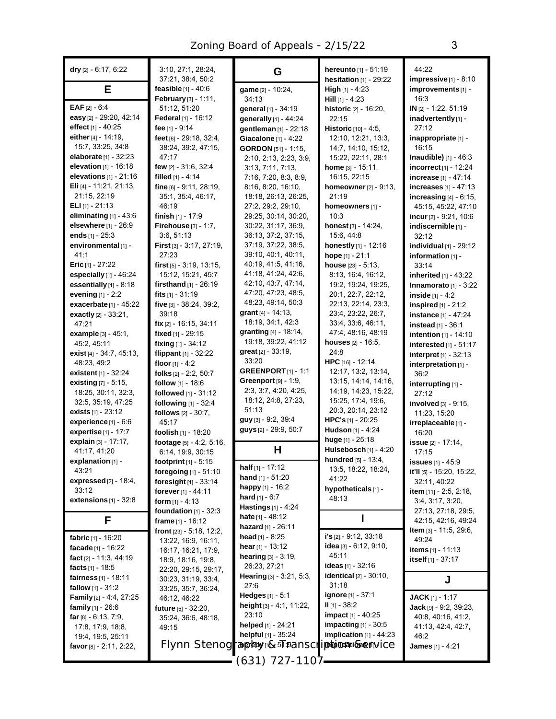| dry $[2] - 6:17, 6:22$                                         | 3:10, 27:1, 28:24,<br>37:21, 38:4, 50:2    | G                                               | <b>hereunto</b> $[1]$ - 51:19<br><b>hesitation</b> $[1]$ - 29:22 | 44:22<br>$impressive_{[1]}$ - 8:10                 |
|----------------------------------------------------------------|--------------------------------------------|-------------------------------------------------|------------------------------------------------------------------|----------------------------------------------------|
| Е                                                              | feasible $[1] - 40.6$                      | game [2] - 10:24,                               | <b>High</b> $[1] - 4:23$                                         | improvements [1] -                                 |
| <b>EAF</b> $[2] - 6.4$                                         | February [3] - 1:11,<br>51:12, 51:20       | 34:13                                           | <b>Hill</b> $[1] - 4.23$                                         | 16:3<br>IN [2] - 1:22, 51:19                       |
| easy [2] - 29:20, 42:14                                        | Federal [1] - 16:12                        | general [1] - 34:19                             | historic [2] - 16:20,<br>22:15                                   | inadvertently [1] -                                |
| effect [1] - 40:25                                             | fee [1] - 9:14                             | generally [1] - 44:24<br>gentleman [1] - 22:18  | <b>Historic</b> $[10] - 4.5$ ,                                   | 27:12                                              |
| either [4] - 14:19,                                            | feet [6] - 29:18, 32:4,                    | Giacalone $[1] - 4.22$                          | 12:10, 12:21, 13:3,                                              | inappropriate [1] -                                |
| 15:7, 33:25, 34:8                                              | 38:24, 39:2, 47:15,                        | <b>GORDON</b> [51] - 1:15,                      | 14:7, 14:10, 15:12,                                              | 16:15                                              |
| elaborate [1] - 32:23                                          | 47:17                                      | 2:10, 2:13, 2:23, 3:9,                          | 15:22, 22:11, 28:1                                               | <b>Inaudible)</b> $[1] - 46:3$                     |
| <b>elevation</b> $[1]$ - 16:18                                 | few [2] - 31:6, 32:4                       | 3:13, 7:11, 7:13,                               | <b>home</b> $[3] - 15:11$ ,                                      | incorrect [1] - 12:24                              |
| elevations $[1]$ - 21:16                                       | filled $[1] - 4.14$                        | 7:16, 7:20, 8:3, 8:9,                           | 16:15, 22:15                                                     | increase [1] - 47:14                               |
| Eli [4] - 11:21, 21:13,                                        | $fine_{[6]} - 9:11, 28:19,$                | 8:16, 8:20, 16:10,                              | <b>homeowner</b> $[2] - 9:13$ ,                                  | increases [1] - 47:13                              |
| 21:15, 22:19                                                   | 35:1, 35:4, 46:17,                         | 18:18, 26:13, 26:25,                            | 21:19                                                            | increasing $[4]$ - $6:15$ ,                        |
| <b>ELI</b> $[1]$ - 21:13                                       | 46:19                                      | 27:2, 29:2, 29:10,                              | homeowners [1] -                                                 | 45:15, 45:22, 47:10                                |
| eliminating $[1] - 43.6$                                       | finish $[1]$ - 17:9                        | 29:25, 30:14, 30:20,                            | 10:3                                                             | incur $[2] - 9:21, 10:6$                           |
| elsewhere [1] - 26:9                                           | Firehouse [3] - 1:7,                       | 30:22, 31:17, 36:9,                             | <b>honest</b> $[3] - 14:24$ ,                                    | indiscernible [1] -                                |
| ends $[1] - 25:3$                                              | 3:6, 51:13                                 | 36:13, 37:2, 37:15,                             | 15:6, 44:8                                                       | 32:12                                              |
| environmental [1] -                                            | First [3] - 3:17, 27:19,                   | 37:19, 37:22, 38:5,                             | honestly [1] - 12:16                                             | individual $[1]$ - 29:12                           |
| 41:1                                                           | 27:23                                      | 39:10, 40:1, 40:11,                             | hope $[1] - 21:1$                                                | information [1] -                                  |
| <b>Eric</b> $[1] - 27:22$                                      | $first$ [5] $-3.19$ , 13:15,               | 40:19, 41:5, 41:16,                             | house $[23] - 5:13$ ,                                            | 33:14                                              |
| especially $[1]$ - 46:24                                       | 15:12, 15:21, 45:7                         | 41:18, 41:24, 42:6,                             | 8:13, 16:4, 16:12,                                               | inherited [1] - 43:22                              |
| essentially [1] - 8:18                                         | firsthand $[1]$ - 26:19                    | 42:10, 43:7, 47:14,                             | 19:2, 19:24, 19:25,                                              | Innamorato $[1]$ - 3:22                            |
| evening $[1]$ - 2:2                                            | fits $[1] - 31:19$                         | 47:20, 47:23, 48:5,                             | 20:1, 22:7, 22:12,                                               | inside $[1] - 4:2$                                 |
| exacerbate [1] - 45:22                                         | five [3] - 38:24, 39:2,                    | 48:23, 49:14, 50:3                              | 22.13, 22.14, 23.3,                                              | <b>inspired</b> $[1]$ - 21:2                       |
| exactly [2] - 33:21,                                           | 39:18                                      | grant $[4]$ - 14:13,<br>18:19, 34:1, 42:3       | 23:4, 23:22, 26:7,                                               | instance [1] - 47:24                               |
| 47:21                                                          | fix [2] - 16:15, 34:11                     | granting [4] - 18:14,                           | 33:4, 33:6, 46:11,<br>47:4, 48:16, 48:19                         | instead [1] - 36:1                                 |
| <b>example</b> $[3] - 45:1$ ,                                  | fixed [1] - 29:15                          | 19:18, 39:22, 41:12                             | houses $[2] - 16.5$ ,                                            | intention [1] - 14:10                              |
| 45:2, 45:11                                                    | fixing $[1] - 34:12$                       | <b>great</b> $[2] - 33:19$ ,                    | 24:8                                                             | interested [1] - 51:17                             |
| exist $[4] - 34:7, 45:13,$                                     | flippant $[1] - 32:22$                     | 33:20                                           | HPC [16] - 12:14,                                                | interpret $[1] - 32:13$                            |
| 48:23, 49:2<br><b>existent</b> $[1] - 32:24$                   | floor $[1] - 4:2$                          | <b>GREENPORT</b> $[1]$ - 1:1                    | 12.17, 13:2, 13:14,                                              | interpretation [1] -                               |
| existing [7] - 5:15,                                           | folks [2] - 2:2, 50:7<br>follow [1] - 18:6 | Greenport $[9] - 1.9$ ,                         | 13:15, 14:14, 14:16,                                             | 36:2                                               |
| 18:25, 30:11, 32:3,                                            | followed [1] - 31:12                       | 2:3, 3:7, 4:20, 4:25,                           | 14:19, 14:23, 15:22,                                             | interrupting [1] -<br>27:12                        |
| 32:5, 35:19, 47:25                                             | following [1] - 32:4                       | 18:12, 24:8, 27:23,                             | 15:25, 17:4, 19:6,                                               | involved [3] - 9:15,                               |
| exists $[1] - 23:12$                                           | follows $[2] - 30:7$ ,                     | 51:13                                           | 20:3, 20:14, 23:12                                               | 11:23, 15:20                                       |
| experience [1] - 6:6                                           | 45:17                                      | guy [3] - 9:2, 39:4                             | HPC's $[1]$ - 20:25                                              | irreplaceable [1] -                                |
| expertise [1] - 17:7                                           | foolish [1] - 18:20                        | guys [2] - 29:9, 50:7                           | <b>Hudson</b> [1] - 4:24                                         | 16:20                                              |
| explain [3] - 17:17,                                           | footage [5] - 4:2, 5:16,                   |                                                 | huge [1] - 25:18                                                 | issue [2] - 17:14,                                 |
| 41:17, 41:20                                                   | 6:14, 19:9, 30:15                          | Н                                               | Hulsebosch [1] - 4:20                                            | 17:15                                              |
| explanation $[1]$ -                                            | <b>footprint</b> $[1] - 5:15$              |                                                 | hundred [5] - 13:4,                                              | <b>issues</b> [1] - 45:9                           |
| 43:21                                                          | foregoing [1] - 51:10                      | half $[1] - 17:12$                              | 13:5, 18:22, 18:24,                                              | it'll [5] - 15:20, 15:22,                          |
| expressed $[2]$ - 18:4,                                        | foresight $[1] - 33:14$                    | <b>hand</b> $[1] - 51:20$                       | 41:22                                                            | 32:11, 40:22                                       |
| 33:12                                                          | forever [1] - 44:11                        | happy [1] - 16:2                                | hypotheticals [1] -                                              | item [11] - 2:5, 2:18,                             |
| extensions $[1]$ - 32:8                                        | <b>form</b> $[1] - 4:13$                   | <b>hard</b> [1] - 6:7                           | 48:13                                                            | 3.4, 3.17, 3.20,                                   |
|                                                                | foundation $[1]$ - 32:3                    | Hastings [1] - 4:24                             |                                                                  | 27:13, 27:18, 29:5,                                |
| F.                                                             | frame $[1] - 16.12$                        | <b>hate</b> $[1] - 48.12$<br>hazard [1] - 26:11 |                                                                  | 42:15, 42:16, 49:24                                |
|                                                                | <b>front</b> $[23] - 5.18, 12.2,$          | head [1] - 8:25                                 | $i's$ [2] - 9:12, 33:18                                          | <b>Item</b> $[3] - 11.5, 29.6,$                    |
| fabric $[1] - 16:20$                                           | 13:22, 16:9, 16:11,                        | hear $[1] - 13:12$                              | idea [3] - 6:12, 9:10,                                           | 49:24                                              |
| facade $[1] - 16:22$                                           | 16:17, 16:21, 17:9,                        | hearing [3] - 3:19,                             | 45:11                                                            | items [1] - 11:13                                  |
| fact $[2] - 11.3, 44.19$                                       | 18.9, 18.16, 19.8,                         | 26:23, 27:21                                    | <b>ideas</b> [1] - 32:16                                         | itself $[1] - 37:17$                               |
| facts $[1] - 18.5$                                             | 22:20, 29:15, 29:17,                       | <b>Hearing</b> $[3] - 3:21, 5:3$ ,              | <b>identical</b> $[2] - 30:10$ ,                                 |                                                    |
| <b>fairness</b> $[1]$ - 18:11<br><b>fallow</b> $[1] - 31:2$    | 30:23, 31:19, 33:4,                        | 27:6                                            | 31:18                                                            | J                                                  |
|                                                                | 33:25, 35:7, 36:24,                        | <b>Hedges</b> $[1] - 5:1$                       | <b>ignore</b> [1] - 37:1                                         |                                                    |
| <b>Family</b> $[2] - 4.4, 27.25$<br><b>family</b> $[1]$ - 26:6 | 46:12, 46:22                               | height $[3] - 4.1, 11.22,$                      | $II$ [1] - 38:2                                                  | <b>JACK</b> $[1]$ - 1:17<br>Jack [9] - 9:2, 39:23, |
| far $[8] - 6.13, 7.9,$                                         | <b>future</b> [5] - 32:20,                 | 23:10                                           | <b>impact</b> $[1] - 40:25$                                      | 40.8, 40.16, 41.2,                                 |
| 17:8, 17:9, 18:8,                                              | 35:24, 36:6, 48:18,<br>49:15               | helped [1] - 24:21                              | impacting $[1]$ - 30:5                                           | 41.13, 42.4, 42.7,                                 |
| 19:4, 19:5, 25:11                                              |                                            | helpful [1] - 35:24                             | implication [1] - 44:23                                          | 46:2                                               |
| favor $[8]$ - 2:11, 2:22,                                      |                                            | Flynn Stenograppbyw&5Fransc                     | /porplicationsenv/Ce                                             | <b>James</b> [1] - $4:21$                          |
|                                                                |                                            |                                                 |                                                                  |                                                    |
|                                                                |                                            | 1107 - 127 رו 631                               |                                                                  |                                                    |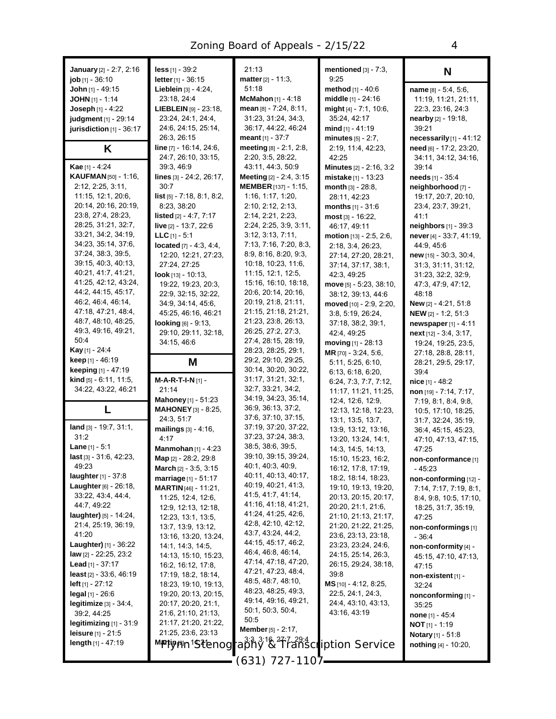| <b>January</b> [2] - 2:7, 2:16                        | $less$ [1] - 39:2                                 | 21:13                                       | mentioned $[3]$ - 7:3,<br>9:25             | N                                              |
|-------------------------------------------------------|---------------------------------------------------|---------------------------------------------|--------------------------------------------|------------------------------------------------|
| <b>job</b> $[1]$ - 36:10                              | letter [1] - 36:15<br>Lieblein [3] - 4:24,        | <b>matter</b> $[2] - 11:3$ ,<br>51:18       | method [1] - 40:6                          | name [8] - 5:4, 5:6,                           |
| John [1] - 49:15<br><b>JOHN</b> $[1]$ - 1:14          | 23:18, 24:4                                       | McMahon [1] - 4:18                          | middle [1] - 24:16                         | 11:19, 11:21, 21:11,                           |
| <b>Joseph</b> $[1] - 4:22$                            | <b>LIEBLEIN</b> $[9] - 23:18$                     | mean [8] - 7:24, 8:11,                      | might [4] - 7:1, 10:6,                     | 22.3, 23.16, 24.3                              |
| judgment [1] - 29:14                                  | 23:24, 24:1, 24:4,                                | 31:23, 31:24, 34:3,                         | 35:24, 42:17                               | nearby [2] - 19:18,                            |
| jurisdiction [1] - 36:17                              | 24:6, 24:15, 25:14,                               | 36:17, 44:22, 46:24                         | mind $[1] - 41:19$                         | 39:21                                          |
|                                                       | 26:3, 26:15                                       | <b>meant</b> $[1] - 37:7$                   | minutes $[5] - 2:7$ ,                      | necessarily $[1]$ - 41:12                      |
| Κ                                                     | line [7] - 16:14, 24:6,                           | meeting [8] - 2:1, 2:8,                     | 2:19, 11:4, 42:23,                         | need [6] - 17:2, 23:20,                        |
|                                                       | 24:7, 26:10, 33:15,                               | 2:20, 3:5, 28:22,                           | 42:25                                      | 34:11, 34:12, 34:16,                           |
| Kae [1] - 4:24                                        | 39:3, 46:9                                        | 43:11, 44:3, 50:9                           | Minutes [2] - 2:16, 3:2                    | 39:14                                          |
| <b>KAUFMAN</b> [50] - 1:16,                           | lines [3] - 24:2, 26:17,                          | Meeting [2] - 2:4, 3:15                     | mistake [1] - 13:23                        | needs [1] - 35:4                               |
| 2:12, 2:25, 3:11,                                     | 30:7                                              | <b>MEMBER</b> [137] - 1:15,                 | month $[3] - 28.8$ ,                       | neighborhood [7] -                             |
| 11:15, 12:1, 20:6,                                    | <b>list</b> $[5]$ - 7:18, 8:1, 8:2,               | 1:16, 1:17, 1:20,                           | 28:11, 42:23                               | 19:17, 20:7, 20:10,                            |
| 20:14, 20:16, 20:19,                                  | 8:23, 38:20                                       | 2:10, 2:12, 2:13,                           | months $[1] - 31:6$                        | 23.4, 23:7, 39:21,                             |
| 23:8, 27:4, 28:23,                                    | listed [2] - 4:7, 7:17                            | 2:14, 2:21, 2:23,                           | most [3] - 16:22,                          | 41:1                                           |
| 28:25, 31:21, 32:7,<br>33:21, 34:2, 34:19,            | live [2] - 13:7, 22:6<br><b>LLC</b> $[1] - 5:1$   | 2:24, 2:25, 3:9, 3:11,<br>3.12, 3.13, 7.11, | 46:17, 49:11                               | neighbors [1] - 39:3                           |
| 34:23, 35:14, 37:6,                                   |                                                   | 7:13, 7:16, 7:20, 8:3,                      | motion [13] - 2:5, 2:6,                    | never [4] - 33:7, 41:19,                       |
| 37:24, 38:3, 39:5,                                    | located $[7] - 4.3, 4.4,$<br>12:20, 12:21, 27:23, | 8:9, 8:16, 8:20, 9:3,                       | 2:18, 3:4, 26:23,<br>27:14, 27:20, 28:21,  | 44.9, 45.6<br>new [15] - 30:3, 30:4,           |
| 39:15, 40:3, 40:13,                                   | 27:24, 27:25                                      | 10:18, 10:23, 11:6,                         | 37:14, 37:17, 38:1,                        | 31:3, 31:11, 31:12,                            |
| 40:21, 41:7, 41:21,                                   | look [13] - 10:13,                                | 11:15, 12:1, 12:5,                          | 42:3, 49:25                                | 31:23, 32:2, 32:9,                             |
| 41:25, 42:12, 43:24,                                  | 19:22, 19:23, 20:3,                               | 15:16, 16:10, 18:18,                        | move [5] - 5:23, 38:10,                    | 47:3, 47:9, 47:12,                             |
| 44:2, 44:15, 45:17,                                   | 22.9, 32.15, 32.22,                               | 20:6, 20:14, 20:16,                         | 38:12, 39:13, 44:6                         | 48:18                                          |
| 46:2, 46:4, 46:14,                                    | 34:9, 34:14, 45:6,                                | 20:19, 21:8, 21:11,                         | moved [10] - 2:9, 2:20,                    | New [2] - 4:21, 51:8                           |
| 47:18, 47:21, 48:4,                                   | 45:25, 46:16, 46:21                               | 21:15, 21:18, 21:21,                        | 3:8, 5:19, 26:24,                          | NEW [2] - 1:2, 51:3                            |
| 48:7, 48:10, 48:25,                                   | looking [6] - 9:13,                               | 21:23, 23:8, 26:13,                         | 37:18, 38:2, 39:1,                         | newspaper [1] - 4:11                           |
| 49:3, 49:16, 49:21,                                   | 29:10, 29:11, 32:18,                              | 26:25, 27:2, 27:3,                          | 42:4, 49:25                                | $next$ [12] - 3.4, 3.17,                       |
| 50:4                                                  | 34:15, 46:6                                       | 27:4, 28:15, 28:19,                         | moving [1] - 28:13                         | 19:24, 19:25, 23:5,                            |
| <b>Kay</b> [1] - 24:4                                 |                                                   | 28:23, 28:25, 29:1,                         | MR [70] - 3:24, 5:6,                       | 27:18, 28:8, 28:11,                            |
| keep [1] - 46:19<br>keeping [1] - 47:19               | M                                                 | 29:2, 29:10, 29:25,<br>30:14, 30:20, 30:22, | 5:11, 5:25, 6:10,                          | 28:21, 29:5, 29:17,                            |
| kind [5] - 6:11, 11:5,                                | M-A-R-T-I-N [1] -                                 | 31:17, 31:21, 32:1,                         | 6:13, 6:18, 6:20,                          | 39:4                                           |
| 34:22, 43:22, 46:21                                   | 21:14                                             | 32:7, 33:21, 34:2,                          | 6:24, 7:3, 7:7, 7:12,                      | nice $[1] - 48:2$                              |
|                                                       | Mahoney [1] - 51:23                               | 34:19, 34:23, 35:14,                        | 11:17, 11:21, 11:25,<br>12.4, 12.6, 12.9,  | non [19] - 7:14, 7:17,<br>7:19, 8:1, 8:4, 9:8, |
| L                                                     | <b>MAHONEY</b> [3] - 8:25,                        | 36.9, 36.13, 37.2,                          | 12:13, 12:18, 12:23,                       | 10:5, 17:10, 18:25,                            |
|                                                       | 24:3, 51:7                                        | 37:6, 37:10, 37:15,                         | 13:1, 13:5, 13:7,                          | 31:7, 32:24, 35:19,                            |
| land [3] - 19:7, 31:1,                                | mailings $[3] - 4:16$ ,                           | 37:19, 37:20, 37:22,                        | 13.9, 13.12, 13.16,                        | 36.4, 45.15, 45.23,                            |
| 31:2                                                  | 4:17                                              | 37:23, 37:24, 38:3,                         | 13:20, 13:24, 14:1,                        | 47:10, 47:13, 47:15,                           |
| <b>Lane</b> $[1] - 5:1$                               | <b>Manmohan</b> $[1] - 4:23$                      | 38:5, 38:6, 39:5,                           | 14: 3, 14: 5, 14: 13,                      | 47:25                                          |
| last [3] - 31:6, 42:23,                               | Map [2] - 28:2, 29:8                              | 39:10, 39:15, 39:24,                        | 15:10, 15:23, 16:2,                        | non-conformance <sup>[1]</sup>                 |
| 49:23                                                 | March [2] - 3:5, 3:15                             | 40:1, 40:3, 40:9,                           | 16:12, 17:8, 17:19,                        | $-45.23$                                       |
| <b>laughter</b> $[1] - 37.8$                          | marriage $[1] - 51:17$                            | 40:11, 40:13, 40:17,<br>40:19, 40:21, 41:3, | 18:2, 18:14, 18:23,                        | non-conforming [12] -                          |
| <b>Laughter</b> $[6] - 26:18$ ,<br>33.22, 43.4, 44.4, | <b>MARTIN</b> $[46] - 11:21$ ,                    | 41.5, 41.7, 41.14,                          | 19:10, 19:13, 19:20,                       | 7:14, 7:17, 7:19, 8:1,                         |
| 44:7, 49:22                                           | 11:25, 12:4, 12:6,                                | 41:16, 41:18, 41:21,                        | 20:13, 20:15, 20:17,<br>20:20, 21:1, 21:6, | 8:4, 9:8, 10:5, 17:10,                         |
| <b>laughter)</b> [5] - 14:24,                         | 12:9, 12:13, 12:18,<br>12:23, 13:1, 13:5,         | 41:24, 41:25, 42:6,                         | 21:10, 21:13, 21:17,                       | 18:25, 31:7, 35:19,<br>47:25                   |
| 21:4, 25:19, 36:19,                                   | 13:7, 13:9, 13:12,                                | 42:8, 42:10, 42:12,                         | 21:20, 21:22, 21:25,                       | non-conformings [1]                            |
| 41:20                                                 | 13.16, 13.20, 13.24,                              | 43:7, 43:24, 44:2,                          | 23:6, 23:13, 23:18,                        | $-36:4$                                        |
| <b>Laughter)</b> $[1] - 36:22$                        | 14.1, 14.3, 14.5,                                 | 44:15, 45:17, 46:2,                         | 23:23, 23:24, 24:6,                        | non-conformity [4] -                           |
| law [2] - 22:25, 23:2                                 | 14:13, 15:10, 15:23,                              | 46.4, 46.8, 46.14,                          | 24:15, 25:14, 26:3,                        | 45:15, 47:10, 47:13,                           |
| <b>Lead</b> [1] - 37:17                               | 16.2, 16.12, 17.8,                                | 47:14, 47:18, 47:20,                        | 26:15, 29:24, 38:18,                       | 47:15                                          |
| least [2] - 33:6, 46:19                               | 17:19, 18:2, 18:14,                               | 47:21, 47:23, 48:4,                         | 39:8                                       | non-existent [1] -                             |
| <b>left</b> $[1]$ - 27:12                             | 18:23, 19:10, 19:13,                              | 48.5, 48.7, 48.10,<br>48:23, 48:25, 49:3,   | $MS$ [10] - 4:12, 8:25,                    | 32:24                                          |
| <b>legal</b> $[1]$ - 26:6                             | 19:20, 20:13, 20:15,                              | 49:14, 49:16, 49:21,                        | 22:5, 24:1, 24:3,                          | nonconforming [1] -                            |
| $legitimize [3] - 34:4,$                              | 20:17, 20:20, 21:1,                               | 50:1, 50:3, 50:4,                           | 24:4, 43:10, 43:13,                        | 35:25                                          |
| 39:2, 44:25                                           | 21:6, 21:10, 21:13,                               | 50:5                                        | 43.16, 43.19                               | <b>none</b> $[1] - 45.4$                       |
| legitimizing $[1]$ - 31:9                             | 21:17, 21:20, 21:22,                              | <b>Member</b> [5] $- 2:17$ ,                |                                            | <b>NOT</b> $[1]$ - 1:19                        |
| <b>leisure</b> $[1] - 21:5$<br>length $[1] - 47:19$   | 21:25, 23:6, 23:13                                | 3 3, 3 16, 27, 21, 29:4                     |                                            | Notary [1] - 51:8                              |
|                                                       | Mactinyiin19tenog                                 | raphy & Transcription Service               |                                            | nothing $[4] - 10:20$ ,                        |
|                                                       |                                                   | (631) 727-1107                              |                                            |                                                |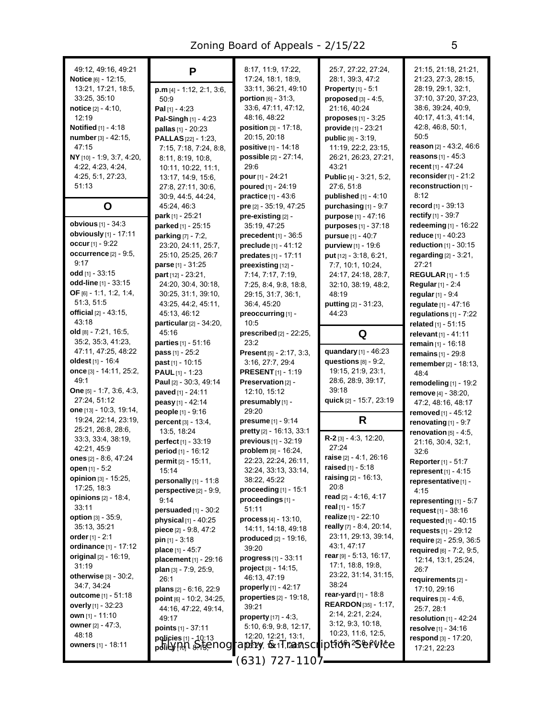| 49:12, 49:16, 49:21<br>Notice [6] - 12:15,<br>13:21, 17:21, 18:5,<br>33.25, 35:10<br>notice [2] - 4:10,<br>12:19<br><b>Notified</b> [1] - 4:18<br>number [3] - 42:15,<br>47:15<br>NY [10] - 1:9, 3:7, 4:20,<br>4.22, 4.23, 4.24,<br>4.25, 5.1, 27:23,<br>51:13<br>O          | P<br>$p.m [4] - 1:12, 2:1, 3:6,$<br>50:9<br>Pal $[1] - 4:23$<br>Pal-Singh $[1] - 4.23$<br>pallas [1] - 20:23<br><b>PALLAS</b> [22] - 1:23,<br>7:15, 7:18, 7:24, 8:8,<br>8:11, 8:19, 10:8,<br>10:11, 10:22, 11:1,<br>13:17, 14:9, 15:6,<br>27:8, 27:11, 30:6,<br>30.9, 44.5, 44.24,<br>45:24, 46:3 | 8:17, 11:9, 17:22,<br>17:24, 18:1, 18:9,<br>33:11, 36:21, 49:10<br><b>portion</b> $[6] - 31:3$ ,<br>33:6, 47:11, 47:12,<br>48:16, 48:22<br><b>position</b> $[3] - 17:18$ ,<br>20:15, 20:18<br><b>positive</b> $[1] - 14.18$<br>possible [2] - 27:14,<br>29:6<br><b>pour</b> $[1] - 24:21$<br>poured [1] - 24:19<br><b>practice</b> $[1] - 43.6$<br>pre [2] - 35:19, 47:25 | 25:7, 27:22, 27:24,<br>28:1, 39:3, 47:2<br><b>Property</b> $[1] - 5:1$<br>proposed $[3] - 4.5$ ,<br>21:16, 40:24<br>$proposes_{[1]} - 3:25$<br>provide [1] - 23:21<br><b>public</b> $[8] - 3:19$ ,<br>11:19, 22:2, 23:15,<br>26:21, 26:23, 27:21,<br>43.21<br><b>Public</b> $[4] - 3.21, 5.2$ ,<br>27:6, 51:8<br>published [1] - 4:10<br>purchasing $[1]$ - $9:7$ | 21:15, 21:18, 21:21,<br>21:23, 27:3, 28:15,<br>28:19, 29:1, 32:1,<br>37:10, 37:20, 37:23,<br>38.6, 39.24, 40.9,<br>40.17, 41.3, 41.14,<br>42.8, 46.8, 50.1,<br>50:5<br><b>reason</b> $[2] - 43:2, 46:6$<br><b>reasons</b> $[1] - 45:3$<br>recent $[1] - 47:24$<br>reconsider $[1]$ - 21:2<br>reconstruction [1] -<br>8:12<br>record $[1] - 39:13$ |
|------------------------------------------------------------------------------------------------------------------------------------------------------------------------------------------------------------------------------------------------------------------------------|---------------------------------------------------------------------------------------------------------------------------------------------------------------------------------------------------------------------------------------------------------------------------------------------------|---------------------------------------------------------------------------------------------------------------------------------------------------------------------------------------------------------------------------------------------------------------------------------------------------------------------------------------------------------------------------|-------------------------------------------------------------------------------------------------------------------------------------------------------------------------------------------------------------------------------------------------------------------------------------------------------------------------------------------------------------------|---------------------------------------------------------------------------------------------------------------------------------------------------------------------------------------------------------------------------------------------------------------------------------------------------------------------------------------------------|
| <b>obvious</b> [1] - 34:3<br>obviously [1] - 17:11<br>occur $[1] - 9.22$<br>occurrence <sup>[2]</sup> - 9:5,<br>9:17<br><b>odd</b> [1] - $33:15$<br><b>odd-line</b> $[1]$ - 33:15<br>OF $[6] - 1.1, 1.2, 1.4,$<br>51:3, 51:5<br>official $[2] - 43:15$ ,<br>43:18            | park [1] - $25:21$<br>parked [1] - 25:15<br>parking [7] - 7:2,<br>23:20, 24:11, 25:7,<br>25:10, 25:25, 26:7<br>parse [1] - 31:25<br>part $[12] - 23:21$ ,<br>24:20, 30:4, 30:18,<br>30.25, 31:1, 39:10,<br>43:25, 44:2, 45:11,<br>45:13, 46:12<br>particular [2] - 34:20,                         | pre-existing [2] -<br>35:19, 47:25<br>precedent $[1]$ - 36:5<br>preclude [1] - 41:12<br>predates [1] - 17:11<br>preexisting [12] -<br>7:14, 7:17, 7:19,<br>7:25, 8:4, 9:8, 18:8,<br>29:15, 31:7, 36:1,<br>36:4, 45:20<br>preoccurring [1] -<br>10:5                                                                                                                       | <b>purpose</b> $[1] - 47:16$<br>purposes [1] - 37:18<br>pursue [1] - 40:7<br>purview [1] - 19:6<br>put [12] - 3.18, 6.21,<br>7:7, 10:1, 10:24,<br>24:17, 24:18, 28:7,<br>32:10, 38:19, 48:2,<br>48:19<br>putting [2] - 31:23,<br>44:23                                                                                                                            | rectify [1] - 39:7<br>redeeming [1] - 16:22<br>reduce $[1] - 40:23$<br>reduction [1] - 30:15<br>regarding $[2] - 3:21$ ,<br>27:21<br><b>REGULAR</b> $[1] - 1:5$<br><b>Regular</b> [1] - 2:4<br>regular $[1] - 9.4$<br>regulate [1] - 47:16<br>regulations $[1]$ - $7:22$<br>related [1] - 51:15                                                   |
| <b>old</b> $[8] - 7:21, 16:5,$<br>35:2, 35:3, 41:23,<br>47:11, 47:25, 48:22<br><b>oldest</b> [1] - 16:4<br>once $[3]$ - 14:11, 25:2,<br>49:1<br><b>One</b> $[5] - 1:7, 3:6, 4:3,$<br>27:24, 51:12<br>one $[13] - 10.3, 19.14,$<br>19:24, 22:14, 23:19,<br>25:21, 26:8, 28:6, | 45:16<br><b>parties</b> $[1] - 51.16$<br>$pass[1] - 25:2$<br>past [1] - 10:15<br><b>PAUL</b> $[1]$ - 1:23<br>Paul [2] - 30:3, 49:14<br>paved [1] - 24:11<br>peasy [1] - 42:14<br>people [1] - 9:16<br>percent [3] - 13:4,                                                                         | prescribed [2] - 22:25,<br>23:2<br>Present [5] - 2:17, 3:3,<br>3:16, 27:7, 29:4<br><b>PRESENT</b> $[1]$ - 1:19<br>Preservation [2] -<br>12:10, 15:12<br>presumably [1] -<br>29:20<br>presume [1] - 9:14                                                                                                                                                                   | Q<br>quandary [1] - 46:23<br>questions $[8] - 9.2$ ,<br>19:15, 21:9, 23:1,<br>28.6, 28.9, 39.17,<br>39:18<br>quick [2] - 15:7, 23:19<br>R                                                                                                                                                                                                                         | relevant [1] - 41:11<br>remain [1] - 16:18<br>remains [1] - 29:8<br>remember [2] - 18:13,<br>48.4<br>remodeling $[1]$ - 19:2<br>remove [4] - 38:20,<br>47:2, 48:16, 48:17<br>removed [1] - 45:12<br>renovating $[1] - 9.7$                                                                                                                        |
| 33.3, 33.4, 38.19,<br>42:21, 45:9<br>ones [2] - 8:6, 47:24<br>open [1] - 5:2<br>opinion [3] - 15:25,<br>17:25, 18:3<br>opinions [2] - 18:4,<br>33:11<br>option [3] - 35:9,<br>35:13, 35:21                                                                                   | 13:5, 18:24<br>perfect [1] - 33:19<br>period [1] - 16:12<br>permit [2] - 15:11,<br>15:14<br>personally [1] - 11:8<br>perspective $[2] - 9.9$ ,<br>9:14<br>persuaded [1] - 30:2<br>physical $[1]$ - 40:25<br>piece [2] - 9:8, 47:2                                                                 | pretty [2] - 16:13, 33:1<br>previous [1] - 32:19<br>problem [9] - 16:24,<br>22:23, 22:24, 26:11,<br>32:24, 33:13, 33:14,<br>38:22, 45:22<br>proceeding $[1]$ - 15:1<br>proceedings [1] -<br>51:11<br>process [4] - 13:10,<br>14:11, 14:18, 49:18                                                                                                                          | $R-2$ [3] $-4.3$ , 12:20,<br>27:24<br>raise [2] - 4:1, 26:16<br>raised $[1] - 5:18$<br>raising [2] - 16:13,<br>20:8<br>read $[2] - 4:16, 4:17$<br>real [1] - 15:7<br>realize $[1] - 22:10$<br>really [7] - 8:4, 20:14,                                                                                                                                            | renovation $[5] - 4.5$ ,<br>21:16, 30:4, 32:1,<br>32:6<br><b>Reporter</b> [1] - 51:7<br>represent [1] - 4:15<br>representative[1] -<br>4:15<br>representing [1] - 5:7<br>request $[1] - 38.16$<br>requested [1] - 40:15<br>requests $[1] - 29:12$                                                                                                 |
| order $[1] - 2:1$<br>ordinance [1] - 17:12<br>original $[2] - 16:19$ ,<br>31:19<br>otherwise [3] - 30:2,<br>34:7, 34:24<br><b>outcome</b> $[1]$ - 51:18<br>overly [1] - 32:23<br>own [1] - 11:10<br><b>owner</b> [2] - 47:3,<br>48:18<br><b>owners</b> [1] - 18:11           | $pin [1] - 3:18$<br><b>place</b> $[1] - 45:7$<br>placement [1] - 29:16<br><b>plan</b> $[3] - 7:9, 25:9,$<br>26:1<br>plans $[2] - 6.16, 22.9$<br>point [6] - 10.2, 34:25,<br>44:16, 47:22, 49:14,<br>49:17<br>points $[1] - 37:11$<br>policies [1] - 10:13<br>policy (18/7 8-73, C/700             | produced [2] - 19:16,<br>39:20<br>progress $[1] - 33:11$<br>project [3] - 14:15,<br>46.13, 47:19<br>properly $[1] - 42:17$<br>properties [2] - 19:18,<br>39:21<br>property $[17] - 4:3$ ,<br>5:10, 6:9, 9:8, 12:17,<br>12:20, 12:21, 13:1,<br>7 218/21/18:11 T.12971,SCT IP PIOPP SSEP WEE<br>–1107 - 127 - 1107                                                          | 23:11, 29:13, 39:14,<br>43:1, 47:17<br>rear [9] - 5:13, 16:17,<br>17:1, 18:8, 19:8,<br>23:22, 31:14, 31:15,<br>38:24<br>rear-yard [1] - 18:8<br><b>REARDON</b> [35] - 1:17,<br>2:14, 2:21, 2:24,<br>3.12, 9.3, 10.18,<br>10:23, 11:6, 12:5,                                                                                                                       | require [2] - 25:9, 36:5<br>required [6] - 7:2, 9:5,<br>12:14, 13:1, 25:24,<br>26:7<br>requirements [2] -<br>17:10, 29:16<br>requires $[3] - 4.6$ ,<br>25:7, 28:1<br>resolution $[1]$ - 42:24<br>resolve [1] - 34:16<br>respond $[3] - 17:20$ ,<br>17:21, 22:23                                                                                   |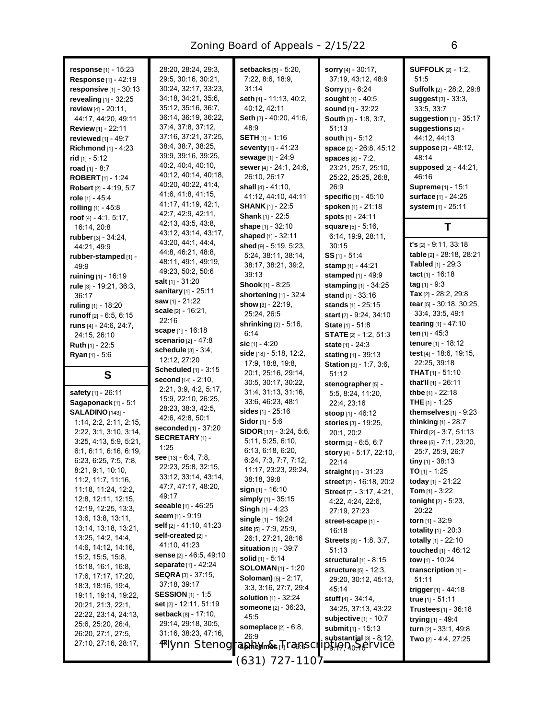| response $[1]$ - 15:23<br><b>Response</b> [1] - 42:19<br>responsive $[1]$ - 30:13<br>revealing $[1] - 32:25$<br>review [4] - 20:11,<br>44:17, 44:20, 49:11<br><b>Review</b> [1] - 22:11<br>reviewed [1] - 49:7<br><b>Richmond</b> $[1] - 4:23$<br><b>rid</b> [1] - 5:12<br>road $[1] - 8:7$<br><b>ROBERT</b> [1] - 1:24<br><b>Robert</b> [2] - 4:19, 5:7<br>role $[1]$ - 45:4<br>rolling $[1] - 45.8$<br>roof $[4] - 4.1, 5.17,$ | 28:20, 28:24, 29:3,<br>29.5, 30.16, 30.21,<br>30:24, 32:17, 33:23,<br>34:18, 34:21, 35:6,<br>35:12, 35:16, 36:7,<br>36:14, 36:19, 36:22,<br>37:4, 37:8, 37:12,<br>37:16, 37:21, 37:25,<br>38.4, 38.7, 38.25,<br>39:9, 39:16, 39:25,<br>40.2, 40.4, 40.10,<br>40:12, 40:14, 40:18,<br>40.20, 40.22, 41.4,<br>41.6, 41.8, 41.15,<br>41.17, 41.19, 42.1,<br>42.7, 42.9, 42.11, | setbacks [5] - 5:20,<br>7:22, 8:6, 18:9,<br>31:14<br>seth [4] - 11:13, 40:2,<br>40:12, 42:11<br>Seth [3] - 40:20, 41:6,<br>48.9<br><b>SETH</b> [1] - 1:16<br>seventy [1] - 41:23<br>sewage [1] - 24:9<br>sewer [4] - 24:1, 24:6,<br>26:10, 26:17<br>shall $[4] - 41:10$ ,<br>41:12, 44:10, 44:11<br><b>SHANK</b> $[1]$ - 22:5<br><b>Shank</b> [1] - 22:5 | sorry [4] - 30:17,<br>37:19, 43:12, 48:9<br><b>Sorry</b> [1] - $6:24$<br>sought [1] - 40:5<br>sound [1] - 32:22<br>South [3] - 1:8, 3:7,<br>51:13<br>south [1] - 5:12<br>space [2] - 26:8, 45:12<br><b>spaces</b> [8] - 7:2.<br>23:21, 25:7, 25:10,<br>25:22, 25:25, 26:8,<br>26:9<br>specific [1] - 45:10<br>spoken [1] - 21:18<br>spots [1] - 24:11 | <b>SUFFOLK</b> [2] - 1:2,<br>51:5<br>Suffolk [2] - 28:2, 29:8<br>suggest [3] - 33:3,<br>33:5, 33:7<br>suggestion $[1]$ - 35:17<br>suggestions [2] -<br>44:12, 44:13<br><b>suppose</b> [2] - 48:12,<br>48:14<br><b>supposed</b> [2] - 44:21,<br>46:16<br>Supreme [1] - 15:1<br>surface [1] - 24:25<br>system [1] - 25:11 |
|----------------------------------------------------------------------------------------------------------------------------------------------------------------------------------------------------------------------------------------------------------------------------------------------------------------------------------------------------------------------------------------------------------------------------------|-----------------------------------------------------------------------------------------------------------------------------------------------------------------------------------------------------------------------------------------------------------------------------------------------------------------------------------------------------------------------------|----------------------------------------------------------------------------------------------------------------------------------------------------------------------------------------------------------------------------------------------------------------------------------------------------------------------------------------------------------|-------------------------------------------------------------------------------------------------------------------------------------------------------------------------------------------------------------------------------------------------------------------------------------------------------------------------------------------------------|-------------------------------------------------------------------------------------------------------------------------------------------------------------------------------------------------------------------------------------------------------------------------------------------------------------------------|
| 16:14, 20:8                                                                                                                                                                                                                                                                                                                                                                                                                      | 42.13, 43.5, 43.8,<br>43:12, 43:14, 43:17,                                                                                                                                                                                                                                                                                                                                  | shape [1] - 32:10                                                                                                                                                                                                                                                                                                                                        | square [5] - 5:16,                                                                                                                                                                                                                                                                                                                                    | Τ                                                                                                                                                                                                                                                                                                                       |
| rubber [3] - 34:24,<br>44:21, 49.9                                                                                                                                                                                                                                                                                                                                                                                               | 43.20, 44.1, 44.4,<br>44.8, 46.21, 48.8,                                                                                                                                                                                                                                                                                                                                    | shaped [1] - 32:11<br>shed [9] - 5:19, 5:23,                                                                                                                                                                                                                                                                                                             | 6:14, 19:9, 28:11,<br>30:15                                                                                                                                                                                                                                                                                                                           | $t's$ [2] - 9:11, 33:18                                                                                                                                                                                                                                                                                                 |
| rubber-stamped [1] -                                                                                                                                                                                                                                                                                                                                                                                                             | 48:11, 49:1, 49:19,                                                                                                                                                                                                                                                                                                                                                         | 5:24, 38:11, 38:14,                                                                                                                                                                                                                                                                                                                                      | $SS$ [1] - 51:4                                                                                                                                                                                                                                                                                                                                       | table [2] - 28:18, 28:21<br><b>Tabled</b> $[1] - 29:3$                                                                                                                                                                                                                                                                  |
| 49.9<br>ruining [1] - 16:19                                                                                                                                                                                                                                                                                                                                                                                                      | 49:23, 50:2, 50:6                                                                                                                                                                                                                                                                                                                                                           | 38:17, 38:21, 39:2,<br>39:13                                                                                                                                                                                                                                                                                                                             | stamp [1] - 44:21<br>stamped [1] - 49:9                                                                                                                                                                                                                                                                                                               | tact $[1]$ - 16:18                                                                                                                                                                                                                                                                                                      |
| rule [3] - 19:21, 36:3,                                                                                                                                                                                                                                                                                                                                                                                                          | salt [1] - 31:20                                                                                                                                                                                                                                                                                                                                                            | <b>Shook</b> [1] - 8:25                                                                                                                                                                                                                                                                                                                                  | stamping [1] - 34:25                                                                                                                                                                                                                                                                                                                                  | $tag [1] - 9:3$                                                                                                                                                                                                                                                                                                         |
| 36:17                                                                                                                                                                                                                                                                                                                                                                                                                            | sanitary [1] - 25:11                                                                                                                                                                                                                                                                                                                                                        | shortening $[1]$ - 32:4                                                                                                                                                                                                                                                                                                                                  | stand $[1] - 33:16$                                                                                                                                                                                                                                                                                                                                   | <b>Tax</b> $[2]$ - 28:2, 29:8                                                                                                                                                                                                                                                                                           |
| ruling [1] - 18:20                                                                                                                                                                                                                                                                                                                                                                                                               | <b>saw</b> [1] - 21:22                                                                                                                                                                                                                                                                                                                                                      | show $[3] - 22:19$ ,                                                                                                                                                                                                                                                                                                                                     | stands [1] - 25:15                                                                                                                                                                                                                                                                                                                                    | tear $[5]$ - 30:18, 30:25,                                                                                                                                                                                                                                                                                              |
| runoff $[2] - 6.5, 6.15$                                                                                                                                                                                                                                                                                                                                                                                                         | scale $[2] - 16:21$ ,<br>22:16                                                                                                                                                                                                                                                                                                                                              | 25:24, 26:5                                                                                                                                                                                                                                                                                                                                              | start [2] - 9:24, 34:10                                                                                                                                                                                                                                                                                                                               | 33:4, 33:5, 49:1                                                                                                                                                                                                                                                                                                        |
| runs [4] - 24:6, 24:7,                                                                                                                                                                                                                                                                                                                                                                                                           | scape $[1] - 16:18$                                                                                                                                                                                                                                                                                                                                                         | <b>shrinking</b> [2] - 5:16,                                                                                                                                                                                                                                                                                                                             | State [1] - 51:8                                                                                                                                                                                                                                                                                                                                      | tearing [1] - 47:10                                                                                                                                                                                                                                                                                                     |
| 24:15, 26:10                                                                                                                                                                                                                                                                                                                                                                                                                     | <b>scenario</b> [2] - 47:8                                                                                                                                                                                                                                                                                                                                                  | 6:14                                                                                                                                                                                                                                                                                                                                                     | <b>STATE</b> $[2] - 1:2, 51:3$                                                                                                                                                                                                                                                                                                                        | ten <sub>[1]</sub> - 45:3                                                                                                                                                                                                                                                                                               |
| <b>Ruth</b> $[1] - 22:5$                                                                                                                                                                                                                                                                                                                                                                                                         | schedule $[3] - 3.4$ ,                                                                                                                                                                                                                                                                                                                                                      | sic $[1] - 4:20$<br>side [18] - 5:18, 12:2,                                                                                                                                                                                                                                                                                                              | state $[1] - 24:3$                                                                                                                                                                                                                                                                                                                                    | tenure [1] - 18:12<br>test $[4]$ - 18.6, 19.15,                                                                                                                                                                                                                                                                         |
| <b>Ryan</b> $[1]$ - 5:6                                                                                                                                                                                                                                                                                                                                                                                                          | 12:12, 27:20                                                                                                                                                                                                                                                                                                                                                                | 17.9, 18.8, 19.8,                                                                                                                                                                                                                                                                                                                                        | stating $[1] - 39:13$                                                                                                                                                                                                                                                                                                                                 | 22.25, 39:18                                                                                                                                                                                                                                                                                                            |
| S                                                                                                                                                                                                                                                                                                                                                                                                                                | Scheduled [1] - 3:15                                                                                                                                                                                                                                                                                                                                                        | 20:1, 25:16, 29:14,                                                                                                                                                                                                                                                                                                                                      | Station [3] - 1:7, 3:6,<br>51:12                                                                                                                                                                                                                                                                                                                      | <b>THAT</b> $[1]$ - 51:10                                                                                                                                                                                                                                                                                               |
|                                                                                                                                                                                                                                                                                                                                                                                                                                  | second [14] - 2:10,                                                                                                                                                                                                                                                                                                                                                         | 30:5, 30:17, 30:22,                                                                                                                                                                                                                                                                                                                                      | stenographer [5] -                                                                                                                                                                                                                                                                                                                                    | <b>that'll</b> $[1]$ - 26:11                                                                                                                                                                                                                                                                                            |
|                                                                                                                                                                                                                                                                                                                                                                                                                                  |                                                                                                                                                                                                                                                                                                                                                                             |                                                                                                                                                                                                                                                                                                                                                          |                                                                                                                                                                                                                                                                                                                                                       |                                                                                                                                                                                                                                                                                                                         |
| safety [1] - 26:11                                                                                                                                                                                                                                                                                                                                                                                                               | 2:21, 3:9, 4:2, 5:17,                                                                                                                                                                                                                                                                                                                                                       | 31:4, 31:13, 31:16,                                                                                                                                                                                                                                                                                                                                      | 5:5, 8:24, 11:20,                                                                                                                                                                                                                                                                                                                                     | <b>thbe</b> [1] - 22:18                                                                                                                                                                                                                                                                                                 |
| Sagaponack $[1]$ - 5:1                                                                                                                                                                                                                                                                                                                                                                                                           | 15.9, 22.10, 26.25,                                                                                                                                                                                                                                                                                                                                                         | 33:6, 46:23, 48:1                                                                                                                                                                                                                                                                                                                                        | 22:4, 23:16                                                                                                                                                                                                                                                                                                                                           | <b>THE</b> $[1]$ - 1:25                                                                                                                                                                                                                                                                                                 |
| SALADINO [143] -                                                                                                                                                                                                                                                                                                                                                                                                                 | 28:23, 38:3, 42:5,                                                                                                                                                                                                                                                                                                                                                          | sides [1] - 25:16                                                                                                                                                                                                                                                                                                                                        | stoop $[1] - 46:12$                                                                                                                                                                                                                                                                                                                                   | themselves $[1]$ - $9:23$                                                                                                                                                                                                                                                                                               |
| $1:14$ , $2:2$ , $2:11$ , $2:15$ ,                                                                                                                                                                                                                                                                                                                                                                                               | 42:6, 42:8, 50:1                                                                                                                                                                                                                                                                                                                                                            | Sidor [1] - 5:6                                                                                                                                                                                                                                                                                                                                          | stories [3] - 19:25,                                                                                                                                                                                                                                                                                                                                  | <b>thinking</b> $[1] - 28:7$                                                                                                                                                                                                                                                                                            |
| 2:22, 3:1, 3:10, 3:14,                                                                                                                                                                                                                                                                                                                                                                                                           | <b>seconded</b> [1] - 37:20<br>SECRETARY <sub>[1]</sub> -                                                                                                                                                                                                                                                                                                                   | SIDOR [17] - 3:24, 5:6,                                                                                                                                                                                                                                                                                                                                  | 20:1, 20:2                                                                                                                                                                                                                                                                                                                                            | <b>Third</b> $[2] - 3:7, 51:13$                                                                                                                                                                                                                                                                                         |
| 3:25, 4:13, 5:9, 5:21,                                                                                                                                                                                                                                                                                                                                                                                                           | 1:25                                                                                                                                                                                                                                                                                                                                                                        | 5:11, 5:25, 6:10,                                                                                                                                                                                                                                                                                                                                        | storm [2] - 6:5, 6:7                                                                                                                                                                                                                                                                                                                                  | three [5] - 7:1, 23:20,                                                                                                                                                                                                                                                                                                 |
| 6:1, 6:11, 6:16, 6:19,                                                                                                                                                                                                                                                                                                                                                                                                           | see [13] - 6:4, 7:8,                                                                                                                                                                                                                                                                                                                                                        | 6:13, 6:18, 6:20,<br>6:24, 7:3, 7:7, 7:12,                                                                                                                                                                                                                                                                                                               | story [4] - 5:17, 22:10,                                                                                                                                                                                                                                                                                                                              | 25:7, 25:9, 26:7                                                                                                                                                                                                                                                                                                        |
| 6:23, 6:25, 7:5, 7:8,<br>8.21, 9.1, 10.10,                                                                                                                                                                                                                                                                                                                                                                                       | 22:23, 25:8, 32:15,                                                                                                                                                                                                                                                                                                                                                         | 11:17, 23:23, 29:24,                                                                                                                                                                                                                                                                                                                                     | 22:14                                                                                                                                                                                                                                                                                                                                                 | tiny [1] - 38:13                                                                                                                                                                                                                                                                                                        |
| 11:2, 11:7, 11:16,                                                                                                                                                                                                                                                                                                                                                                                                               | 33:12, 33:14, 43:14,                                                                                                                                                                                                                                                                                                                                                        | 38:18, 39:8                                                                                                                                                                                                                                                                                                                                              | straight [1] - 31:23                                                                                                                                                                                                                                                                                                                                  | <b>TO</b> [1] - 1:25<br>today [1] - 21:22                                                                                                                                                                                                                                                                               |
| 11:18, 11:24, 12:2,                                                                                                                                                                                                                                                                                                                                                                                                              | 47:7, 47:17, 48:20,                                                                                                                                                                                                                                                                                                                                                         | sign $[1] - 16:10$                                                                                                                                                                                                                                                                                                                                       | street [2] - 16:18, 20:2<br>Street [7] - 3:17, 4:21,                                                                                                                                                                                                                                                                                                  | <b>Tom</b> $[1]$ - 3:22                                                                                                                                                                                                                                                                                                 |
| 12:8, 12:11, 12:15,                                                                                                                                                                                                                                                                                                                                                                                                              | 49:17                                                                                                                                                                                                                                                                                                                                                                       | simply [1] - 35:15                                                                                                                                                                                                                                                                                                                                       | 4:22, 4:24, 22:6,                                                                                                                                                                                                                                                                                                                                     | <b>tonight</b> $[2] - 5:23$ ,                                                                                                                                                                                                                                                                                           |
| 12:19, 12:25, 13:3,                                                                                                                                                                                                                                                                                                                                                                                                              | seeable [1] - 46:25                                                                                                                                                                                                                                                                                                                                                         | <b>Singh</b> $[1]$ - 4:23                                                                                                                                                                                                                                                                                                                                | 27:19, 27:23                                                                                                                                                                                                                                                                                                                                          | 20:22                                                                                                                                                                                                                                                                                                                   |
| 13.6, 13.8, 13.11,                                                                                                                                                                                                                                                                                                                                                                                                               | <b>seem</b> [1] - 9:19                                                                                                                                                                                                                                                                                                                                                      | single $[1]$ - 19:24                                                                                                                                                                                                                                                                                                                                     | street-scape [1] -                                                                                                                                                                                                                                                                                                                                    | <b>torn</b> [1] - 32:9                                                                                                                                                                                                                                                                                                  |
| 13:14, 13:18, 13:21,                                                                                                                                                                                                                                                                                                                                                                                                             | self [2] - 41:10, 41:23<br>self-created [2] -                                                                                                                                                                                                                                                                                                                               | site [5] - 7:9, 25:9,                                                                                                                                                                                                                                                                                                                                    | 16:18                                                                                                                                                                                                                                                                                                                                                 | <b>totality</b> $[1] - 20:3$                                                                                                                                                                                                                                                                                            |
| 13:25, 14:2, 14:4,                                                                                                                                                                                                                                                                                                                                                                                                               | 41:10, 41:23                                                                                                                                                                                                                                                                                                                                                                | 26:1, 27:21, 28:16                                                                                                                                                                                                                                                                                                                                       | <b>Streets</b> [3] - 1:8, 3:7,                                                                                                                                                                                                                                                                                                                        | totally $[1] - 22:10$                                                                                                                                                                                                                                                                                                   |
| 14:6, 14:12, 14:16,<br>15:2, 15:5, 15:8,                                                                                                                                                                                                                                                                                                                                                                                         | sense [2] - 46:5, 49:10                                                                                                                                                                                                                                                                                                                                                     | situation $[1]$ - 39:7                                                                                                                                                                                                                                                                                                                                   | 51:13                                                                                                                                                                                                                                                                                                                                                 | <b>touched</b> $[1] - 46:12$                                                                                                                                                                                                                                                                                            |
| 15:18, 16:1, 16:8,                                                                                                                                                                                                                                                                                                                                                                                                               | <b>separate</b> [1] - 42:24                                                                                                                                                                                                                                                                                                                                                 | solid [1] - 5:14<br><b>SOLOMAN</b> [1] - 1:20                                                                                                                                                                                                                                                                                                            | structural $[1]$ - 8:15                                                                                                                                                                                                                                                                                                                               | tow [1] - 10:24                                                                                                                                                                                                                                                                                                         |
| 17:6, 17:17, 17:20,                                                                                                                                                                                                                                                                                                                                                                                                              | <b>SEQRA</b> [3] - 37:15,                                                                                                                                                                                                                                                                                                                                                   | <b>Soloman)</b> $[5] - 2:17$ ,                                                                                                                                                                                                                                                                                                                           | structure [5] - 12:3,<br>29:20, 30:12, 45:13,                                                                                                                                                                                                                                                                                                         | transcription [1] -<br>51:11                                                                                                                                                                                                                                                                                            |
| 18:3, 18:16, 19:4,                                                                                                                                                                                                                                                                                                                                                                                                               | 37:18, 39:17                                                                                                                                                                                                                                                                                                                                                                | 3 3, 3 16, 27:7, 29:4                                                                                                                                                                                                                                                                                                                                    | 45:14                                                                                                                                                                                                                                                                                                                                                 | trigger $[1] - 44:18$                                                                                                                                                                                                                                                                                                   |
| 19:11, 19:14, 19:22,                                                                                                                                                                                                                                                                                                                                                                                                             | <b>SESSION</b> [1] - 1:5                                                                                                                                                                                                                                                                                                                                                    | <b>solution</b> $[1] - 32:24$                                                                                                                                                                                                                                                                                                                            | <b>stuff</b> $[4] - 34.14$ ,                                                                                                                                                                                                                                                                                                                          | true [1] - 51:11                                                                                                                                                                                                                                                                                                        |
| 20:21, 21:3, 22:1,                                                                                                                                                                                                                                                                                                                                                                                                               | <b>set</b> [2] - 12:11, 51:19                                                                                                                                                                                                                                                                                                                                               | someone [2] - 36:23,                                                                                                                                                                                                                                                                                                                                     | 34:25, 37:13, 43:22                                                                                                                                                                                                                                                                                                                                   | <b>Trustees</b> $[1]$ - 36:18                                                                                                                                                                                                                                                                                           |
| 22:22, 23:14, 24:13,                                                                                                                                                                                                                                                                                                                                                                                                             | <b>setback</b> $[8] - 17:10$ ,<br>29:14, 29:18, 30:5,                                                                                                                                                                                                                                                                                                                       | 45:5                                                                                                                                                                                                                                                                                                                                                     | subjective $[1]$ - 10:7                                                                                                                                                                                                                                                                                                                               | trying $[1] - 49.4$                                                                                                                                                                                                                                                                                                     |
| 25.6, 25.20, 26.4,<br>26:20, 27:1, 27:5,                                                                                                                                                                                                                                                                                                                                                                                         | 31:16, 38:23, 47:16,                                                                                                                                                                                                                                                                                                                                                        | someplace $[2] - 6.8$ ,                                                                                                                                                                                                                                                                                                                                  | submit [1] - 15:13                                                                                                                                                                                                                                                                                                                                    | turn [2] - 33:1, 49:8                                                                                                                                                                                                                                                                                                   |
| 27:10, 27:16, 28:17,                                                                                                                                                                                                                                                                                                                                                                                                             |                                                                                                                                                                                                                                                                                                                                                                             | 26:9                                                                                                                                                                                                                                                                                                                                                     | $substantial[3] - 8:12,$                                                                                                                                                                                                                                                                                                                              | Two $[2] - 4.4, 27.25$                                                                                                                                                                                                                                                                                                  |
|                                                                                                                                                                                                                                                                                                                                                                                                                                  | 4FIvnn Stenog                                                                                                                                                                                                                                                                                                                                                               | <b><i>Cometimes v/ 140850.</i></b><br>(631) 721-1107                                                                                                                                                                                                                                                                                                     | <i>VANQR</i> o RETVICE                                                                                                                                                                                                                                                                                                                                |                                                                                                                                                                                                                                                                                                                         |